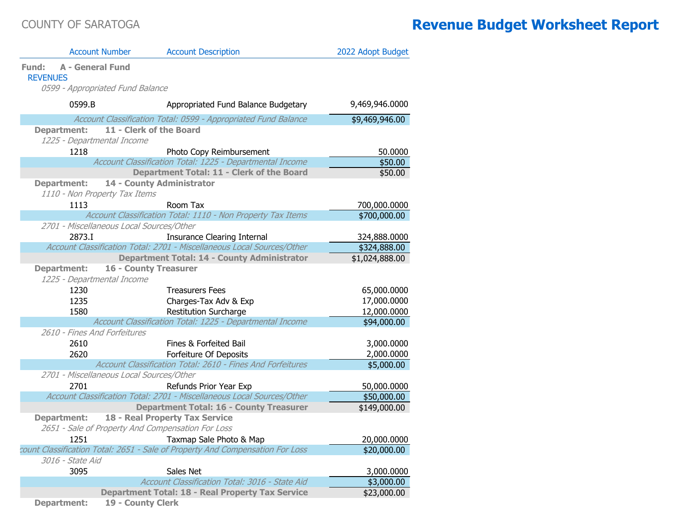|                          | <b>Account Number</b>                    | <b>Account Description</b>                                                    | 2022 Adopt Budget |
|--------------------------|------------------------------------------|-------------------------------------------------------------------------------|-------------------|
| Fund:<br><b>REVENUES</b> | <b>A - General Fund</b>                  |                                                                               |                   |
|                          | 0599 - Appropriated Fund Balance         |                                                                               |                   |
| 0599.B                   |                                          | Appropriated Fund Balance Budgetary                                           | 9,469,946.0000    |
|                          |                                          | Account Classification Total: 0599 - Appropriated Fund Balance                | \$9,469,946.00    |
| <b>Department:</b>       |                                          | 11 - Clerk of the Board                                                       |                   |
|                          | 1225 - Departmental Income               |                                                                               |                   |
| 1218                     |                                          | Photo Copy Reimbursement                                                      | 50.0000           |
|                          |                                          | Account Classification Total: 1225 - Departmental Income                      | \$50.00           |
|                          |                                          | Department Total: 11 - Clerk of the Board                                     | \$50.00           |
| <b>Department:</b>       |                                          | 14 - County Administrator                                                     |                   |
|                          | 1110 - Non Property Tax Items            |                                                                               |                   |
| 1113                     |                                          | Room Tax                                                                      | 700,000.0000      |
|                          |                                          | Account Classification Total: 1110 - Non Property Tax Items                   | \$700,000.00      |
|                          | 2701 - Miscellaneous Local Sources/Other |                                                                               |                   |
| 2873.I                   |                                          | <b>Insurance Clearing Internal</b>                                            | 324,888.0000      |
|                          |                                          | Account Classification Total: 2701 - Miscellaneous Local Sources/Other        | \$324,888.00      |
|                          |                                          | <b>Department Total: 14 - County Administrator</b>                            | \$1,024,888.00    |
| <b>Department:</b>       | 1225 - Departmental Income               | <b>16 - County Treasurer</b>                                                  |                   |
| 1230                     |                                          | <b>Treasurers Fees</b>                                                        | 65,000.0000       |
| 1235                     |                                          | Charges-Tax Adv & Exp                                                         | 17,000.0000       |
| 1580                     |                                          | <b>Restitution Surcharge</b>                                                  | 12,000.0000       |
|                          |                                          | Account Classification Total: 1225 - Departmental Income                      | \$94,000.00       |
|                          | 2610 - Fines And Forfeitures             |                                                                               |                   |
| 2610                     |                                          | Fines & Forfeited Bail                                                        | 3,000.0000        |
| 2620                     |                                          | Forfeiture Of Deposits                                                        | 2,000.0000        |
|                          |                                          | Account Classification Total: 2610 - Fines And Forfeitures                    | \$5,000.00        |
|                          | 2701 - Miscellaneous Local Sources/Other |                                                                               |                   |
| 2701                     |                                          | Refunds Prior Year Exp                                                        | 50,000.0000       |
|                          |                                          | Account Classification Total: 2701 - Miscellaneous Local Sources/Other        | \$50,000.00       |
|                          |                                          | <b>Department Total: 16 - County Treasurer</b>                                | \$149,000.00      |
| <b>Department:</b>       |                                          | 18 - Real Property Tax Service                                                |                   |
|                          |                                          | 2651 - Sale of Property And Compensation For Loss                             |                   |
| 1251                     |                                          | Taxmap Sale Photo & Map                                                       | 20,000.0000       |
|                          |                                          | count Classification Total: 2651 - Sale of Property And Compensation For Loss | \$20,000.00       |
| 3016 - State Aid         |                                          |                                                                               |                   |
| 3095                     |                                          | Sales Net                                                                     | 3,000.0000        |
|                          |                                          | Account Classification Total: 3016 - State Aid                                | \$3,000.00        |
|                          |                                          | <b>Department Total: 18 - Real Property Tax Service</b>                       | \$23,000.00       |
| <b>Department:</b>       | 19 - County Clerk                        |                                                                               |                   |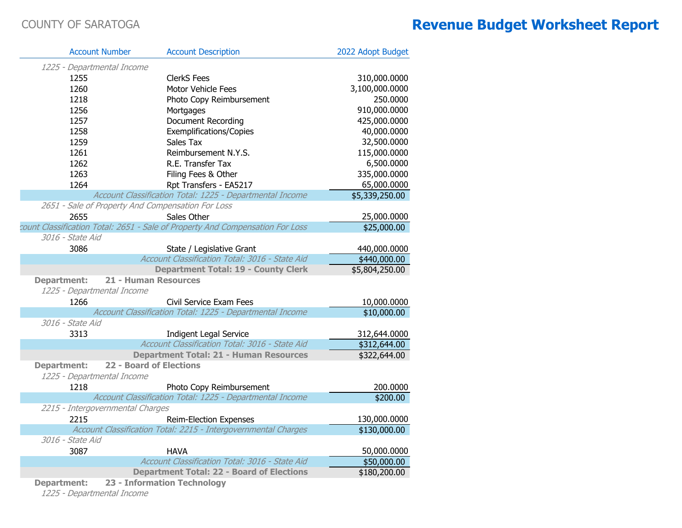|                                  | <b>Account Number</b> | <b>Account Description</b>                                                    | 2022 Adopt Budget |
|----------------------------------|-----------------------|-------------------------------------------------------------------------------|-------------------|
| 1225 - Departmental Income       |                       |                                                                               |                   |
| 1255                             |                       | <b>ClerkS Fees</b>                                                            | 310,000.0000      |
| 1260                             |                       | Motor Vehicle Fees                                                            | 3,100,000.0000    |
| 1218                             |                       | Photo Copy Reimbursement                                                      | 250.0000          |
| 1256                             |                       | Mortgages                                                                     | 910,000.0000      |
| 1257                             |                       | <b>Document Recording</b>                                                     | 425,000.0000      |
| 1258                             |                       | <b>Exemplifications/Copies</b>                                                | 40,000.0000       |
| 1259                             |                       | Sales Tax                                                                     | 32,500.0000       |
| 1261                             |                       | Reimbursement N.Y.S.                                                          | 115,000.0000      |
| 1262                             |                       | R.E. Transfer Tax                                                             | 6,500.0000        |
| 1263                             |                       | Filing Fees & Other                                                           | 335,000.0000      |
| 1264                             |                       | Rpt Transfers - EA5217                                                        | 65,000.0000       |
|                                  |                       | Account Classification Total: 1225 - Departmental Income                      | \$5,339,250.00    |
|                                  |                       | 2651 - Sale of Property And Compensation For Loss                             |                   |
| 2655                             |                       | Sales Other                                                                   | 25,000.0000       |
|                                  |                       | count Classification Total: 2651 - Sale of Property And Compensation For Loss | \$25,000.00       |
| 3016 - State Aid                 |                       |                                                                               |                   |
| 3086                             |                       | State / Legislative Grant                                                     | 440,000.0000      |
|                                  |                       | Account Classification Total: 3016 - State Aid                                | \$440,000.00      |
|                                  |                       | <b>Department Total: 19 - County Clerk</b>                                    | \$5,804,250.00    |
| <b>Department:</b>               |                       | 21 - Human Resources                                                          |                   |
| 1225 - Departmental Income       |                       |                                                                               |                   |
| 1266                             |                       | Civil Service Exam Fees                                                       | 10,000.0000       |
|                                  |                       | Account Classification Total: 1225 - Departmental Income                      | \$10,000.00       |
| 3016 - State Aid                 |                       |                                                                               |                   |
| 3313                             |                       | <b>Indigent Legal Service</b>                                                 | 312,644.0000      |
|                                  |                       | Account Classification Total: 3016 - State Aid                                | \$312,644.00      |
|                                  |                       | <b>Department Total: 21 - Human Resources</b>                                 | \$322,644.00      |
| <b>Department:</b>               |                       | <b>22 - Board of Elections</b>                                                |                   |
| 1225 - Departmental Income       |                       |                                                                               |                   |
| 1218                             |                       | Photo Copy Reimbursement                                                      | 200.0000          |
|                                  |                       | Account Classification Total: 1225 - Departmental Income                      | \$200.00          |
| 2215 - Intergovernmental Charges |                       |                                                                               |                   |
| 2215                             |                       | <b>Reim-Election Expenses</b>                                                 | 130,000.0000      |
|                                  |                       | Account Classification Total: 2215 - Intergovernmental Charges                | \$130,000.00      |
| 3016 - State Aid                 |                       |                                                                               |                   |
| 3087                             |                       | <b>HAVA</b>                                                                   | 50,000.0000       |
|                                  |                       | Account Classification Total: 3016 - State Aid                                | \$50,000.00       |
|                                  |                       | <b>Department Total: 22 - Board of Elections</b>                              | \$180,200.00      |
| <b>Department:</b>               |                       | 23 - Information Technology                                                   |                   |

1225 - Departmental Income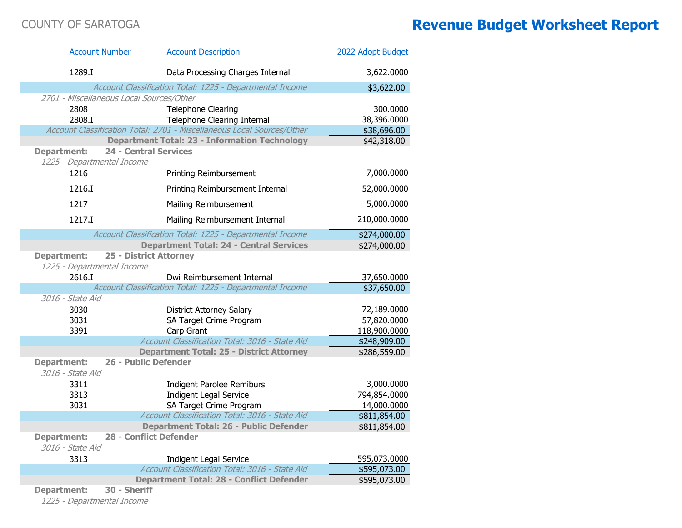| <b>Account Number</b>                            |                               | <b>Account Description</b>                                             | 2022 Adopt Budget |
|--------------------------------------------------|-------------------------------|------------------------------------------------------------------------|-------------------|
| 1289.I                                           |                               | Data Processing Charges Internal                                       | 3,622.0000        |
|                                                  |                               | Account Classification Total: 1225 - Departmental Income               | \$3,622.00        |
| 2701 - Miscellaneous Local Sources/Other         |                               |                                                                        |                   |
| 2808                                             |                               | <b>Telephone Clearing</b>                                              | 300.0000          |
| 2808.I                                           |                               | Telephone Clearing Internal                                            | 38,396.0000       |
|                                                  |                               | Account Classification Total: 2701 - Miscellaneous Local Sources/Other | \$38,696.00       |
|                                                  |                               | <b>Department Total: 23 - Information Technology</b>                   | \$42,318.00       |
| <b>Department:</b><br>1225 - Departmental Income | <b>24 - Central Services</b>  |                                                                        |                   |
| 1216                                             |                               | Printing Reimbursement                                                 | 7,000.0000        |
| 1216.I                                           |                               | Printing Reimbursement Internal                                        | 52,000.0000       |
| 1217                                             |                               | Mailing Reimbursement                                                  | 5,000.0000        |
| 1217.I                                           |                               | Mailing Reimbursement Internal                                         | 210,000.0000      |
|                                                  |                               | Account Classification Total: 1225 - Departmental Income               | \$274,000.00      |
|                                                  |                               | <b>Department Total: 24 - Central Services</b>                         | \$274,000.00      |
| <b>Department:</b><br>1225 - Departmental Income | <b>25 - District Attorney</b> |                                                                        |                   |
| 2616.I                                           |                               | Dwi Reimbursement Internal                                             | 37,650.0000       |
|                                                  |                               | Account Classification Total: 1225 - Departmental Income               | \$37,650.00       |
| 3016 - State Aid                                 |                               |                                                                        |                   |
| 3030                                             |                               | <b>District Attorney Salary</b>                                        | 72,189.0000       |
| 3031                                             |                               | SA Target Crime Program                                                | 57,820.0000       |
| 3391                                             |                               | Carp Grant                                                             | 118,900.0000      |
|                                                  |                               | Account Classification Total: 3016 - State Aid                         | \$248,909.00      |
|                                                  |                               | <b>Department Total: 25 - District Attorney</b>                        | \$286,559.00      |
| <b>Department:</b><br>3016 - State Aid           | 26 - Public Defender          |                                                                        |                   |
| 3311                                             |                               | <b>Indigent Parolee Remiburs</b>                                       | 3,000.0000        |
| 3313                                             |                               | <b>Indigent Legal Service</b>                                          | 794,854.0000      |
| 3031                                             |                               | SA Target Crime Program                                                | 14,000.0000       |
|                                                  |                               | Account Classification Total: 3016 - State Aid                         | \$811,854.00      |
|                                                  |                               | <b>Department Total: 26 - Public Defender</b>                          | \$811,854.00      |
| <b>Department:</b><br>3016 - State Aid           | <b>28 - Conflict Defender</b> |                                                                        |                   |
| 3313                                             |                               | <b>Indigent Legal Service</b>                                          | 595,073.0000      |
|                                                  |                               | Account Classification Total: 3016 - State Aid                         | \$595,073.00      |
|                                                  |                               | <b>Department Total: 28 - Conflict Defender</b>                        | \$595,073.00      |
| <b>Department:</b>                               | 30 - Sheriff                  |                                                                        |                   |

1225 - Departmental Income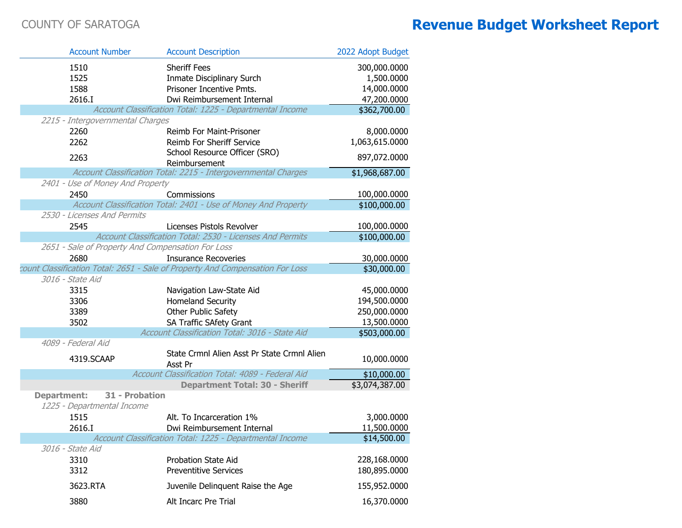| <b>Account Number</b>                             | <b>Account Description</b>                                                                                   | 2022 Adopt Budget          |
|---------------------------------------------------|--------------------------------------------------------------------------------------------------------------|----------------------------|
| 1510                                              | <b>Sheriff Fees</b>                                                                                          | 300,000.0000               |
| 1525                                              | Inmate Disciplinary Surch                                                                                    | 1,500.0000                 |
| 1588                                              | Prisoner Incentive Pmts.                                                                                     | 14,000.0000                |
| 2616.I                                            | Dwi Reimbursement Internal                                                                                   | 47,200.0000                |
|                                                   | Account Classification Total: 1225 - Departmental Income                                                     | \$362,700.00               |
| 2215 - Intergovernmental Charges                  |                                                                                                              |                            |
| 2260                                              | Reimb For Maint-Prisoner                                                                                     | 8,000.0000                 |
| 2262                                              | Reimb For Sheriff Service                                                                                    | 1,063,615.0000             |
| 2263                                              | School Resource Officer (SRO)                                                                                | 897,072.0000               |
|                                                   | Reimbursement                                                                                                |                            |
|                                                   | Account Classification Total: 2215 - Intergovernmental Charges                                               | \$1,968,687.00             |
| 2401 - Use of Money And Property                  |                                                                                                              |                            |
| 2450                                              | Commissions                                                                                                  | 100,000.0000               |
|                                                   | Account Classification Total: 2401 - Use of Money And Property                                               | \$100,000.00               |
| 2530 - Licenses And Permits                       |                                                                                                              |                            |
| 2545                                              | Licenses Pistols Revolver                                                                                    | 100,000.0000               |
|                                                   | Account Classification Total: 2530 - Licenses And Permits                                                    | \$100,000.00               |
| 2651 - Sale of Property And Compensation For Loss |                                                                                                              |                            |
| 2680                                              | <b>Insurance Recoveries</b><br>count Classification Total: 2651 - Sale of Property And Compensation For Loss | 30,000.0000<br>\$30,000.00 |
| 3016 - State Aid                                  |                                                                                                              |                            |
| 3315                                              |                                                                                                              | 45,000.0000                |
| 3306                                              | Navigation Law-State Aid<br>Homeland Security                                                                | 194,500.0000               |
| 3389                                              | Other Public Safety                                                                                          | 250,000.0000               |
| 3502                                              | SA Traffic SAfety Grant                                                                                      | 13,500.0000                |
|                                                   | Account Classification Total: 3016 - State Aid                                                               | \$503,000.00               |
| 4089 - Federal Aid                                |                                                                                                              |                            |
| 4319.SCAAP                                        | State Crmnl Alien Asst Pr State Crmnl Alien<br>Asst Pr                                                       | 10,000.0000                |
|                                                   | Account Classification Total: 4089 - Federal Aid                                                             | \$10,000.00                |
|                                                   | <b>Department Total: 30 - Sheriff</b>                                                                        | \$3,074,387.00             |
| <b>Department:</b><br>31 - Probation              |                                                                                                              |                            |
| 1225 - Departmental Income                        |                                                                                                              |                            |
| 1515                                              | Alt. To Incarceration 1%                                                                                     | 3,000.0000                 |
| 2616.I                                            | Dwi Reimbursement Internal                                                                                   | 11,500.0000                |
|                                                   | Account Classification Total: 1225 - Departmental Income                                                     | \$14,500.00                |
| 3016 - State Aid                                  |                                                                                                              |                            |
| 3310                                              | <b>Probation State Aid</b>                                                                                   | 228,168.0000               |
| 3312                                              | <b>Preventitive Services</b>                                                                                 | 180,895.0000               |
| 3623.RTA                                          | Juvenile Delinquent Raise the Age                                                                            | 155,952.0000               |
| 3880                                              | Alt Incarc Pre Trial                                                                                         | 16,370.0000                |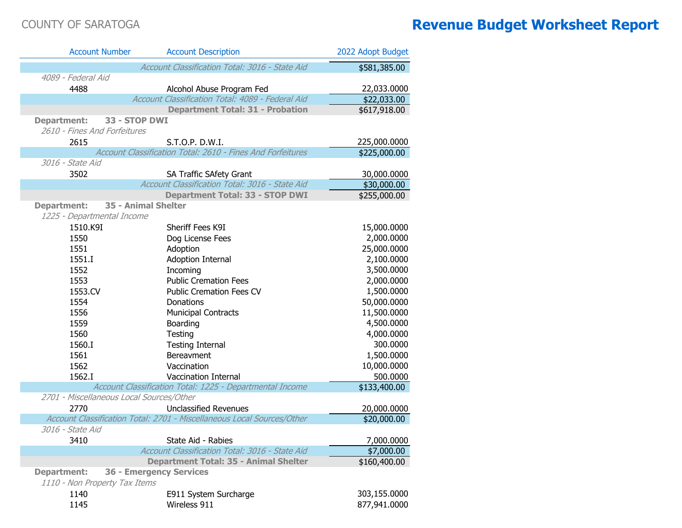| <b>Account Number</b>                    | <b>Account Description</b>                                             | 2022 Adopt Budget        |
|------------------------------------------|------------------------------------------------------------------------|--------------------------|
|                                          | Account Classification Total: 3016 - State Aid                         | \$581,385.00             |
| 4089 - Federal Aid                       |                                                                        |                          |
| 4488                                     | Alcohol Abuse Program Fed                                              | 22,033.0000              |
|                                          | Account Classification Total: 4089 - Federal Aid                       | \$22,033.00              |
|                                          | <b>Department Total: 31 - Probation</b>                                | $\overline{$617,918.00}$ |
| <b>Department:</b>                       | 33 - STOP DWI                                                          |                          |
| 2610 - Fines And Forfeitures             |                                                                        |                          |
| 2615                                     | S.T.O.P. D.W.I.                                                        | 225,000.0000             |
|                                          | Account Classification Total: 2610 - Fines And Forfeitures             | \$225,000.00             |
| 3016 - State Aid                         |                                                                        |                          |
| 3502                                     | SA Traffic SAfety Grant                                                | 30,000.0000              |
|                                          | Account Classification Total: 3016 - State Aid                         | \$30,000.00              |
|                                          | <b>Department Total: 33 - STOP DWI</b>                                 | \$255,000.00             |
| <b>Department:</b>                       | 35 - Animal Shelter                                                    |                          |
| 1225 - Departmental Income               |                                                                        |                          |
| 1510.K9I                                 | Sheriff Fees K9I                                                       | 15,000.0000              |
| 1550                                     | Dog License Fees                                                       | 2,000.0000               |
| 1551                                     | Adoption                                                               | 25,000.0000              |
| 1551.I                                   | <b>Adoption Internal</b>                                               | 2,100.0000               |
| 1552                                     | Incoming                                                               | 3,500.0000               |
| 1553                                     | <b>Public Cremation Fees</b>                                           | 2,000.0000               |
| 1553.CV                                  | <b>Public Cremation Fees CV</b>                                        | 1,500.0000               |
| 1554                                     | Donations                                                              | 50,000.0000              |
| 1556                                     | <b>Municipal Contracts</b>                                             | 11,500.0000              |
| 1559                                     | Boarding                                                               | 4,500.0000               |
| 1560                                     | Testing                                                                | 4,000.0000               |
| 1560.I                                   | <b>Testing Internal</b>                                                | 300.0000                 |
| 1561                                     | Bereavment                                                             | 1,500.0000               |
| 1562                                     | Vaccination                                                            | 10,000.0000              |
| 1562.I                                   | Vaccination Internal                                                   | 500.0000                 |
|                                          | Account Classification Total: 1225 - Departmental Income               | \$133,400.00             |
| 2701 - Miscellaneous Local Sources/Other |                                                                        |                          |
| 2770                                     | <b>Unclassified Revenues</b>                                           | 20,000.0000              |
| 3016 - State Aid                         | Account Classification Total: 2701 - Miscellaneous Local Sources/Other | \$20,000.00              |
|                                          |                                                                        |                          |
| 3410                                     | State Aid - Rabies<br>Account Classification Total: 3016 - State Aid   | 7,000.0000               |
|                                          | <b>Department Total: 35 - Animal Shelter</b>                           | \$7,000.00               |
| <b>Department:</b>                       | <b>36 - Emergency Services</b>                                         | \$160,400.00             |
| 1110 - Non Property Tax Items            |                                                                        |                          |
| 1140                                     | E911 System Surcharge                                                  | 303,155.0000             |
| 1145                                     | Wireless 911                                                           | 877,941.0000             |
|                                          |                                                                        |                          |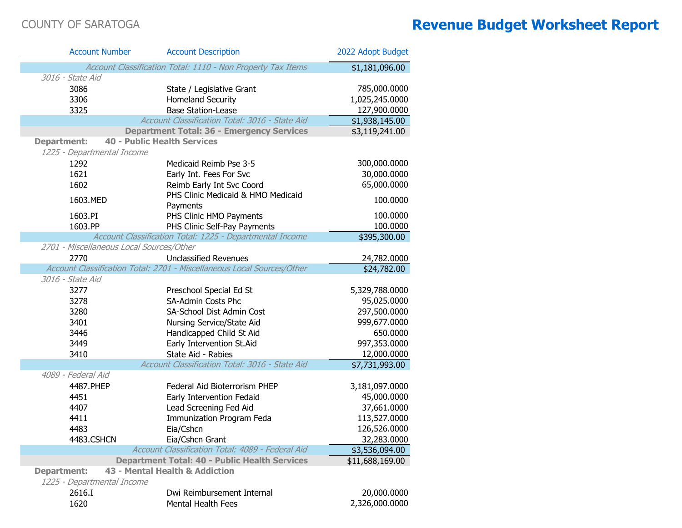| <b>Account Number</b>                    | <b>Account Description</b>                                             | 2022 Adopt Budget          |
|------------------------------------------|------------------------------------------------------------------------|----------------------------|
|                                          | Account Classification Total: 1110 - Non Property Tax Items            | \$1,181,096.00             |
| 3016 - State Aid                         |                                                                        |                            |
| 3086                                     | State / Legislative Grant                                              | 785,000.0000               |
| 3306                                     | <b>Homeland Security</b>                                               | 1,025,245.0000             |
| 3325                                     | <b>Base Station-Lease</b>                                              | 127,900.0000               |
|                                          | Account Classification Total: 3016 - State Aid                         | \$1,938,145.00             |
|                                          | <b>Department Total: 36 - Emergency Services</b>                       | \$3,119,241.00             |
| <b>Department:</b>                       | <b>40 - Public Health Services</b>                                     |                            |
| 1225 - Departmental Income               |                                                                        |                            |
| 1292                                     | Medicaid Reimb Pse 3-5                                                 | 300,000.0000               |
| 1621                                     | Early Int. Fees For Svc                                                | 30,000.0000                |
| 1602                                     | Reimb Early Int Svc Coord                                              | 65,000.0000                |
| 1603.MED                                 | PHS Clinic Medicaid & HMO Medicaid                                     | 100.0000                   |
|                                          | Payments                                                               |                            |
| 1603.PI                                  | PHS Clinic HMO Payments                                                | 100.0000                   |
| 1603.PP                                  | PHS Clinic Self-Pay Payments                                           | 100.0000                   |
|                                          | Account Classification Total: 1225 - Departmental Income               | \$395,300.00               |
| 2701 - Miscellaneous Local Sources/Other |                                                                        |                            |
| 2770                                     | <b>Unclassified Revenues</b>                                           | 24,782.0000                |
|                                          | Account Classification Total: 2701 - Miscellaneous Local Sources/Other | \$24,782.00                |
| 3016 - State Aid                         |                                                                        |                            |
| 3277                                     | Preschool Special Ed St                                                | 5,329,788.0000             |
| 3278                                     | SA-Admin Costs Phc                                                     | 95,025.0000                |
| 3280                                     | SA-School Dist Admin Cost                                              | 297,500.0000               |
| 3401                                     | Nursing Service/State Aid                                              | 999,677.0000               |
| 3446                                     | Handicapped Child St Aid                                               | 650.0000                   |
| 3449                                     | Early Intervention St.Aid                                              | 997,353.0000               |
| 3410                                     | State Aid - Rabies                                                     | 12,000.0000                |
|                                          | Account Classification Total: 3016 - State Aid                         | $\overline{$7,731,993.00}$ |
| 4089 - Federal Aid                       |                                                                        |                            |
| 4487.PHEP                                | Federal Aid Bioterrorism PHEP                                          | 3,181,097.0000             |
| 4451                                     | Early Intervention Fedaid                                              | 45,000.0000                |
| 4407                                     | Lead Screening Fed Aid                                                 | 37,661.0000                |
| 4411                                     | <b>Immunization Program Feda</b>                                       | 113,527.0000               |
| 4483                                     | Eia/Cshcn                                                              | 126,526.0000               |
| 4483.CSHCN                               | Eia/Cshcn Grant                                                        | 32,283.0000                |
|                                          | Account Classification Total: 4089 - Federal Aid                       | \$3,536,094.00             |
|                                          | <b>Department Total: 40 - Public Health Services</b>                   | \$11,688,169.00            |
| <b>Department:</b>                       | 43 - Mental Health & Addiction                                         |                            |
| 1225 - Departmental Income               |                                                                        |                            |
| 2616.I                                   | Dwi Reimbursement Internal                                             | 20,000.0000                |
| 1620                                     | Mental Health Fees                                                     | 2,326,000.0000             |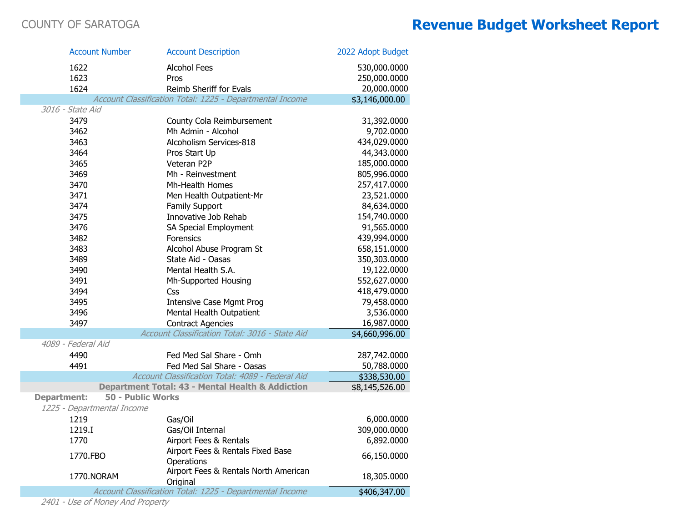| <b>Account Number</b>      | <b>Account Description</b>                                  | 2022 Adopt Budget |
|----------------------------|-------------------------------------------------------------|-------------------|
| 1622                       | <b>Alcohol Fees</b>                                         | 530,000.0000      |
| 1623                       | Pros                                                        | 250,000.0000      |
| 1624                       | Reimb Sheriff for Evals                                     | 20,000.0000       |
|                            | Account Classification Total: 1225 - Departmental Income    | \$3,146,000.00    |
| 3016 - State Aid           |                                                             |                   |
| 3479                       | County Cola Reimbursement                                   | 31,392.0000       |
| 3462                       | Mh Admin - Alcohol                                          | 9,702.0000        |
| 3463                       | Alcoholism Services-818                                     | 434,029.0000      |
| 3464                       | Pros Start Up                                               | 44,343.0000       |
| 3465                       | Veteran P2P                                                 | 185,000.0000      |
| 3469                       | Mh - Reinvestment                                           | 805,996.0000      |
| 3470                       | Mh-Health Homes                                             | 257,417.0000      |
| 3471                       | Men Health Outpatient-Mr                                    | 23,521.0000       |
| 3474                       | Family Support                                              | 84,634.0000       |
| 3475                       | Innovative Job Rehab                                        | 154,740.0000      |
| 3476                       | SA Special Employment                                       | 91,565.0000       |
| 3482                       | Forensics                                                   | 439,994.0000      |
| 3483                       | Alcohol Abuse Program St                                    | 658,151.0000      |
| 3489                       | State Aid - Oasas                                           | 350,303.0000      |
| 3490                       | Mental Health S.A.                                          | 19,122.0000       |
| 3491                       | Mh-Supported Housing                                        | 552,627.0000      |
| 3494                       | Css                                                         | 418,479.0000      |
| 3495                       | <b>Intensive Case Mgmt Prog</b>                             | 79,458.0000       |
| 3496                       | Mental Health Outpatient                                    | 3,536.0000        |
| 3497                       | <b>Contract Agencies</b>                                    | 16,987.0000       |
|                            | Account Classification Total: 3016 - State Aid              | \$4,660,996.00    |
| 4089 - Federal Aid         |                                                             |                   |
| 4490                       | Fed Med Sal Share - Omh                                     | 287,742.0000      |
| 4491                       | Fed Med Sal Share - Oasas                                   | 50,788.0000       |
|                            | Account Classification Total: 4089 - Federal Aid            | \$338,530.00      |
|                            | <b>Department Total: 43 - Mental Health &amp; Addiction</b> | \$8,145,526.00    |
| <b>Department:</b>         | <b>50 - Public Works</b>                                    |                   |
| 1225 - Departmental Income |                                                             |                   |
| 1219                       | Gas/Oil                                                     | 6,000.0000        |
| 1219.T                     | Gas/Oil Internal                                            | 309,000.0000      |
| 1770                       | Airport Fees & Rentals                                      | 6,892.0000        |
| 1770.FBO                   | Airport Fees & Rentals Fixed Base<br>Operations             | 66,150.0000       |
| 1770.NORAM                 | Airport Fees & Rentals North American<br>Original           | 18,305.0000       |
|                            | Account Classification Total: 1225 - Departmental Income    | \$406,347.00      |
|                            |                                                             |                   |

2401 - Use of Money And Property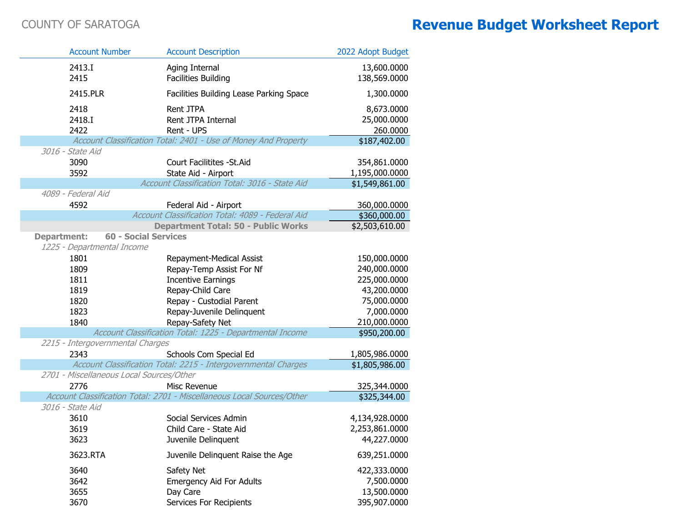|                    | <b>Account Number</b>                    | <b>Account Description</b>                                             | 2022 Adopt Budget |
|--------------------|------------------------------------------|------------------------------------------------------------------------|-------------------|
|                    | 2413.I                                   | Aging Internal                                                         | 13,600.0000       |
|                    | 2415                                     | <b>Facilities Building</b>                                             | 138,569.0000      |
|                    | 2415.PLR                                 | Facilities Building Lease Parking Space                                | 1,300.0000        |
|                    |                                          |                                                                        |                   |
|                    | 2418                                     | Rent JTPA                                                              | 8,673.0000        |
|                    | 2418.I                                   | Rent JTPA Internal                                                     | 25,000.0000       |
|                    | 2422                                     | Rent - UPS                                                             | 260.0000          |
|                    | 3016 - State Aid                         | Account Classification Total: 2401 - Use of Money And Property         | \$187,402.00      |
|                    |                                          |                                                                        |                   |
|                    | 3090                                     | Court Facilitites - St. Aid                                            | 354,861.0000      |
|                    | 3592                                     | State Aid - Airport<br>Account Classification Total: 3016 - State Aid  | 1,195,000.0000    |
|                    | 4089 - Federal Aid                       |                                                                        | \$1,549,861.00    |
|                    | 4592                                     | Federal Aid - Airport                                                  | 360,000.0000      |
|                    |                                          | Account Classification Total: 4089 - Federal Aid                       | \$360,000.00      |
|                    |                                          | <b>Department Total: 50 - Public Works</b>                             | \$2,503,610.00    |
| <b>Department:</b> | <b>60 - Social Services</b>              |                                                                        |                   |
|                    | 1225 - Departmental Income               |                                                                        |                   |
|                    | 1801                                     | Repayment-Medical Assist                                               | 150,000.0000      |
|                    | 1809                                     | Repay-Temp Assist For Nf                                               | 240,000.0000      |
|                    | 1811                                     | <b>Incentive Earnings</b>                                              | 225,000.0000      |
|                    | 1819                                     | Repay-Child Care                                                       | 43,200.0000       |
|                    | 1820                                     | Repay - Custodial Parent                                               | 75,000.0000       |
|                    | 1823                                     | Repay-Juvenile Delinquent                                              | 7,000.0000        |
|                    | 1840                                     | Repay-Safety Net                                                       | 210,000.0000      |
|                    |                                          | Account Classification Total: 1225 - Departmental Income               | \$950,200.00      |
|                    | 2215 - Intergovernmental Charges         |                                                                        |                   |
|                    | 2343                                     | Schools Com Special Ed                                                 | 1,805,986.0000    |
|                    |                                          | Account Classification Total: 2215 - Intergovernmental Charges         | \$1,805,986.00    |
|                    | 2701 - Miscellaneous Local Sources/Other |                                                                        |                   |
|                    | 2776                                     | Misc Revenue                                                           | 325,344.0000      |
|                    |                                          | Account Classification Total: 2701 - Miscellaneous Local Sources/Other | \$325,344.00      |
|                    | 3016 - State Aid                         |                                                                        |                   |
|                    | 3610                                     | Social Services Admin                                                  | 4,134,928.0000    |
|                    | 3619                                     | Child Care - State Aid                                                 | 2,253,861.0000    |
|                    | 3623                                     | Juvenile Delinquent                                                    | 44,227.0000       |
|                    | 3623.RTA                                 | Juvenile Delinquent Raise the Age                                      | 639,251.0000      |
|                    | 3640                                     | Safety Net                                                             | 422,333.0000      |
|                    | 3642                                     | <b>Emergency Aid For Adults</b>                                        | 7,500.0000        |
|                    | 3655                                     | Day Care                                                               | 13,500.0000       |
|                    | 3670                                     | Services For Recipients                                                | 395,907.0000      |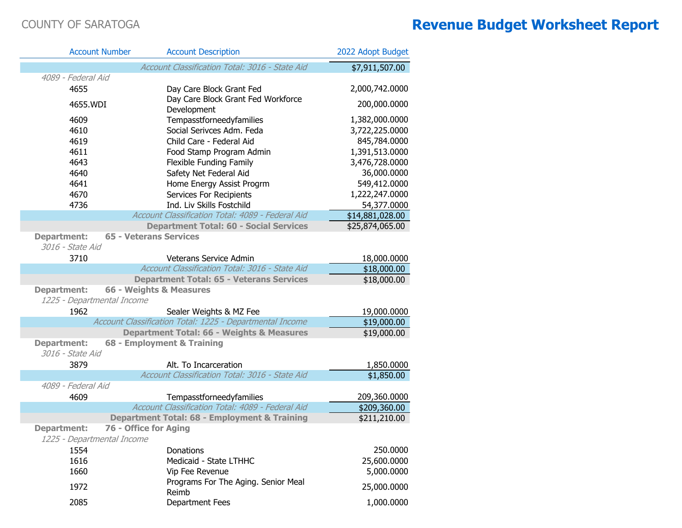|                                        | <b>Account Number</b>         | <b>Account Description</b>                               | 2022 Adopt Budget |
|----------------------------------------|-------------------------------|----------------------------------------------------------|-------------------|
|                                        |                               | Account Classification Total: 3016 - State Aid           | \$7,911,507.00    |
| 4089 - Federal Aid                     |                               |                                                          |                   |
| 4655                                   |                               | Day Care Block Grant Fed                                 | 2,000,742.0000    |
| 4655.WDI                               |                               | Day Care Block Grant Fed Workforce<br>Development        | 200,000.0000      |
| 4609                                   |                               | Tempasstforneedyfamilies                                 | 1,382,000.0000    |
| 4610                                   |                               | Social Serivces Adm. Feda                                | 3,722,225.0000    |
| 4619                                   |                               | Child Care - Federal Aid                                 | 845,784.0000      |
| 4611                                   |                               | Food Stamp Program Admin                                 | 1,391,513.0000    |
| 4643                                   |                               | Flexible Funding Family                                  | 3,476,728.0000    |
| 4640                                   |                               | Safety Net Federal Aid                                   | 36,000.0000       |
| 4641                                   |                               | Home Energy Assist Progrm                                | 549,412.0000      |
| 4670                                   |                               | Services For Recipients                                  | 1,222,247.0000    |
| 4736                                   |                               | Ind. Liv Skills Fostchild                                | 54,377.0000       |
|                                        |                               | Account Classification Total: 4089 - Federal Aid         | \$14,881,028.00   |
|                                        |                               | <b>Department Total: 60 - Social Services</b>            | \$25,874,065.00   |
| <b>Department:</b><br>3016 - State Aid | <b>65 - Veterans Services</b> |                                                          |                   |
| 3710                                   |                               | <b>Veterans Service Admin</b>                            | 18,000.0000       |
|                                        |                               | Account Classification Total: 3016 - State Aid           | \$18,000.00       |
|                                        |                               | <b>Department Total: 65 - Veterans Services</b>          | \$18,000.00       |
| <b>Department:</b>                     |                               | 66 - Weights & Measures                                  |                   |
| 1225 - Departmental Income             |                               |                                                          |                   |
| 1962                                   |                               | Sealer Weights & MZ Fee                                  | 19,000.0000       |
|                                        |                               | Account Classification Total: 1225 - Departmental Income | \$19,000.00       |
|                                        |                               | <b>Department Total: 66 - Weights &amp; Measures</b>     | \$19,000.00       |
| <b>Department:</b>                     |                               | 68 - Employment & Training                               |                   |
| 3016 - State Aid                       |                               |                                                          |                   |
| 3879                                   |                               | Alt. To Incarceration                                    | 1,850.0000        |
|                                        |                               | Account Classification Total: 3016 - State Aid           | \$1,850.00        |
| 4089 - Federal Aid                     |                               |                                                          |                   |
| 4609                                   |                               | Tempasstforneedyfamilies                                 | 209,360.0000      |
|                                        |                               | Account Classification Total: 4089 - Federal Aid         | \$209,360.00      |
|                                        |                               | Department Total: 68 - Employment & Training             | \$211,210.00      |
| <b>Department:</b>                     | 76 - Office for Aging         |                                                          |                   |
| 1225 - Departmental Income             |                               |                                                          |                   |
| 1554                                   |                               | Donations                                                | 250.0000          |
| 1616                                   |                               | Medicaid - State LTHHC                                   | 25,600.0000       |
| 1660                                   |                               | Vip Fee Revenue                                          | 5,000.0000        |
|                                        |                               | Programs For The Aging. Senior Meal                      |                   |
| 1972                                   |                               | Reimb                                                    | 25,000.0000       |
| 2085                                   |                               | Department Fees                                          | 1,000.0000        |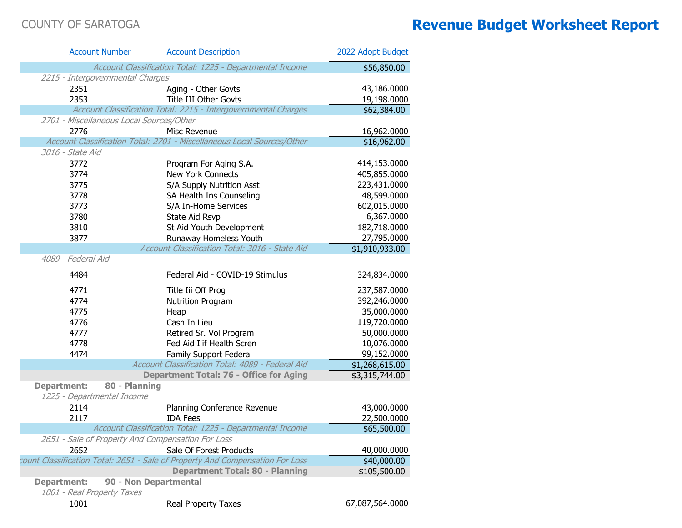|                                                  | <b>Account Number</b>                    | <b>Account Description</b>                                                    | 2022 Adopt Budget |
|--------------------------------------------------|------------------------------------------|-------------------------------------------------------------------------------|-------------------|
|                                                  |                                          | Account Classification Total: 1225 - Departmental Income                      | \$56,850.00       |
|                                                  | 2215 - Intergovernmental Charges         |                                                                               |                   |
| 2351                                             |                                          | Aging - Other Govts                                                           | 43,186.0000       |
| 2353                                             |                                          | <b>Title III Other Govts</b>                                                  | 19,198.0000       |
|                                                  |                                          | Account Classification Total: 2215 - Intergovernmental Charges                | \$62,384.00       |
|                                                  | 2701 - Miscellaneous Local Sources/Other |                                                                               |                   |
| 2776                                             |                                          | Misc Revenue                                                                  | 16,962.0000       |
|                                                  |                                          | Account Classification Total: 2701 - Miscellaneous Local Sources/Other        | \$16,962.00       |
| 3016 - State Aid                                 |                                          |                                                                               |                   |
| 3772                                             |                                          | Program For Aging S.A.                                                        | 414,153.0000      |
| 3774                                             |                                          | New York Connects                                                             | 405,855.0000      |
| 3775                                             |                                          | S/A Supply Nutrition Asst                                                     | 223,431.0000      |
| 3778                                             |                                          | SA Health Ins Counseling                                                      | 48,599.0000       |
| 3773                                             |                                          | S/A In-Home Services                                                          | 602,015.0000      |
| 3780                                             |                                          | State Aid Rsvp                                                                | 6,367.0000        |
| 3810                                             |                                          | St Aid Youth Development                                                      | 182,718.0000      |
| 3877                                             |                                          | Runaway Homeless Youth                                                        | 27,795.0000       |
|                                                  |                                          | Account Classification Total: 3016 - State Aid                                | \$1,910,933.00    |
| 4089 - Federal Aid                               |                                          |                                                                               |                   |
| 4484                                             |                                          | Federal Aid - COVID-19 Stimulus                                               | 324,834.0000      |
| 4771                                             |                                          | Title Iii Off Prog                                                            | 237,587.0000      |
| 4774                                             |                                          | Nutrition Program                                                             | 392,246.0000      |
| 4775                                             |                                          | Heap                                                                          | 35,000.0000       |
| 4776                                             |                                          | Cash In Lieu                                                                  | 119,720.0000      |
| 4777                                             |                                          | Retired Sr. Vol Program                                                       | 50,000.0000       |
| 4778                                             |                                          | Fed Aid Iiif Health Scren                                                     | 10,076.0000       |
| 4474                                             |                                          | Family Support Federal                                                        | 99,152.0000       |
|                                                  |                                          | Account Classification Total: 4089 - Federal Aid                              | \$1,268,615.00    |
|                                                  |                                          | <b>Department Total: 76 - Office for Aging</b>                                | \$3,315,744.00    |
| <b>Department:</b>                               | 80 - Planning                            |                                                                               |                   |
|                                                  | 1225 - Departmental Income               |                                                                               |                   |
| 2114                                             |                                          | Planning Conference Revenue                                                   | 43,000.0000       |
| 2117                                             |                                          | <b>IDA Fees</b>                                                               | 22,500.0000       |
|                                                  |                                          | Account Classification Total: 1225 - Departmental Income                      | \$65,500.00       |
|                                                  |                                          | 2651 - Sale of Property And Compensation For Loss                             |                   |
| 2652                                             |                                          | Sale Of Forest Products                                                       | 40,000.0000       |
|                                                  |                                          | count Classification Total: 2651 - Sale of Property And Compensation For Loss | \$40,000.00       |
|                                                  |                                          | <b>Department Total: 80 - Planning</b>                                        | \$105,500.00      |
| <b>Department:</b><br>1001 - Real Property Taxes |                                          | 90 - Non Departmental                                                         |                   |
| 1001                                             |                                          | Real Property Taxes                                                           | 67,087,564.0000   |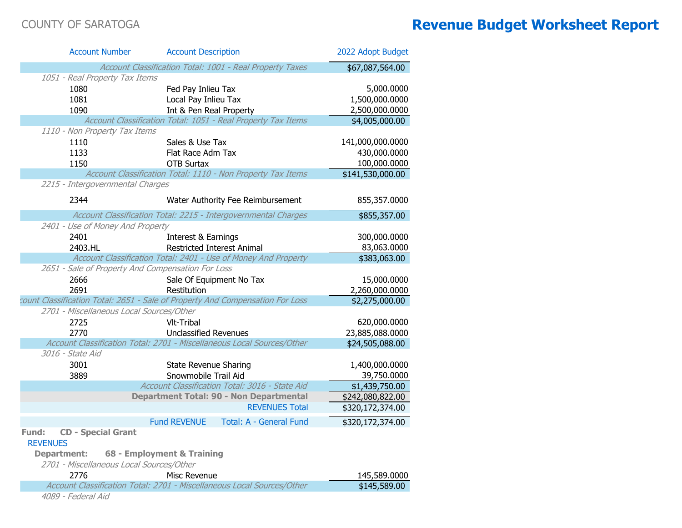| <b>Account Number</b>                             | <b>Account Description</b>                                                                             | 2022 Adopt Budget                  |
|---------------------------------------------------|--------------------------------------------------------------------------------------------------------|------------------------------------|
|                                                   | Account Classification Total: 1001 - Real Property Taxes                                               | \$67,087,564.00                    |
| 1051 - Real Property Tax Items                    |                                                                                                        |                                    |
| 1080                                              | Fed Pay Inlieu Tax                                                                                     | 5,000.0000                         |
| 1081                                              | Local Pay Inlieu Tax                                                                                   | 1,500,000.0000                     |
| 1090                                              | Int & Pen Real Property                                                                                | 2,500,000.0000                     |
|                                                   | Account Classification Total: 1051 - Real Property Tax Items                                           | \$4,005,000.00                     |
| 1110 - Non Property Tax Items                     |                                                                                                        |                                    |
| 1110                                              | Sales & Use Tax                                                                                        | 141,000,000.0000                   |
| 1133                                              | Flat Race Adm Tax                                                                                      | 430,000.0000                       |
| 1150                                              | <b>OTB Surtax</b>                                                                                      | 100,000.0000                       |
|                                                   | Account Classification Total: 1110 - Non Property Tax Items                                            | \$141,530,000.00                   |
| 2215 - Intergovernmental Charges                  |                                                                                                        |                                    |
| 2344                                              | Water Authority Fee Reimbursement                                                                      | 855,357.0000                       |
|                                                   | Account Classification Total: 2215 - Intergovernmental Charges                                         | \$855,357.00                       |
| 2401 - Use of Money And Property                  |                                                                                                        |                                    |
| 2401                                              | Interest & Earnings                                                                                    | 300,000.0000                       |
| 2403.HL                                           | <b>Restricted Interest Animal</b>                                                                      | 83,063.0000                        |
|                                                   | Account Classification Total: 2401 - Use of Money And Property                                         | \$383,063.00                       |
| 2651 - Sale of Property And Compensation For Loss |                                                                                                        |                                    |
| 2666                                              | Sale Of Equipment No Tax                                                                               | 15,000.0000                        |
| 2691                                              | Restitution                                                                                            | 2,260,000.0000                     |
|                                                   | count Classification Total: 2651 - Sale of Property And Compensation For Loss                          | \$2,275,000.00                     |
| 2701 - Miscellaneous Local Sources/Other          |                                                                                                        |                                    |
| 2725                                              | Vlt-Tribal                                                                                             | 620,000.0000                       |
| 2770                                              | <b>Unclassified Revenues</b><br>Account Classification Total: 2701 - Miscellaneous Local Sources/Other | 23,885,088.0000<br>\$24,505,088.00 |
| 3016 - State Aid                                  |                                                                                                        |                                    |
| 3001                                              | <b>State Revenue Sharing</b>                                                                           | 1,400,000.0000                     |
| 3889                                              | Snowmobile Trail Aid                                                                                   | 39,750.0000                        |
|                                                   | Account Classification Total: 3016 - State Aid                                                         | \$1,439,750.00                     |
|                                                   | <b>Department Total: 90 - Non Departmental</b>                                                         | \$242,080,822.00                   |
|                                                   | <b>REVENUES Total</b>                                                                                  | \$320,172,374.00                   |
|                                                   | <b>Fund REVENUE</b><br><b>Total: A - General Fund</b>                                                  | \$320,172,374.00                   |
| <b>Fund: CD - Special Grant</b>                   |                                                                                                        |                                    |
| <b>REVENUES</b>                                   |                                                                                                        |                                    |
| <b>Department:</b>                                | 68 - Employment & Training                                                                             |                                    |
| 2701 - Miscellaneous Local Sources/Other          |                                                                                                        |                                    |
| 2776                                              | Misc Revenue                                                                                           | 145,589.0000                       |
|                                                   | Account Classification Total: 2701 - Miscellaneous Local Sources/Other                                 | \$145,589.00                       |
| 4089 - Federal Aid                                |                                                                                                        |                                    |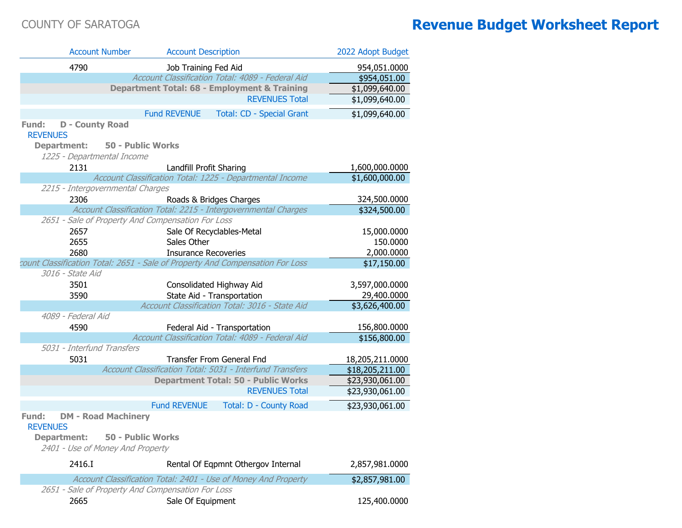| <b>Account Number</b>                             | <b>Account Description</b>                                                    | 2022 Adopt Budget |
|---------------------------------------------------|-------------------------------------------------------------------------------|-------------------|
| 4790                                              | Job Training Fed Aid                                                          | 954,051.0000      |
|                                                   | Account Classification Total: 4089 - Federal Aid                              | \$954,051.00      |
|                                                   | Department Total: 68 - Employment & Training                                  | \$1,099,640.00    |
|                                                   | <b>REVENUES Total</b>                                                         | \$1,099,640.00    |
|                                                   | <b>Fund REVENUE</b><br>Total: CD - Special Grant                              | \$1,099,640.00    |
| <b>D</b> - County Road<br>Fund:                   |                                                                               |                   |
| <b>REVENUES</b>                                   |                                                                               |                   |
| 50 - Public Works<br><b>Department:</b>           |                                                                               |                   |
| 1225 - Departmental Income                        |                                                                               |                   |
| 2131                                              | Landfill Profit Sharing                                                       | 1,600,000.0000    |
|                                                   | Account Classification Total: 1225 - Departmental Income                      | \$1,600,000.00    |
| 2215 - Intergovernmental Charges                  |                                                                               |                   |
| 2306                                              | Roads & Bridges Charges                                                       | 324,500.0000      |
|                                                   | Account Classification Total: 2215 - Intergovernmental Charges                | \$324,500.00      |
| 2651 - Sale of Property And Compensation For Loss |                                                                               |                   |
| 2657                                              | Sale Of Recyclables-Metal                                                     | 15,000.0000       |
| 2655                                              | Sales Other                                                                   | 150.0000          |
| 2680                                              | <b>Insurance Recoveries</b>                                                   | 2,000.0000        |
| 3016 - State Aid                                  | count Classification Total: 2651 - Sale of Property And Compensation For Loss | \$17,150.00       |
| 3501                                              | Consolidated Highway Aid                                                      | 3,597,000.0000    |
| 3590                                              | State Aid - Transportation                                                    | 29,400.0000       |
|                                                   | Account Classification Total: 3016 - State Aid                                | \$3,626,400.00    |
| 4089 - Federal Aid                                |                                                                               |                   |
| 4590                                              | Federal Aid - Transportation                                                  | 156,800.0000      |
|                                                   | Account Classification Total: 4089 - Federal Aid                              | \$156,800.00      |
| 5031 - Interfund Transfers                        |                                                                               |                   |
| 5031                                              | <b>Transfer From General Fnd</b>                                              | 18,205,211.0000   |
|                                                   | Account Classification Total: 5031 - Interfund Transfers                      | \$18,205,211.00   |
|                                                   | <b>Department Total: 50 - Public Works</b>                                    | \$23,930,061.00   |
|                                                   | <b>REVENUES Total</b>                                                         | \$23,930,061.00   |
|                                                   | <b>Fund REVENUE</b><br>Total: D - County Road                                 | \$23,930,061.00   |
| <b>DM - Road Machinery</b><br>Fund:               |                                                                               |                   |
| <b>REVENUES</b>                                   |                                                                               |                   |
| <b>50 - Public Works</b><br><b>Department:</b>    |                                                                               |                   |
| 2401 - Use of Money And Property                  |                                                                               |                   |
| 2416.I                                            | Rental Of Eqpmnt Othergov Internal                                            | 2,857,981.0000    |
|                                                   | Account Classification Total: 2401 - Use of Money And Property                | \$2,857,981.00    |
| 2651 - Sale of Property And Compensation For Loss |                                                                               |                   |
| 2665                                              | Sale Of Equipment                                                             | 125,400.0000      |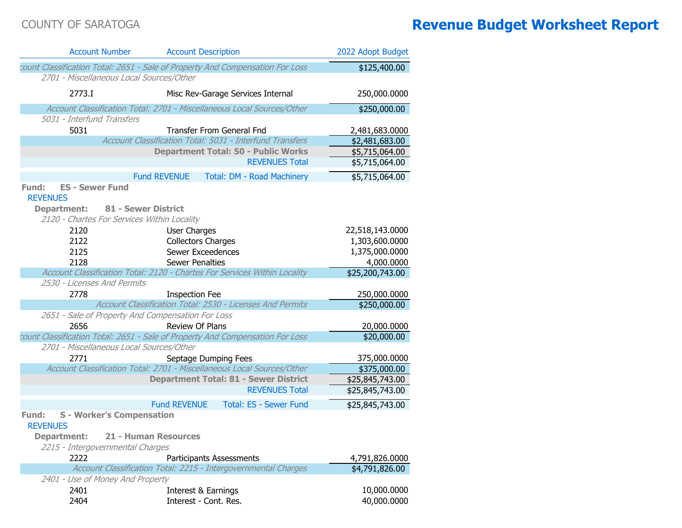| <b>Account Number</b>                             | <b>Account Description</b>                                                    | 2022 Adopt Budget |
|---------------------------------------------------|-------------------------------------------------------------------------------|-------------------|
|                                                   | count Classification Total: 2651 - Sale of Property And Compensation For Loss | \$125,400.00      |
| 2701 - Miscellaneous Local Sources/Other          |                                                                               |                   |
| 2773.I                                            | Misc Rev-Garage Services Internal                                             | 250,000.0000      |
|                                                   | Account Classification Total: 2701 - Miscellaneous Local Sources/Other        | \$250,000.00      |
| 5031 - Interfund Transfers                        |                                                                               |                   |
| 5031                                              | <b>Transfer From General Fnd</b>                                              | 2,481,683.0000    |
|                                                   | Account Classification Total: 5031 - Interfund Transfers                      | \$2,481,683.00    |
|                                                   | <b>Department Total: 50 - Public Works</b>                                    | \$5,715,064.00    |
|                                                   | <b>REVENUES Total</b>                                                         | \$5,715,064.00    |
|                                                   | <b>Fund REVENUE</b><br>Total: DM - Road Machinery                             | \$5,715,064.00    |
| <b>ES - Sewer Fund</b><br>Fund:                   |                                                                               |                   |
| <b>REVENUES</b>                                   |                                                                               |                   |
| <b>Department:</b>                                | 81 - Sewer District                                                           |                   |
| 2120 - Chartes For Services Within Locality       |                                                                               |                   |
| 2120                                              | User Charges                                                                  | 22,518,143.0000   |
| 2122                                              | <b>Collectors Charges</b>                                                     | 1,303,600.0000    |
| 2125                                              | Sewer Exceedences                                                             | 1,375,000.0000    |
| 2128                                              | <b>Sewer Penalties</b>                                                        | 4,000.0000        |
|                                                   | Account Classification Total: 2120 - Chartes For Services Within Locality     | \$25,200,743.00   |
| 2530 - Licenses And Permits                       |                                                                               |                   |
| 2778                                              | <b>Inspection Fee</b>                                                         | 250,000.0000      |
|                                                   | Account Classification Total: 2530 - Licenses And Permits                     | \$250,000.00      |
| 2651 - Sale of Property And Compensation For Loss |                                                                               |                   |
| 2656                                              | <b>Review Of Plans</b>                                                        | 20,000.0000       |
|                                                   | count Classification Total: 2651 - Sale of Property And Compensation For Loss | \$20,000.00       |
| 2701 - Miscellaneous Local Sources/Other          |                                                                               |                   |
| 2771                                              | Septage Dumping Fees                                                          | 375,000.0000      |
|                                                   | Account Classification Total: 2701 - Miscellaneous Local Sources/Other        | \$375,000.00      |
|                                                   | <b>Department Total: 81 - Sewer District</b>                                  | \$25,845,743.00   |
|                                                   | <b>REVENUES Total</b>                                                         | \$25,845,743.00   |
|                                                   | <b>Fund REVENUE</b><br><b>Total: ES - Sewer Fund</b>                          | \$25,845,743.00   |
| <b>S</b> - Worker's Compensation<br>Fund:         |                                                                               |                   |
| <b>REVENUES</b>                                   |                                                                               |                   |
| <b>Department:</b>                                | 21 - Human Resources                                                          |                   |
| 2215 - Intergovernmental Charges                  |                                                                               |                   |
| 2222                                              | <b>Participants Assessments</b>                                               | 4,791,826.0000    |
|                                                   | Account Classification Total: 2215 - Intergovernmental Charges                | \$4,791,826.00    |
| 2401 - Use of Money And Property                  |                                                                               |                   |
| 2401                                              | Interest & Earnings                                                           | 10,000.0000       |
| 2404                                              | Interest - Cont. Res.                                                         | 40,000.0000       |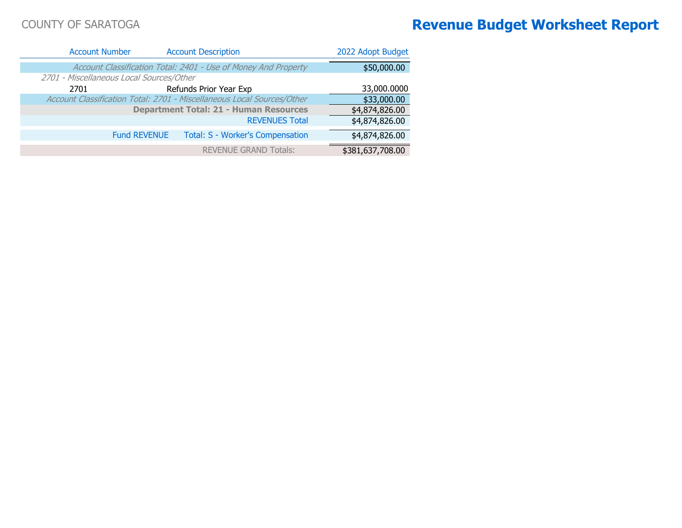| 2022 Adopt Budget | <b>Account Description</b>                                             | <b>Account Number</b>                    |
|-------------------|------------------------------------------------------------------------|------------------------------------------|
| \$50,000.00       | Account Classification Total: 2401 - Use of Money And Property         |                                          |
|                   |                                                                        | 2701 - Miscellaneous Local Sources/Other |
| 33,000.0000       | Refunds Prior Year Exp                                                 | 2701                                     |
| \$33,000.00       | Account Classification Total: 2701 - Miscellaneous Local Sources/Other |                                          |
| \$4,874,826.00    | <b>Department Total: 21 - Human Resources</b>                          |                                          |
| \$4,874,826.00    | <b>REVENUES Total</b>                                                  |                                          |
| \$4,874,826.00    | <b>Total: S - Worker's Compensation</b>                                | <b>Fund REVENUE</b>                      |
| \$381,637,708.00  | <b>REVENUE GRAND Totals:</b>                                           |                                          |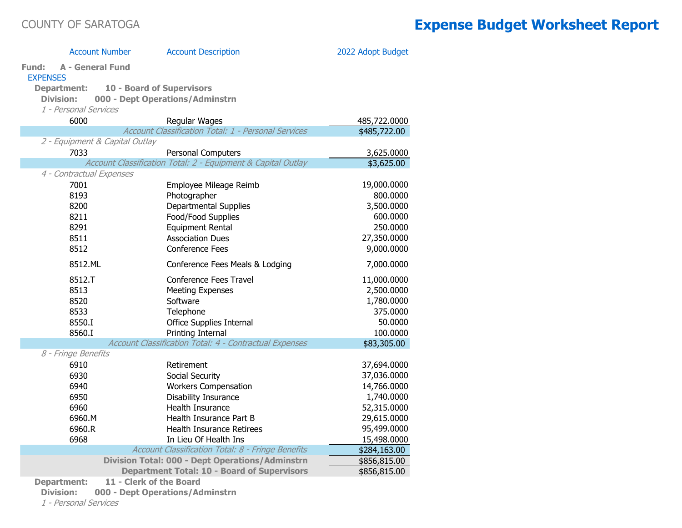|                                                     | <b>Account Number</b>            | <b>Account Description</b>                                   | 2022 Adopt Budget |
|-----------------------------------------------------|----------------------------------|--------------------------------------------------------------|-------------------|
| <b>A - General Fund</b><br>Fund:<br><b>EXPENSES</b> |                                  |                                                              |                   |
| <b>Department:</b>                                  | <b>10 - Board of Supervisors</b> |                                                              |                   |
| <b>Division:</b>                                    |                                  | 000 - Dept Operations/Adminstrn                              |                   |
| 1 - Personal Services                               |                                  |                                                              |                   |
| 6000                                                |                                  | Regular Wages                                                | 485,722.0000      |
|                                                     |                                  | Account Classification Total: 1 - Personal Services          | \$485,722.00      |
|                                                     | 2 - Equipment & Capital Outlay   |                                                              |                   |
| 7033                                                |                                  | Personal Computers                                           | 3,625.0000        |
|                                                     |                                  | Account Classification Total: 2 - Equipment & Capital Outlay | \$3,625.00        |
| 4 - Contractual Expenses                            |                                  |                                                              |                   |
| 7001                                                |                                  | Employee Mileage Reimb                                       | 19,000.0000       |
| 8193                                                |                                  | Photographer                                                 | 800.0000          |
| 8200                                                |                                  | <b>Departmental Supplies</b>                                 | 3,500.0000        |
| 8211                                                |                                  | Food/Food Supplies                                           | 600.0000          |
| 8291                                                |                                  | Equipment Rental                                             | 250.0000          |
| 8511                                                |                                  | <b>Association Dues</b>                                      | 27,350.0000       |
| 8512                                                |                                  | <b>Conference Fees</b>                                       | 9,000.0000        |
| 8512.ML                                             |                                  | Conference Fees Meals & Lodging                              | 7,000.0000        |
| 8512.T                                              |                                  | Conference Fees Travel                                       | 11,000.0000       |
| 8513                                                |                                  | <b>Meeting Expenses</b>                                      | 2,500.0000        |
| 8520                                                |                                  | Software                                                     | 1,780.0000        |
| 8533                                                |                                  | Telephone                                                    | 375.0000          |
| 8550.I                                              |                                  | Office Supplies Internal                                     | 50.0000           |
| 8560.I                                              |                                  | Printing Internal                                            | 100.0000          |
|                                                     |                                  | Account Classification Total: 4 - Contractual Expenses       | \$83,305.00       |
| 8 - Fringe Benefits                                 |                                  |                                                              |                   |
| 6910                                                |                                  | Retirement                                                   | 37,694.0000       |
| 6930                                                |                                  | Social Security                                              | 37,036.0000       |
| 6940                                                |                                  | <b>Workers Compensation</b>                                  | 14,766.0000       |
| 6950                                                |                                  | Disability Insurance                                         | 1,740.0000        |
| 6960                                                |                                  | Health Insurance                                             | 52,315.0000       |
| 6960.M                                              |                                  | Health Insurance Part B                                      | 29,615.0000       |
| 6960.R                                              |                                  | Health Insurance Retirees                                    | 95,499.0000       |
| 6968                                                |                                  | In Lieu Of Health Ins                                        | 15,498.0000       |
|                                                     |                                  | Account Classification Total: 8 - Fringe Benefits            | \$284,163.00      |
|                                                     |                                  | <b>Division Total: 000 - Dept Operations/Adminstrn</b>       | \$856,815.00      |
|                                                     |                                  | <b>Department Total: 10 - Board of Supervisors</b>           | \$856,815.00      |
| <b>Department:</b>                                  | 11 - Clerk of the Board          |                                                              |                   |

**Division: 000 - Dept Operations/Adminstrn**

1 - Personal Services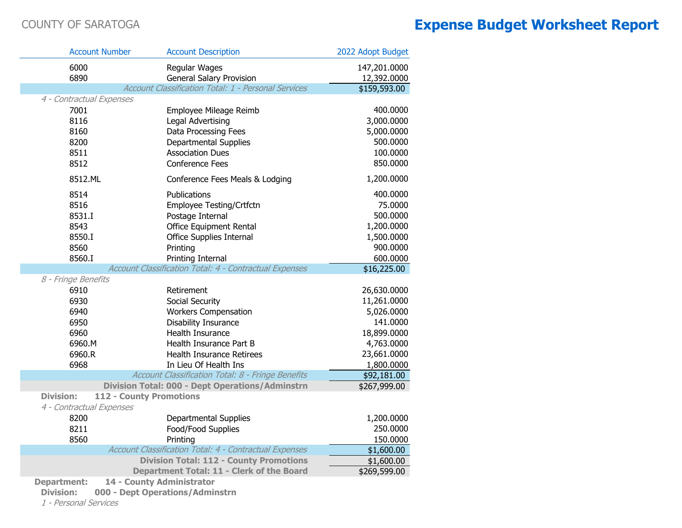|                                              | <b>Account Number</b>     | <b>Account Description</b>                                 | 2022 Adopt Budget |
|----------------------------------------------|---------------------------|------------------------------------------------------------|-------------------|
| 6000                                         |                           | Regular Wages                                              | 147,201.0000      |
| 6890                                         |                           | <b>General Salary Provision</b>                            | 12,392.0000       |
|                                              |                           | <b>Account Classification Total: 1 - Personal Services</b> | \$159,593.00      |
| 4 - Contractual Expenses                     |                           |                                                            |                   |
| 7001                                         |                           | Employee Mileage Reimb                                     | 400.0000          |
| 8116                                         |                           | Legal Advertising                                          | 3,000.0000        |
| 8160                                         |                           | Data Processing Fees                                       | 5,000.0000        |
| 8200                                         |                           | <b>Departmental Supplies</b>                               | 500.0000          |
| 8511                                         |                           | <b>Association Dues</b>                                    | 100.0000          |
| 8512                                         |                           | <b>Conference Fees</b>                                     | 850.0000          |
| 8512.ML                                      |                           | Conference Fees Meals & Lodging                            | 1,200.0000        |
| 8514                                         |                           | Publications                                               | 400.0000          |
| 8516                                         |                           | Employee Testing/Crtfctn                                   | 75.0000           |
| 8531.I                                       |                           | Postage Internal                                           | 500.0000          |
| 8543                                         |                           | <b>Office Equipment Rental</b>                             | 1,200.0000        |
| 8550.I                                       |                           | <b>Office Supplies Internal</b>                            | 1,500.0000        |
| 8560                                         |                           | Printing                                                   | 900.0000          |
| 8560.I                                       |                           | Printing Internal                                          | 600.0000          |
|                                              |                           | Account Classification Total: 4 - Contractual Expenses     | \$16,225.00       |
| 8 - Fringe Benefits                          |                           |                                                            |                   |
| 6910                                         |                           | Retirement                                                 | 26,630.0000       |
| 6930                                         |                           | Social Security                                            | 11,261.0000       |
| 6940                                         |                           | <b>Workers Compensation</b>                                | 5,026.0000        |
| 6950                                         |                           | Disability Insurance                                       | 141.0000          |
| 6960                                         |                           | Health Insurance                                           | 18,899.0000       |
| 6960.M                                       |                           | Health Insurance Part B                                    | 4,763.0000        |
| 6960.R                                       |                           | <b>Health Insurance Retirees</b>                           | 23,661.0000       |
| 6968                                         |                           | In Lieu Of Health Ins                                      | 1,800.0000        |
|                                              |                           | Account Classification Total: 8 - Fringe Benefits          | \$92,181.00       |
|                                              |                           | <b>Division Total: 000 - Dept Operations/Adminstrn</b>     | \$267,999.00      |
| <b>Division:</b><br>4 - Contractual Expenses | 112 - County Promotions   |                                                            |                   |
| 8200                                         |                           | <b>Departmental Supplies</b>                               | 1,200.0000        |
| 8211                                         |                           | Food/Food Supplies                                         | 250.0000          |
| 8560                                         |                           | Printing                                                   | 150.0000          |
|                                              |                           | Account Classification Total: 4 - Contractual Expenses     | \$1,600.00        |
|                                              |                           | <b>Division Total: 112 - County Promotions</b>             | \$1,600.00        |
|                                              |                           | Department Total: 11 - Clerk of the Board                  | \$269,599.00      |
| <b>Department:</b>                           | 14 - County Administrator |                                                            |                   |

**Division: 000 - Dept Operations/Adminstrn**

1 - Personal Services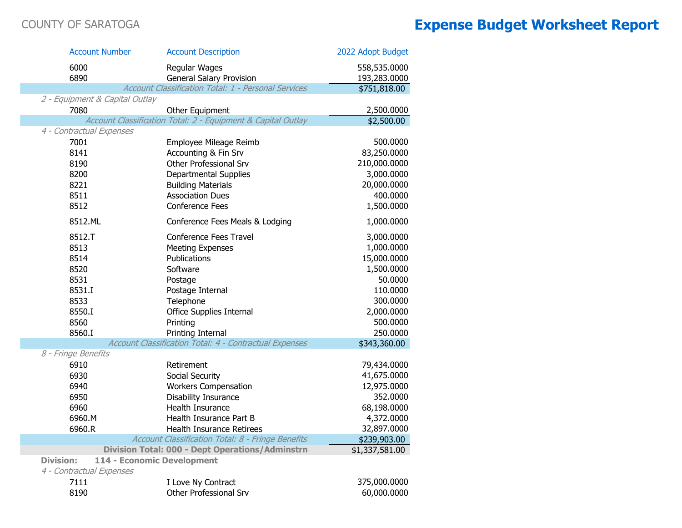$\sim$ 

| <b>Account Number</b>          | <b>Account Description</b>                                   | 2022 Adopt Budget |
|--------------------------------|--------------------------------------------------------------|-------------------|
| 6000                           | Regular Wages                                                | 558,535.0000      |
| 6890                           | General Salary Provision                                     | 193,283.0000      |
|                                | Account Classification Total: 1 - Personal Services          | \$751,818.00      |
| 2 - Equipment & Capital Outlay |                                                              |                   |
| 7080                           | Other Equipment                                              | 2,500.0000        |
|                                | Account Classification Total: 2 - Equipment & Capital Outlay | \$2,500.00        |
| 4 - Contractual Expenses       |                                                              |                   |
| 7001                           | Employee Mileage Reimb                                       | 500.0000          |
| 8141                           | Accounting & Fin Srv                                         | 83,250.0000       |
| 8190                           | Other Professional Srv                                       | 210,000.0000      |
| 8200                           | Departmental Supplies                                        | 3,000.0000        |
| 8221                           | <b>Building Materials</b>                                    | 20,000.0000       |
| 8511                           | <b>Association Dues</b>                                      | 400.0000          |
| 8512                           | Conference Fees                                              | 1,500.0000        |
| 8512.ML                        | Conference Fees Meals & Lodging                              | 1,000.0000        |
| 8512.T                         | Conference Fees Travel                                       | 3,000.0000        |
| 8513                           | <b>Meeting Expenses</b>                                      | 1,000.0000        |
| 8514                           | Publications                                                 | 15,000.0000       |
| 8520                           | Software                                                     | 1,500.0000        |
| 8531                           | Postage                                                      | 50.0000           |
| 8531.I                         | Postage Internal                                             | 110.0000          |
| 8533                           | Telephone                                                    | 300.0000          |
| 8550.I                         | Office Supplies Internal                                     | 2,000.0000        |
| 8560                           | Printing                                                     | 500.0000          |
| 8560.I                         | Printing Internal                                            | 250.0000          |
|                                | Account Classification Total: 4 - Contractual Expenses       | \$343,360.00      |
| 8 - Fringe Benefits            |                                                              |                   |
| 6910                           | Retirement                                                   | 79,434.0000       |
| 6930                           | Social Security                                              | 41,675.0000       |
| 6940                           | <b>Workers Compensation</b>                                  | 12,975.0000       |
| 6950                           | Disability Insurance                                         | 352.0000          |
| 6960                           | Health Insurance                                             | 68,198.0000       |
| 6960.M                         | Health Insurance Part B                                      | 4,372.0000        |
| 6960.R                         | <b>Health Insurance Retirees</b>                             | 32,897.0000       |
|                                | Account Classification Total: 8 - Fringe Benefits            | \$239,903.00      |
|                                | <b>Division Total: 000 - Dept Operations/Adminstrn</b>       | \$1,337,581.00    |
| <b>Division:</b>               | 114 - Economic Development                                   |                   |
| 4 - Contractual Expenses       |                                                              |                   |
| 7111                           | I Love Ny Contract                                           | 375,000.0000      |
| 8190                           | Other Professional Srv                                       | 60,000.0000       |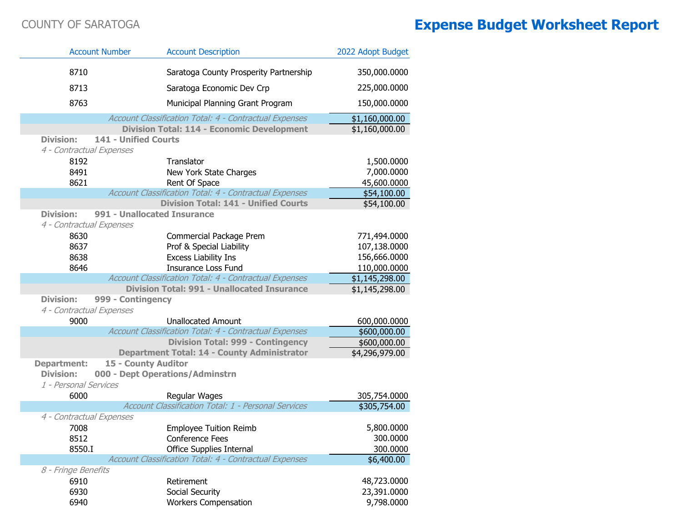|                          | <b>Account Number</b>       | <b>Account Description</b>                                | 2022 Adopt Budget              |
|--------------------------|-----------------------------|-----------------------------------------------------------|--------------------------------|
| 8710                     |                             | Saratoga County Prosperity Partnership                    | 350,000.0000                   |
| 8713                     |                             | Saratoga Economic Dev Crp                                 | 225,000.0000                   |
| 8763                     |                             | Municipal Planning Grant Program                          | 150,000.0000                   |
|                          |                             | Account Classification Total: 4 - Contractual Expenses    | \$1,160,000.00                 |
|                          |                             | <b>Division Total: 114 - Economic Development</b>         | \$1,160,000.00                 |
| <b>Division:</b>         | <b>141 - Unified Courts</b> |                                                           |                                |
| 4 - Contractual Expenses |                             |                                                           |                                |
| 8192                     |                             | Translator                                                | 1,500.0000                     |
| 8491                     |                             | New York State Charges                                    | 7,000.0000                     |
| 8621                     |                             | Rent Of Space                                             | 45,600.0000                    |
|                          |                             | Account Classification Total: 4 - Contractual Expenses    | \$54,100.00                    |
|                          |                             | <b>Division Total: 141 - Unified Courts</b>               | \$54,100.00                    |
| <b>Division:</b>         | 991 - Unallocated Insurance |                                                           |                                |
| 4 - Contractual Expenses |                             |                                                           |                                |
| 8630                     |                             | Commercial Package Prem                                   | 771,494.0000                   |
| 8637                     |                             | Prof & Special Liability                                  | 107,138.0000                   |
| 8638<br>8646             |                             | <b>Excess Liability Ins</b><br><b>Insurance Loss Fund</b> | 156,666.0000                   |
|                          |                             | Account Classification Total: 4 - Contractual Expenses    | 110,000.0000<br>\$1,145,298.00 |
|                          |                             | <b>Division Total: 991 - Unallocated Insurance</b>        | \$1,145,298.00                 |
| <b>Division:</b>         | 999 - Contingency           |                                                           |                                |
| 4 - Contractual Expenses |                             |                                                           |                                |
| 9000                     |                             | <b>Unallocated Amount</b>                                 | 600,000.0000                   |
|                          |                             | Account Classification Total: 4 - Contractual Expenses    | \$600,000.00                   |
|                          |                             | <b>Division Total: 999 - Contingency</b>                  | \$600,000.00                   |
|                          |                             | <b>Department Total: 14 - County Administrator</b>        | \$4,296,979.00                 |
| <b>Department:</b>       | 15 - County Auditor         |                                                           |                                |
| <b>Division:</b>         |                             | 000 - Dept Operations/Adminstrn                           |                                |
| 1 - Personal Services    |                             |                                                           |                                |
| 6000                     |                             | Regular Wages                                             | 305,754.0000                   |
|                          |                             | Account Classification Total: 1 - Personal Services       | \$305,754.00                   |
| 4 - Contractual Expenses |                             |                                                           |                                |
| 7008                     |                             | <b>Employee Tuition Reimb</b>                             | 5,800.0000                     |
| 8512                     |                             | <b>Conference Fees</b>                                    | 300.0000                       |
| 8550.I                   |                             | Office Supplies Internal                                  | 300.0000                       |
| 8 - Fringe Benefits      |                             | Account Classification Total: 4 - Contractual Expenses    | \$6,400.00                     |
| 6910                     |                             | Retirement                                                | 48,723.0000                    |
| 6930                     |                             | Social Security                                           | 23,391.0000                    |
| 6940                     |                             | <b>Workers Compensation</b>                               | 9,798.0000                     |
|                          |                             |                                                           |                                |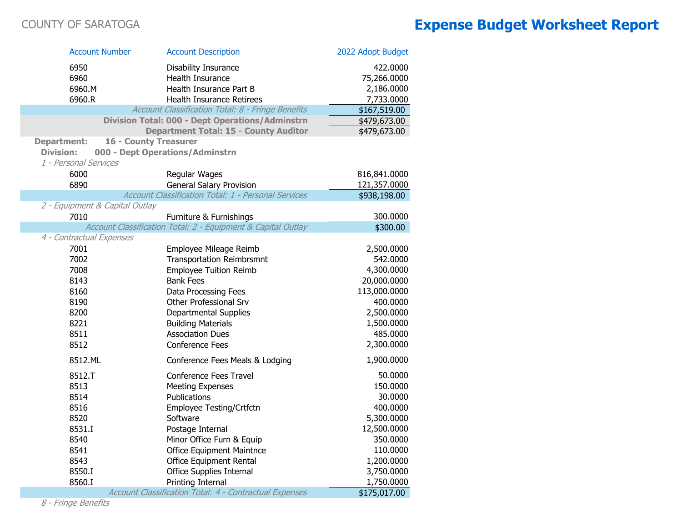| <b>Account Number</b>          |                              | <b>Account Description</b>                                    | 2022 Adopt Budget |
|--------------------------------|------------------------------|---------------------------------------------------------------|-------------------|
| 6950                           |                              | Disability Insurance                                          | 422.0000          |
| 6960                           |                              | Health Insurance                                              | 75,266.0000       |
| 6960.M                         |                              | Health Insurance Part B                                       | 2,186.0000        |
| 6960.R                         |                              | <b>Health Insurance Retirees</b>                              | 7,733.0000        |
|                                |                              | Account Classification Total: 8 - Fringe Benefits             | \$167,519.00      |
|                                |                              | <b>Division Total: 000 - Dept Operations/Adminstrn</b>        | \$479,673.00      |
|                                |                              | <b>Department Total: 15 - County Auditor</b>                  | \$479,673.00      |
| <b>Department:</b>             | <b>16 - County Treasurer</b> |                                                               |                   |
| <b>Division:</b>               |                              | 000 - Dept Operations/Adminstrn                               |                   |
| 1 - Personal Services          |                              |                                                               |                   |
| 6000                           |                              | Regular Wages                                                 | 816,841.0000      |
| 6890                           |                              | <b>General Salary Provision</b>                               | 121,357.0000      |
|                                |                              | Account Classification Total: 1 - Personal Services           | \$938,198.00      |
| 2 - Equipment & Capital Outlay |                              |                                                               |                   |
| 7010                           |                              | Furniture & Furnishings                                       | 300.0000          |
|                                |                              | Account Classification Total: 2 - Equipment & Capital Outlay  | \$300.00          |
| 4 - Contractual Expenses       |                              |                                                               |                   |
| 7001                           |                              | Employee Mileage Reimb                                        | 2,500.0000        |
| 7002                           |                              | <b>Transportation Reimbrsmnt</b>                              | 542.0000          |
| 7008                           |                              | <b>Employee Tuition Reimb</b>                                 | 4,300.0000        |
| 8143                           |                              | <b>Bank Fees</b>                                              | 20,000.0000       |
| 8160                           |                              | Data Processing Fees                                          | 113,000.0000      |
| 8190                           |                              | Other Professional Srv                                        | 400.0000          |
| 8200                           |                              | <b>Departmental Supplies</b>                                  | 2,500.0000        |
| 8221                           |                              | <b>Building Materials</b>                                     | 1,500.0000        |
| 8511                           |                              | <b>Association Dues</b>                                       | 485.0000          |
| 8512                           |                              | <b>Conference Fees</b>                                        | 2,300.0000        |
| 8512.ML                        |                              | Conference Fees Meals & Lodging                               | 1,900.0000        |
| 8512.T                         |                              | <b>Conference Fees Travel</b>                                 | 50.0000           |
| 8513                           |                              | <b>Meeting Expenses</b>                                       | 150.0000          |
| 8514                           |                              | Publications                                                  | 30.0000           |
| 8516                           |                              | Employee Testing/Crtfctn                                      | 400.0000          |
| 8520                           |                              | Software                                                      | 5,300.0000        |
| 8531.I                         |                              | Postage Internal                                              | 12,500.0000       |
| 8540                           |                              | Minor Office Furn & Equip                                     | 350.0000          |
| 8541                           |                              | <b>Office Equipment Maintnce</b>                              | 110.0000          |
| 8543                           |                              | Office Equipment Rental                                       | 1,200.0000        |
| 8550.I                         |                              | Office Supplies Internal                                      | 3,750.0000        |
| 8560.I                         |                              | Printing Internal                                             | 1,750.0000        |
|                                |                              | <b>Account Classification Total: 4 - Contractual Expenses</b> | \$175,017.00      |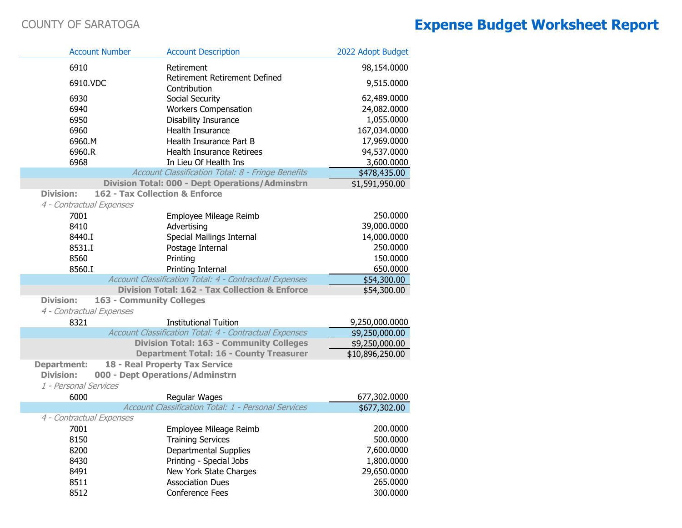| <b>Account Number</b>    |                                 | <b>Account Description</b>                                | 2022 Adopt Budget |
|--------------------------|---------------------------------|-----------------------------------------------------------|-------------------|
| 6910                     |                                 | Retirement                                                | 98,154.0000       |
| 6910.VDC                 |                                 | <b>Retirement Retirement Defined</b><br>Contribution      | 9,515.0000        |
| 6930                     |                                 | Social Security                                           | 62,489.0000       |
| 6940                     |                                 | <b>Workers Compensation</b>                               | 24,082.0000       |
| 6950                     |                                 | Disability Insurance                                      | 1,055.0000        |
| 6960                     |                                 | Health Insurance                                          | 167,034.0000      |
| 6960.M                   |                                 | Health Insurance Part B                                   | 17,969.0000       |
| 6960.R                   |                                 | <b>Health Insurance Retirees</b>                          | 94,537.0000       |
| 6968                     |                                 | In Lieu Of Health Ins                                     | 3,600.0000        |
|                          |                                 | Account Classification Total: 8 - Fringe Benefits         | \$478,435.00      |
|                          |                                 | <b>Division Total: 000 - Dept Operations/Adminstrn</b>    | \$1,591,950.00    |
| <b>Division:</b>         |                                 | 162 - Tax Collection & Enforce                            |                   |
| 4 - Contractual Expenses |                                 |                                                           |                   |
| 7001                     |                                 | Employee Mileage Reimb                                    | 250.0000          |
| 8410                     |                                 | Advertising                                               | 39,000.0000       |
| 8440.I                   |                                 | <b>Special Mailings Internal</b>                          | 14,000.0000       |
| 8531.I                   |                                 | Postage Internal                                          | 250.0000          |
| 8560                     |                                 | Printing                                                  | 150.0000          |
| 8560.I                   |                                 | Printing Internal                                         | 650.0000          |
|                          |                                 | Account Classification Total: 4 - Contractual Expenses    | \$54,300.00       |
|                          |                                 | <b>Division Total: 162 - Tax Collection &amp; Enforce</b> | \$54,300.00       |
| <b>Division:</b>         | <b>163 - Community Colleges</b> |                                                           |                   |
| 4 - Contractual Expenses |                                 |                                                           |                   |
| 8321                     |                                 | <b>Institutional Tuition</b>                              | 9,250,000.0000    |
|                          |                                 | Account Classification Total: 4 - Contractual Expenses    | \$9,250,000.00    |
|                          |                                 | <b>Division Total: 163 - Community Colleges</b>           | \$9,250,000.00    |
|                          |                                 | <b>Department Total: 16 - County Treasurer</b>            | \$10,896,250.00   |
| <b>Department:</b>       |                                 | 18 - Real Property Tax Service                            |                   |
| <b>Division:</b>         |                                 | 000 - Dept Operations/Adminstrn                           |                   |
| 1 - Personal Services    |                                 |                                                           |                   |
| 6000                     |                                 | Regular Wages                                             | 677,302.0000      |
|                          |                                 | Account Classification Total: 1 - Personal Services       | \$677,302.00      |
| 4 - Contractual Expenses |                                 |                                                           |                   |
| 7001                     |                                 | Employee Mileage Reimb                                    | 200.0000          |
| 8150                     |                                 | <b>Training Services</b>                                  | 500.0000          |
| 8200                     |                                 | Departmental Supplies                                     | 7,600.0000        |
| 8430                     |                                 | Printing - Special Jobs                                   | 1,800.0000        |
| 8491                     |                                 | New York State Charges                                    | 29,650.0000       |
| 8511                     |                                 | <b>Association Dues</b>                                   | 265.0000          |
| 8512                     |                                 | Conference Fees                                           | 300.0000          |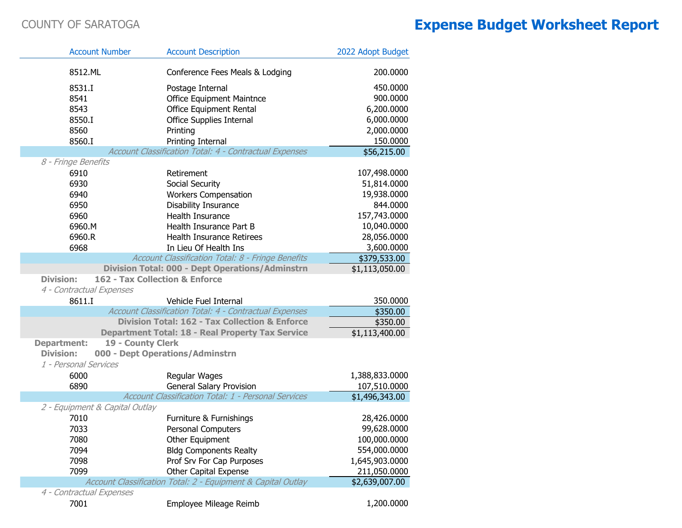| <b>Account Number</b>          | <b>Account Description</b>                                   | 2022 Adopt Budget |
|--------------------------------|--------------------------------------------------------------|-------------------|
| 8512.ML                        | Conference Fees Meals & Lodging                              | 200.0000          |
| 8531.I                         | Postage Internal                                             | 450.0000          |
| 8541                           | <b>Office Equipment Maintnce</b>                             | 900.0000          |
| 8543                           | Office Equipment Rental                                      | 6,200.0000        |
| 8550.I                         | Office Supplies Internal                                     | 6,000.0000        |
| 8560                           | Printing                                                     | 2,000.0000        |
| 8560.I                         | Printing Internal                                            | 150.0000          |
|                                | Account Classification Total: 4 - Contractual Expenses       | \$56,215.00       |
| 8 - Fringe Benefits            |                                                              |                   |
| 6910                           | Retirement                                                   | 107,498.0000      |
| 6930                           | Social Security                                              | 51,814.0000       |
| 6940                           | <b>Workers Compensation</b>                                  | 19,938.0000       |
| 6950                           | Disability Insurance                                         | 844.0000          |
| 6960                           | Health Insurance                                             | 157,743.0000      |
| 6960.M                         | Health Insurance Part B                                      | 10,040.0000       |
| 6960.R                         | Health Insurance Retirees                                    | 28,056.0000       |
| 6968                           | In Lieu Of Health Ins                                        | 3,600.0000        |
|                                | Account Classification Total: 8 - Fringe Benefits            | \$379,533.00      |
|                                | <b>Division Total: 000 - Dept Operations/Adminstrn</b>       | \$1,113,050.00    |
| <b>Division:</b>               | 162 - Tax Collection & Enforce                               |                   |
| 4 - Contractual Expenses       |                                                              |                   |
| 8611.I                         | Vehicle Fuel Internal                                        | 350.0000          |
|                                | Account Classification Total: 4 - Contractual Expenses       | \$350.00          |
|                                | <b>Division Total: 162 - Tax Collection &amp; Enforce</b>    | \$350.00          |
|                                | <b>Department Total: 18 - Real Property Tax Service</b>      | \$1,113,400.00    |
| <b>Department:</b>             | 19 - County Clerk                                            |                   |
| <b>Division:</b>               | 000 - Dept Operations/Adminstrn                              |                   |
| 1 - Personal Services          |                                                              |                   |
| 6000                           | Regular Wages                                                | 1,388,833.0000    |
| 6890                           | <b>General Salary Provision</b>                              | 107,510.0000      |
|                                | Account Classification Total: 1 - Personal Services          | \$1,496,343.00    |
| 2 - Equipment & Capital Outlay |                                                              |                   |
| 7010                           | Furniture & Furnishings                                      | 28,426.0000       |
| 7033                           | Personal Computers                                           | 99,628.0000       |
| 7080                           | Other Equipment                                              | 100,000.0000      |
| 7094                           | <b>Bldg Components Realty</b>                                | 554,000.0000      |
| 7098                           | Prof Srv For Cap Purposes                                    | 1,645,903.0000    |
| 7099                           | Other Capital Expense                                        | 211,050.0000      |
|                                | Account Classification Total: 2 - Equipment & Capital Outlay | \$2,639,007.00    |
| 4 - Contractual Expenses       |                                                              |                   |
| 7001                           | Employee Mileage Reimb                                       | 1,200.0000        |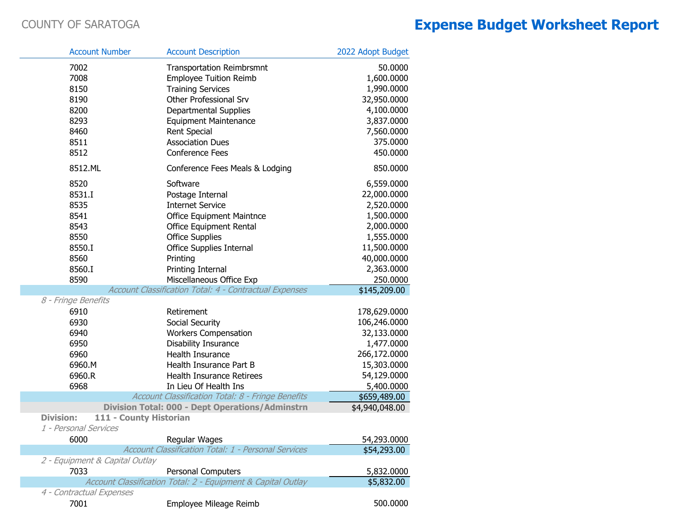|                  | <b>Account Number</b>                           | <b>Account Description</b>                                   | 2022 Adopt Budget |
|------------------|-------------------------------------------------|--------------------------------------------------------------|-------------------|
|                  | 7002                                            | <b>Transportation Reimbrsmnt</b>                             | 50.0000           |
|                  | 7008                                            | <b>Employee Tuition Reimb</b>                                | 1,600.0000        |
|                  | 8150                                            | <b>Training Services</b>                                     | 1,990.0000        |
|                  | 8190                                            | Other Professional Srv                                       | 32,950.0000       |
|                  | 8200                                            | Departmental Supplies                                        | 4,100.0000        |
|                  | 8293                                            | <b>Equipment Maintenance</b>                                 | 3,837.0000        |
|                  | 8460                                            | <b>Rent Special</b>                                          | 7,560.0000        |
|                  | 8511                                            | <b>Association Dues</b>                                      | 375.0000          |
|                  | 8512                                            | <b>Conference Fees</b>                                       | 450.0000          |
|                  | 8512.ML                                         | Conference Fees Meals & Lodging                              | 850.0000          |
|                  | 8520                                            | Software                                                     | 6,559.0000        |
|                  | 8531.I                                          | Postage Internal                                             | 22,000.0000       |
|                  | 8535                                            | <b>Internet Service</b>                                      | 2,520.0000        |
|                  | 8541                                            | <b>Office Equipment Maintnce</b>                             | 1,500.0000        |
|                  | 8543                                            | <b>Office Equipment Rental</b>                               | 2,000.0000        |
|                  | 8550                                            | <b>Office Supplies</b>                                       | 1,555.0000        |
|                  | 8550.I                                          | Office Supplies Internal                                     | 11,500.0000       |
|                  | 8560                                            | Printing                                                     | 40,000.0000       |
|                  | 8560.I                                          | Printing Internal                                            | 2,363.0000        |
|                  | 8590                                            | Miscellaneous Office Exp                                     | 250.0000          |
|                  |                                                 | Account Classification Total: 4 - Contractual Expenses       | \$145,209.00      |
|                  | 8 - Fringe Benefits                             |                                                              |                   |
|                  | 6910                                            | Retirement                                                   | 178,629.0000      |
|                  | 6930                                            | Social Security                                              | 106,246.0000      |
|                  | 6940                                            | <b>Workers Compensation</b>                                  | 32,133.0000       |
|                  | 6950                                            | Disability Insurance                                         | 1,477.0000        |
|                  | 6960                                            | Health Insurance                                             | 266,172.0000      |
|                  | 6960.M                                          | Health Insurance Part B                                      | 15,303.0000       |
|                  | 6960.R                                          | Health Insurance Retirees                                    | 54,129.0000       |
|                  | 6968                                            | In Lieu Of Health Ins                                        | 5,400.0000        |
|                  |                                                 | Account Classification Total: 8 - Fringe Benefits            | \$659,489.00      |
|                  |                                                 | <b>Division Total: 000 - Dept Operations/Adminstrn</b>       | \$4,940,048.00    |
| <b>Division:</b> | 111 - County Historian<br>1 - Personal Services |                                                              |                   |
|                  | 6000                                            | Regular Wages                                                | 54,293.0000       |
|                  |                                                 | <b>Account Classification Total: 1 - Personal Services</b>   | \$54,293.00       |
|                  | 2 - Equipment & Capital Outlay                  |                                                              |                   |
|                  | 7033                                            | Personal Computers                                           | 5,832.0000        |
|                  |                                                 | Account Classification Total: 2 - Equipment & Capital Outlay | \$5,832.00        |
|                  | 4 - Contractual Expenses                        |                                                              |                   |
|                  | 7001                                            | Employee Mileage Reimb                                       | 500.0000          |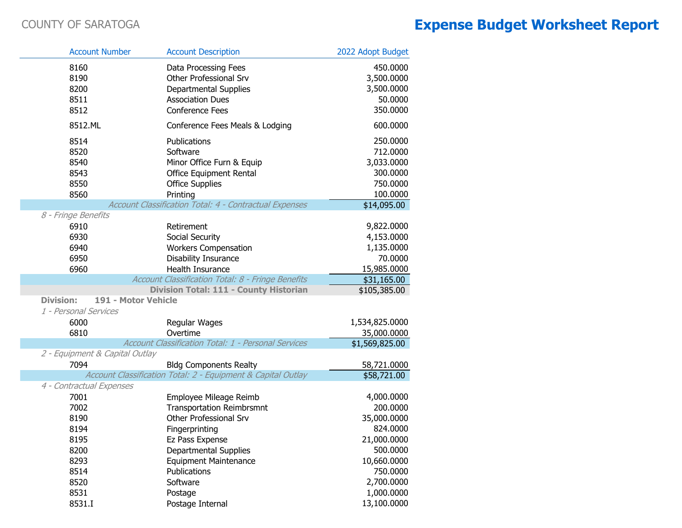| <b>Account Number</b>                               |                     | <b>Account Description</b>                                                                                             | 2022 Adopt Budget                                                      |
|-----------------------------------------------------|---------------------|------------------------------------------------------------------------------------------------------------------------|------------------------------------------------------------------------|
| 8160<br>8190<br>8200<br>8511                        |                     | Data Processing Fees<br>Other Professional Srv<br>Departmental Supplies<br><b>Association Dues</b>                     | 450.0000<br>3,500.0000<br>3,500.0000<br>50.0000<br>350.0000            |
| 8512<br>8512.ML                                     |                     | <b>Conference Fees</b><br>Conference Fees Meals & Lodging                                                              | 600.0000                                                               |
| 8514<br>8520<br>8540<br>8543<br>8550<br>8560        |                     | Publications<br>Software<br>Minor Office Furn & Equip<br>Office Equipment Rental<br><b>Office Supplies</b><br>Printing | 250.0000<br>712.0000<br>3,033.0000<br>300.0000<br>750.0000<br>100.0000 |
|                                                     |                     | Account Classification Total: 4 - Contractual Expenses                                                                 | \$14,095.00                                                            |
| 8 - Fringe Benefits<br>6910<br>6930<br>6940<br>6950 |                     | Retirement<br>Social Security<br><b>Workers Compensation</b><br><b>Disability Insurance</b>                            | 9,822.0000<br>4,153.0000<br>1,135.0000<br>70.0000                      |
| 6960                                                |                     | <b>Health Insurance</b>                                                                                                | 15,985.0000                                                            |
|                                                     |                     | Account Classification Total: 8 - Fringe Benefits                                                                      | \$31,165.00                                                            |
| <b>Division:</b><br>1 - Personal Services           | 191 - Motor Vehicle | Division Total: 111 - County Historian                                                                                 | \$105,385.00                                                           |
| 6000<br>6810                                        |                     | Regular Wages<br>Overtime                                                                                              | 1,534,825.0000<br>35,000.0000                                          |
|                                                     |                     | Account Classification Total: 1 - Personal Services                                                                    | $\overline{$1,569,825.00}$                                             |
| 2 - Equipment & Capital Outlay<br>7094              |                     | <b>Bldg Components Realty</b>                                                                                          | 58,721.0000                                                            |
|                                                     |                     | Account Classification Total: 2 - Equipment & Capital Outlay                                                           | \$58,721.00                                                            |
| 4 - Contractual Expenses                            |                     |                                                                                                                        |                                                                        |
| 7001                                                |                     | Employee Mileage Reimb                                                                                                 | 4,000.0000                                                             |
| 7002                                                |                     | <b>Transportation Reimbrsmnt</b>                                                                                       | 200.0000                                                               |
| 8190                                                |                     | Other Professional Srv                                                                                                 | 35,000.0000                                                            |
| 8194                                                |                     | Fingerprinting                                                                                                         | 824.0000                                                               |
| 8195                                                |                     | Ez Pass Expense                                                                                                        | 21,000.0000                                                            |
| 8200                                                |                     | Departmental Supplies                                                                                                  | 500.0000<br>10,660.0000                                                |
| 8293<br>8514                                        |                     | <b>Equipment Maintenance</b><br>Publications                                                                           | 750.0000                                                               |
| 8520                                                |                     | Software                                                                                                               | 2,700.0000                                                             |
| 8531                                                |                     | Postage                                                                                                                | 1,000.0000                                                             |
| 8531.I                                              |                     | Postage Internal                                                                                                       | 13,100.0000                                                            |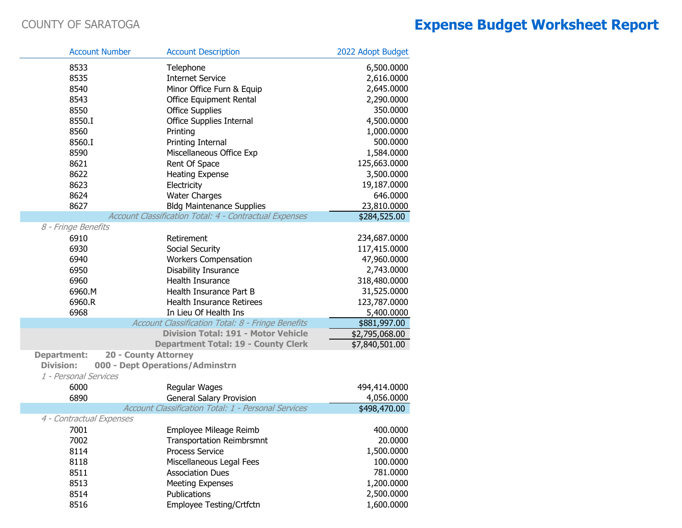| <b>Account Number</b>    | <b>Account Description</b>                             | 2022 Adopt Budget |
|--------------------------|--------------------------------------------------------|-------------------|
| 8533                     | Telephone                                              | 6,500.0000        |
| 8535                     | <b>Internet Service</b>                                | 2,616.0000        |
| 8540                     | Minor Office Furn & Equip                              | 2,645.0000        |
| 8543                     | <b>Office Equipment Rental</b>                         | 2,290.0000        |
| 8550                     | <b>Office Supplies</b>                                 | 350.0000          |
| 8550.I                   | Office Supplies Internal                               | 4,500.0000        |
| 8560                     | Printing                                               | 1,000.0000        |
| 8560.I                   | Printing Internal                                      | 500.0000          |
| 8590                     | Miscellaneous Office Exp                               | 1,584.0000        |
| 8621                     | Rent Of Space                                          | 125,663.0000      |
| 8622                     | <b>Heating Expense</b>                                 | 3,500.0000        |
| 8623                     | Electricity                                            | 19,187.0000       |
| 8624                     | <b>Water Charges</b>                                   | 646.0000          |
| 8627                     | <b>Bldg Maintenance Supplies</b>                       | 23,810.0000       |
|                          | Account Classification Total: 4 - Contractual Expenses | \$284,525.00      |
| 8 - Fringe Benefits      |                                                        |                   |
| 6910                     | Retirement                                             | 234,687.0000      |
| 6930                     | Social Security                                        | 117,415.0000      |
| 6940                     | <b>Workers Compensation</b>                            | 47,960.0000       |
| 6950                     | <b>Disability Insurance</b>                            | 2,743.0000        |
| 6960                     | Health Insurance                                       | 318,480.0000      |
| 6960.M                   | Health Insurance Part B                                | 31,525.0000       |
| 6960.R                   | Health Insurance Retirees                              | 123,787.0000      |
| 6968                     | In Lieu Of Health Ins                                  | 5,400.0000        |
|                          | Account Classification Total: 8 - Fringe Benefits      | \$881,997.00      |
|                          | <b>Division Total: 191 - Motor Vehicle</b>             | \$2,795,068.00    |
|                          | <b>Department Total: 19 - County Clerk</b>             | \$7,840,501.00    |
| <b>Department:</b>       | <b>20 - County Attorney</b>                            |                   |
| <b>Division:</b>         | 000 - Dept Operations/Adminstrn                        |                   |
| 1 - Personal Services    |                                                        |                   |
| 6000                     | Regular Wages                                          | 494,414.0000      |
| 6890                     | <b>General Salary Provision</b>                        | 4,056.0000        |
|                          | Account Classification Total: 1 - Personal Services    | \$498,470.00      |
| 4 - Contractual Expenses |                                                        |                   |
| 7001                     | Employee Mileage Reimb                                 | 400.0000          |
| 7002                     | <b>Transportation Reimbrsmnt</b>                       | 20.0000           |
| 8114                     | <b>Process Service</b>                                 | 1,500.0000        |
| 8118                     | Miscellaneous Legal Fees                               | 100.0000          |
| 8511                     | <b>Association Dues</b>                                | 781.0000          |
| 8513                     | <b>Meeting Expenses</b>                                | 1,200.0000        |
| 8514                     | Publications                                           | 2,500.0000        |
| 8516                     | Employee Testing/Crtfctn                               | 1,600.0000        |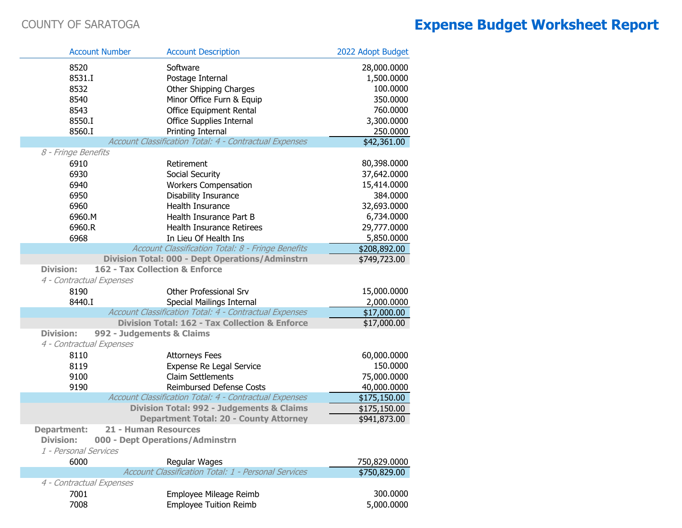r.

|                                        | <b>Account Number</b>          | <b>Account Description</b>                                                  | 2022 Adopt Budget            |
|----------------------------------------|--------------------------------|-----------------------------------------------------------------------------|------------------------------|
| 8520                                   |                                | Software                                                                    | 28,000.0000                  |
| 8531.I                                 |                                | Postage Internal                                                            | 1,500.0000                   |
| 8532                                   |                                | Other Shipping Charges                                                      | 100.0000                     |
| 8540                                   |                                | Minor Office Furn & Equip                                                   | 350.0000                     |
| 8543                                   |                                | <b>Office Equipment Rental</b>                                              | 760.0000                     |
| 8550.I                                 |                                | <b>Office Supplies Internal</b>                                             | 3,300.0000                   |
| 8560.I                                 |                                | Printing Internal                                                           | 250.0000                     |
|                                        |                                | Account Classification Total: 4 - Contractual Expenses                      | \$42,361.00                  |
| 8 - Fringe Benefits                    |                                |                                                                             |                              |
| 6910                                   |                                | Retirement                                                                  | 80,398.0000                  |
| 6930                                   |                                | Social Security                                                             | 37,642.0000                  |
| 6940                                   |                                | <b>Workers Compensation</b>                                                 | 15,414.0000                  |
| 6950                                   |                                | Disability Insurance                                                        | 384.0000                     |
| 6960                                   |                                | Health Insurance                                                            | 32,693.0000                  |
| 6960.M                                 |                                | Health Insurance Part B                                                     | 6,734.0000                   |
| 6960.R                                 |                                | <b>Health Insurance Retirees</b>                                            | 29,777.0000                  |
| 6968                                   |                                | In Lieu Of Health Ins                                                       | 5,850.0000                   |
|                                        |                                | Account Classification Total: 8 - Fringe Benefits                           | \$208,892.00                 |
|                                        |                                | <b>Division Total: 000 - Dept Operations/Adminstrn</b>                      | \$749,723.00                 |
| <b>Division:</b>                       | 162 - Tax Collection & Enforce |                                                                             |                              |
| 4 - Contractual Expenses               |                                |                                                                             |                              |
| 8190                                   |                                | <b>Other Professional Srv</b>                                               | 15,000.0000                  |
| 8440.I                                 |                                | Special Mailings Internal                                                   | 2,000.0000                   |
|                                        |                                | Account Classification Total: 4 - Contractual Expenses                      | \$17,000.00                  |
|                                        |                                | <b>Division Total: 162 - Tax Collection &amp; Enforce</b>                   | \$17,000.00                  |
| <b>Division:</b>                       | 992 - Judgements & Claims      |                                                                             |                              |
| 4 - Contractual Expenses               |                                |                                                                             |                              |
| 8110                                   |                                | <b>Attorneys Fees</b>                                                       | 60,000.0000                  |
| 8119                                   |                                |                                                                             | 150.0000                     |
| 9100                                   |                                | Expense Re Legal Service<br><b>Claim Settlements</b>                        | 75,000.0000                  |
| 9190                                   |                                | Reimbursed Defense Costs                                                    | 40,000.0000                  |
|                                        |                                | Account Classification Total: 4 - Contractual Expenses                      | \$175,150.00                 |
|                                        |                                | <b>Division Total: 992 - Judgements &amp; Claims</b>                        |                              |
|                                        |                                | <b>Department Total: 20 - County Attorney</b>                               | \$175,150.00                 |
|                                        | 21 - Human Resources           |                                                                             | \$941,873.00                 |
| <b>Department:</b><br><b>Division:</b> |                                | 000 - Dept Operations/Adminstrn                                             |                              |
| 1 - Personal Services                  |                                |                                                                             |                              |
|                                        |                                |                                                                             |                              |
| 6000                                   |                                | Regular Wages<br><b>Account Classification Total: 1 - Personal Services</b> | 750,829.0000<br>\$750,829.00 |
|                                        |                                |                                                                             |                              |
| 4 - Contractual Expenses               |                                |                                                                             |                              |
| 7001                                   |                                | Employee Mileage Reimb                                                      | 300.0000                     |
| 7008                                   |                                | <b>Employee Tuition Reimb</b>                                               | 5,000.0000                   |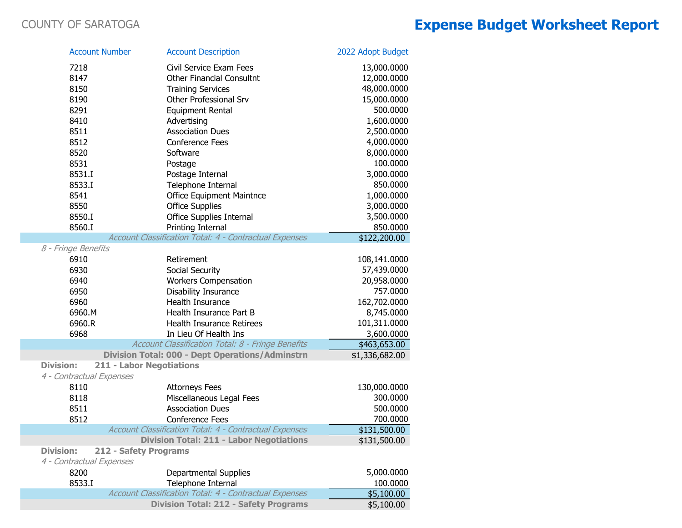| <b>Account Number</b>    | <b>Account Description</b>                             | 2022 Adopt Budget |
|--------------------------|--------------------------------------------------------|-------------------|
| 7218                     | Civil Service Exam Fees                                | 13,000.0000       |
| 8147                     | <b>Other Financial Consultnt</b>                       | 12,000.0000       |
| 8150                     | <b>Training Services</b>                               | 48,000.0000       |
| 8190                     | Other Professional Srv                                 | 15,000.0000       |
| 8291                     | Equipment Rental                                       | 500.0000          |
| 8410                     | Advertising                                            | 1,600.0000        |
| 8511                     | <b>Association Dues</b>                                | 2,500.0000        |
| 8512                     | <b>Conference Fees</b>                                 | 4,000.0000        |
| 8520                     | Software                                               | 8,000.0000        |
| 8531                     | Postage                                                | 100.0000          |
| 8531.I                   | Postage Internal                                       | 3,000.0000        |
| 8533.I                   | Telephone Internal                                     | 850.0000          |
| 8541                     | Office Equipment Maintnce                              | 1,000.0000        |
| 8550                     | <b>Office Supplies</b>                                 | 3,000.0000        |
| 8550.I                   | Office Supplies Internal                               | 3,500.0000        |
| 8560.I                   | Printing Internal                                      | 850.0000          |
|                          | Account Classification Total: 4 - Contractual Expenses | \$122,200.00      |
| 8 - Fringe Benefits      |                                                        |                   |
| 6910                     | Retirement                                             | 108,141.0000      |
| 6930                     | Social Security                                        | 57,439.0000       |
| 6940                     | <b>Workers Compensation</b>                            | 20,958.0000       |
| 6950                     | <b>Disability Insurance</b>                            | 757.0000          |
| 6960                     | Health Insurance                                       | 162,702.0000      |
| 6960.M                   | Health Insurance Part B                                | 8,745.0000        |
| 6960.R                   | <b>Health Insurance Retirees</b>                       | 101,311.0000      |
| 6968                     | In Lieu Of Health Ins                                  | 3,600.0000        |
|                          | Account Classification Total: 8 - Fringe Benefits      | \$463,653.00      |
|                          | <b>Division Total: 000 - Dept Operations/Adminstrn</b> | \$1,336,682.00    |
| <b>Division:</b>         | <b>211 - Labor Negotiations</b>                        |                   |
| 4 - Contractual Expenses |                                                        |                   |
| 8110                     | <b>Attorneys Fees</b>                                  | 130,000.0000      |
| 8118                     | Miscellaneous Legal Fees                               | 300.0000          |
| 8511                     | <b>Association Dues</b>                                | 500.0000          |
| 8512                     | Conference Fees                                        | 700.0000          |
|                          | Account Classification Total: 4 - Contractual Expenses | \$131,500.00      |
|                          | <b>Division Total: 211 - Labor Negotiations</b>        | \$131,500.00      |
| <b>Division:</b>         | 212 - Safety Programs                                  |                   |
| 4 - Contractual Expenses |                                                        |                   |
| 8200                     | Departmental Supplies                                  | 5,000.0000        |
| 8533.I                   | Telephone Internal                                     | 100.0000          |
|                          | Account Classification Total: 4 - Contractual Expenses | \$5,100.00        |
|                          | <b>Division Total: 212 - Safety Programs</b>           | \$5,100.00        |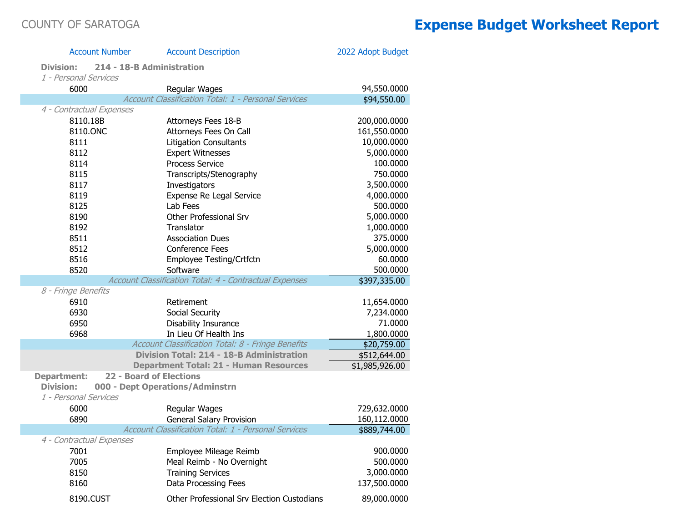| <b>Account Number</b>    | <b>Account Description</b>                             | 2022 Adopt Budget |
|--------------------------|--------------------------------------------------------|-------------------|
| Division:                | 214 - 18-B Administration                              |                   |
| 1 - Personal Services    |                                                        |                   |
| 6000                     | Regular Wages                                          | 94,550.0000       |
|                          | Account Classification Total: 1 - Personal Services    | \$94,550.00       |
| 4 - Contractual Expenses |                                                        |                   |
| 8110.18B                 | Attorneys Fees 18-B                                    | 200,000.0000      |
| 8110.ONC                 | Attorneys Fees On Call                                 | 161,550.0000      |
| 8111                     | <b>Litigation Consultants</b>                          | 10,000.0000       |
| 8112                     | <b>Expert Witnesses</b>                                | 5,000.0000        |
| 8114                     | <b>Process Service</b>                                 | 100.0000          |
| 8115                     | Transcripts/Stenography                                | 750.0000          |
| 8117                     | Investigators                                          | 3,500.0000        |
| 8119                     | Expense Re Legal Service                               | 4,000.0000        |
| 8125                     | Lab Fees                                               | 500.0000          |
| 8190                     | Other Professional Srv                                 | 5,000.0000        |
| 8192                     | Translator                                             | 1,000.0000        |
| 8511                     | <b>Association Dues</b>                                | 375.0000          |
| 8512                     | <b>Conference Fees</b>                                 | 5,000.0000        |
| 8516                     | Employee Testing/Crtfctn                               | 60.0000           |
| 8520                     | Software                                               | 500.0000          |
|                          | Account Classification Total: 4 - Contractual Expenses | \$397,335.00      |
| 8 - Fringe Benefits      |                                                        |                   |
| 6910                     | Retirement                                             | 11,654.0000       |
| 6930                     | Social Security                                        | 7,234.0000        |
| 6950                     | Disability Insurance                                   | 71.0000           |
| 6968                     | In Lieu Of Health Ins                                  | 1,800.0000        |
|                          | Account Classification Total: 8 - Fringe Benefits      | \$20,759.00       |
|                          | Division Total: 214 - 18-B Administration              | \$512,644.00      |
|                          | <b>Department Total: 21 - Human Resources</b>          | \$1,985,926.00    |
| <b>Department:</b>       | <b>22 - Board of Elections</b>                         |                   |
| <b>Division:</b>         | 000 - Dept Operations/Adminstrn                        |                   |
| 1 - Personal Services    |                                                        |                   |
| 6000                     | Regular Wages                                          | 729,632.0000      |
| 6890                     | <b>General Salary Provision</b>                        | 160,112.0000      |
|                          | Account Classification Total: 1 - Personal Services    | \$889,744.00      |
| 4 - Contractual Expenses |                                                        |                   |
| 7001                     | Employee Mileage Reimb                                 | 900.0000          |
| 7005                     | Meal Reimb - No Overnight                              | 500.0000          |
| 8150                     | <b>Training Services</b>                               | 3,000.0000        |
| 8160                     | Data Processing Fees                                   | 137,500.0000      |
| 8190.CUST                | Other Professional Srv Election Custodians             | 89,000.0000       |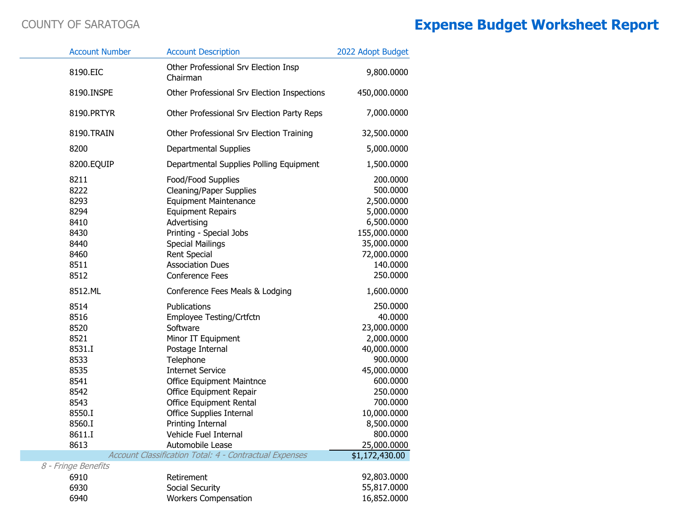|                     | <b>Account Number</b>                                                                                                | <b>Account Description</b>                                                                                                                                                                                                                                                                                                     | 2022 Adopt Budget                                                                                                                                                                      |
|---------------------|----------------------------------------------------------------------------------------------------------------------|--------------------------------------------------------------------------------------------------------------------------------------------------------------------------------------------------------------------------------------------------------------------------------------------------------------------------------|----------------------------------------------------------------------------------------------------------------------------------------------------------------------------------------|
|                     | 8190.EIC                                                                                                             | Other Professional Srv Election Insp<br>Chairman                                                                                                                                                                                                                                                                               | 9,800.0000                                                                                                                                                                             |
|                     | 8190.INSPE                                                                                                           | Other Professional Srv Election Inspections                                                                                                                                                                                                                                                                                    | 450,000.0000                                                                                                                                                                           |
|                     | 8190.PRTYR                                                                                                           | Other Professional Srv Election Party Reps                                                                                                                                                                                                                                                                                     | 7,000.0000                                                                                                                                                                             |
|                     | 8190.TRAIN                                                                                                           | Other Professional Srv Election Training                                                                                                                                                                                                                                                                                       | 32,500.0000                                                                                                                                                                            |
|                     | 8200                                                                                                                 | Departmental Supplies                                                                                                                                                                                                                                                                                                          | 5,000.0000                                                                                                                                                                             |
|                     | 8200.EQUIP                                                                                                           | Departmental Supplies Polling Equipment                                                                                                                                                                                                                                                                                        | 1,500.0000                                                                                                                                                                             |
|                     | 8211<br>8222<br>8293<br>8294<br>8410<br>8430<br>8440<br>8460<br>8511<br>8512                                         | Food/Food Supplies<br><b>Cleaning/Paper Supplies</b><br><b>Equipment Maintenance</b><br><b>Equipment Repairs</b><br>Advertising<br>Printing - Special Jobs<br><b>Special Mailings</b><br><b>Rent Special</b><br><b>Association Dues</b><br><b>Conference Fees</b>                                                              | 200.0000<br>500.0000<br>2,500.0000<br>5,000.0000<br>6,500.0000<br>155,000.0000<br>35,000.0000<br>72,000.0000<br>140.0000<br>250.0000                                                   |
|                     | 8512.ML                                                                                                              | Conference Fees Meals & Lodging                                                                                                                                                                                                                                                                                                | 1,600.0000                                                                                                                                                                             |
|                     | 8514<br>8516<br>8520<br>8521<br>8531.I<br>8533<br>8535<br>8541<br>8542<br>8543<br>8550.I<br>8560.I<br>8611.I<br>8613 | Publications<br>Employee Testing/Crtfctn<br>Software<br>Minor IT Equipment<br>Postage Internal<br>Telephone<br><b>Internet Service</b><br><b>Office Equipment Maintnce</b><br>Office Equipment Repair<br>Office Equipment Rental<br>Office Supplies Internal<br>Printing Internal<br>Vehicle Fuel Internal<br>Automobile Lease | 250.0000<br>40.0000<br>23,000.0000<br>2,000.0000<br>40,000.0000<br>900.0000<br>45,000.0000<br>600.0000<br>250.0000<br>700.0000<br>10,000.0000<br>8,500.0000<br>800.0000<br>25,000.0000 |
|                     |                                                                                                                      | Account Classification Total: 4 - Contractual Expenses                                                                                                                                                                                                                                                                         | \$1,172,430.00                                                                                                                                                                         |
| 8 - Fringe Benefits | 6910<br>6930<br>6940                                                                                                 | Retirement<br>Social Security<br><b>Workers Compensation</b>                                                                                                                                                                                                                                                                   | 92,803.0000<br>55,817.0000<br>16,852.0000                                                                                                                                              |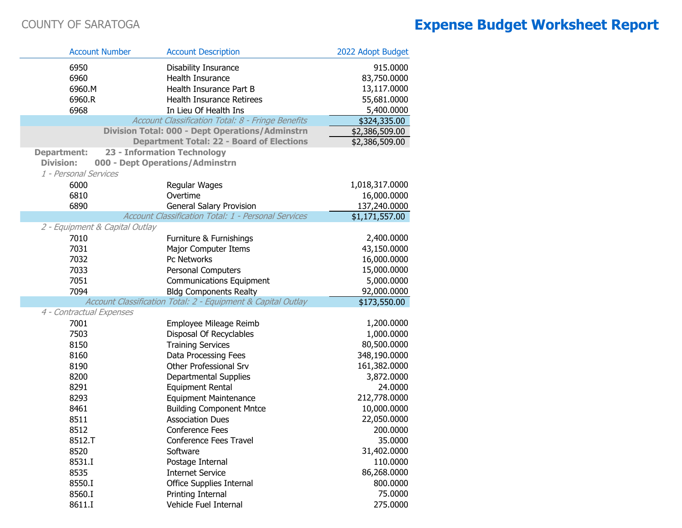| <b>Account Number</b>          | <b>Account Description</b>                                   | 2022 Adopt Budget |
|--------------------------------|--------------------------------------------------------------|-------------------|
| 6950                           | Disability Insurance                                         | 915.0000          |
| 6960                           | Health Insurance                                             | 83,750.0000       |
| 6960.M                         | Health Insurance Part B                                      | 13,117.0000       |
| 6960.R                         | <b>Health Insurance Retirees</b>                             | 55,681.0000       |
| 6968                           | In Lieu Of Health Ins                                        | 5,400.0000        |
|                                | Account Classification Total: 8 - Fringe Benefits            | \$324,335.00      |
|                                | <b>Division Total: 000 - Dept Operations/Adminstrn</b>       | \$2,386,509.00    |
|                                | <b>Department Total: 22 - Board of Elections</b>             | \$2,386,509.00    |
| <b>Department:</b>             | 23 - Information Technology                                  |                   |
| <b>Division:</b>               | 000 - Dept Operations/Adminstrn                              |                   |
| 1 - Personal Services          |                                                              |                   |
| 6000                           | Regular Wages                                                | 1,018,317.0000    |
| 6810                           | Overtime                                                     | 16,000.0000       |
| 6890                           | General Salary Provision                                     | 137,240.0000      |
|                                | <b>Account Classification Total: 1 - Personal Services</b>   | \$1,171,557.00    |
| 2 - Equipment & Capital Outlay |                                                              |                   |
| 7010                           | Furniture & Furnishings                                      | 2,400.0000        |
| 7031                           | Major Computer Items                                         | 43,150.0000       |
| 7032                           | Pc Networks                                                  | 16,000.0000       |
| 7033                           | Personal Computers                                           | 15,000.0000       |
| 7051                           | <b>Communications Equipment</b>                              | 5,000.0000        |
| 7094                           | <b>Bldg Components Realty</b>                                | 92,000.0000       |
| 4 - Contractual Expenses       | Account Classification Total: 2 - Equipment & Capital Outlay | \$173,550.00      |
| 7001                           | Employee Mileage Reimb                                       | 1,200.0000        |
| 7503                           | Disposal Of Recyclables                                      | 1,000.0000        |
| 8150                           | <b>Training Services</b>                                     | 80,500.0000       |
| 8160                           | Data Processing Fees                                         | 348,190.0000      |
| 8190                           | Other Professional Srv                                       | 161,382.0000      |
| 8200                           | Departmental Supplies                                        | 3,872.0000        |
| 8291                           | <b>Equipment Rental</b>                                      | 24.0000           |
| 8293                           | <b>Equipment Maintenance</b>                                 | 212,778.0000      |
| 8461                           | <b>Building Component Mntce</b>                              | 10,000.0000       |
| 8511                           | <b>Association Dues</b>                                      | 22,050.0000       |
| 8512                           | Conference Fees                                              | 200.0000          |
| 8512.T                         | Conference Fees Travel                                       | 35.0000           |
| 8520                           | Software                                                     | 31,402.0000       |
| 8531.I                         | Postage Internal                                             | 110.0000          |
| 8535                           | <b>Internet Service</b>                                      | 86,268.0000       |
| 8550.I                         | <b>Office Supplies Internal</b>                              | 800.0000          |
| 8560.I                         | Printing Internal                                            | 75.0000           |
| 8611.I                         | Vehicle Fuel Internal                                        | 275.0000          |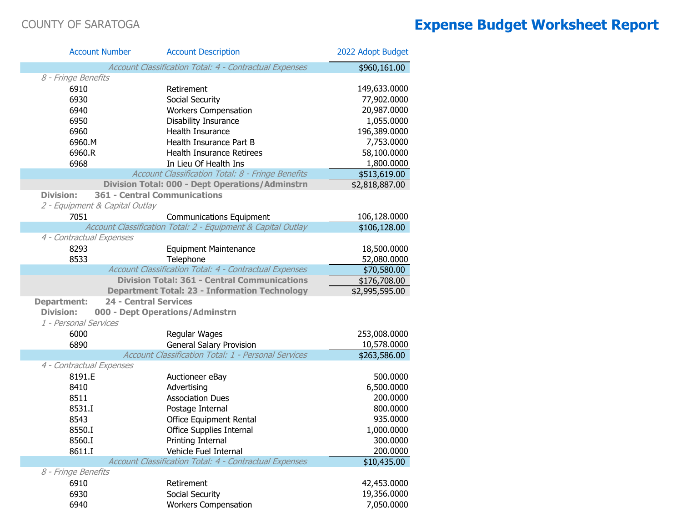| <b>Account Number</b>          | <b>Account Description</b>                                   | 2022 Adopt Budget |  |  |  |
|--------------------------------|--------------------------------------------------------------|-------------------|--|--|--|
|                                | Account Classification Total: 4 - Contractual Expenses       | \$960,161.00      |  |  |  |
| 8 - Fringe Benefits            |                                                              |                   |  |  |  |
| 6910                           | Retirement                                                   | 149,633.0000      |  |  |  |
| 6930                           | Social Security                                              | 77,902.0000       |  |  |  |
| 6940                           | <b>Workers Compensation</b>                                  | 20,987.0000       |  |  |  |
| 6950                           | Disability Insurance                                         | 1,055.0000        |  |  |  |
| 6960                           | Health Insurance                                             | 196,389.0000      |  |  |  |
| 6960.M                         | Health Insurance Part B                                      | 7,753.0000        |  |  |  |
| 6960.R                         | <b>Health Insurance Retirees</b>                             | 58,100.0000       |  |  |  |
| 6968                           | In Lieu Of Health Ins                                        | 1,800.0000        |  |  |  |
|                                | Account Classification Total: 8 - Fringe Benefits            | \$513,619.00      |  |  |  |
|                                | <b>Division Total: 000 - Dept Operations/Adminstrn</b>       | \$2,818,887.00    |  |  |  |
| <b>Division:</b>               | <b>361 - Central Communications</b>                          |                   |  |  |  |
| 2 - Equipment & Capital Outlay |                                                              |                   |  |  |  |
| 7051                           | <b>Communications Equipment</b>                              | 106,128.0000      |  |  |  |
|                                | Account Classification Total: 2 - Equipment & Capital Outlay | \$106,128.00      |  |  |  |
| 4 - Contractual Expenses       |                                                              |                   |  |  |  |
| 8293                           | <b>Equipment Maintenance</b>                                 | 18,500.0000       |  |  |  |
| 8533                           | Telephone                                                    | 52,080.0000       |  |  |  |
|                                | Account Classification Total: 4 - Contractual Expenses       | \$70,580.00       |  |  |  |
|                                | <b>Division Total: 361 - Central Communications</b>          | \$176,708.00      |  |  |  |
|                                | <b>Department Total: 23 - Information Technology</b>         | \$2,995,595.00    |  |  |  |
| <b>Department:</b>             | <b>24 - Central Services</b>                                 |                   |  |  |  |
| <b>Division:</b>               | 000 - Dept Operations/Adminstrn                              |                   |  |  |  |
| 1 - Personal Services          |                                                              |                   |  |  |  |
| 6000                           | Regular Wages                                                | 253,008.0000      |  |  |  |
| 6890                           | <b>General Salary Provision</b>                              | 10,578.0000       |  |  |  |
|                                | Account Classification Total: 1 - Personal Services          | \$263,586.00      |  |  |  |
| 4 - Contractual Expenses       |                                                              |                   |  |  |  |
| 8191.E                         | Auctioneer eBay                                              | 500.0000          |  |  |  |
| 8410                           | Advertising                                                  | 6,500.0000        |  |  |  |
| 8511                           | <b>Association Dues</b>                                      | 200.0000          |  |  |  |
| 8531.I                         | Postage Internal                                             | 800.0000          |  |  |  |
| 8543                           | Office Equipment Rental                                      | 935.0000          |  |  |  |
| 8550.I                         | Office Supplies Internal                                     | 1,000.0000        |  |  |  |
| 8560.I                         | Printing Internal                                            | 300.0000          |  |  |  |
| 8611.I                         | Vehicle Fuel Internal                                        | 200.0000          |  |  |  |
|                                | Account Classification Total: 4 - Contractual Expenses       | \$10,435.00       |  |  |  |
| 8 - Fringe Benefits            |                                                              |                   |  |  |  |
| 6910                           | Retirement                                                   | 42,453.0000       |  |  |  |
| 6930                           | Social Security                                              | 19,356.0000       |  |  |  |
| 6940                           | <b>Workers Compensation</b>                                  | 7,050.0000        |  |  |  |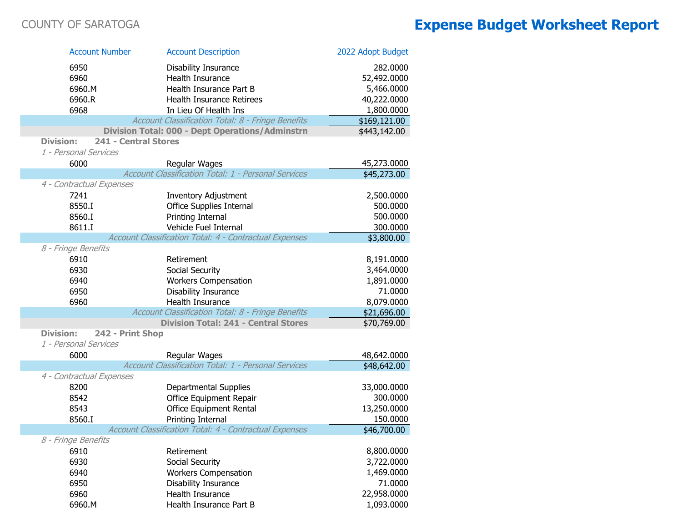| <b>Account Number</b>                    | <b>Account Description</b>                                                  | 2022 Adopt Budget       |
|------------------------------------------|-----------------------------------------------------------------------------|-------------------------|
| 6950                                     | Disability Insurance                                                        | 282.0000                |
| 6960                                     | Health Insurance                                                            | 52,492.0000             |
| 6960.M                                   | Health Insurance Part B                                                     | 5,466.0000              |
| 6960.R                                   | <b>Health Insurance Retirees</b>                                            | 40,222.0000             |
| 6968                                     | In Lieu Of Health Ins                                                       | 1,800.0000              |
|                                          | Account Classification Total: 8 - Fringe Benefits                           | \$169,121.00            |
|                                          | <b>Division Total: 000 - Dept Operations/Adminstrn</b>                      | \$443,142.00            |
| <b>Division:</b><br>241 - Central Stores |                                                                             |                         |
| 1 - Personal Services                    |                                                                             |                         |
| 6000                                     | Regular Wages                                                               | 45,273.0000             |
|                                          | Account Classification Total: 1 - Personal Services                         | \$45,273.00             |
| 4 - Contractual Expenses                 |                                                                             |                         |
| 7241                                     | <b>Inventory Adjustment</b>                                                 | 2,500.0000              |
| 8550.I                                   | <b>Office Supplies Internal</b>                                             | 500.0000                |
| 8560.I                                   | Printing Internal                                                           | 500.0000                |
| 8611.I                                   | Vehicle Fuel Internal                                                       | 300.0000                |
|                                          | Account Classification Total: 4 - Contractual Expenses                      | \$3,800.00              |
| 8 - Fringe Benefits                      |                                                                             |                         |
| 6910                                     | Retirement                                                                  | 8,191.0000              |
| 6930                                     | Social Security                                                             | 3,464.0000              |
| 6940                                     | <b>Workers Compensation</b>                                                 | 1,891.0000              |
| 6950                                     | Disability Insurance                                                        | 71.0000                 |
| 6960                                     | Health Insurance                                                            | 8,079.0000              |
|                                          | Account Classification Total: 8 - Fringe Benefits                           | \$21,696.00             |
|                                          | <b>Division Total: 241 - Central Stores</b>                                 | \$70,769.00             |
| <b>Division:</b><br>242 - Print Shop     |                                                                             |                         |
| 1 - Personal Services                    |                                                                             |                         |
| 6000                                     | Regular Wages                                                               | 48,642.0000             |
|                                          | Account Classification Total: 1 - Personal Services                         | \$48,642.00             |
| 4 - Contractual Expenses                 |                                                                             |                         |
| 8200                                     | Departmental Supplies                                                       | 33,000.0000<br>300.0000 |
| 8542                                     | Office Equipment Repair                                                     | 13,250.0000             |
| 8543<br>8560.I                           | <b>Office Equipment Rental</b>                                              | 150.0000                |
|                                          | Printing Internal<br>Account Classification Total: 4 - Contractual Expenses | \$46,700.00             |
| 8 - Fringe Benefits                      |                                                                             |                         |
| 6910                                     | Retirement                                                                  | 8,800.0000              |
| 6930                                     | Social Security                                                             | 3,722.0000              |
| 6940                                     | <b>Workers Compensation</b>                                                 | 1,469.0000              |
| 6950                                     | Disability Insurance                                                        | 71.0000                 |
| 6960                                     | Health Insurance                                                            | 22,958.0000             |
| 6960.M                                   | Health Insurance Part B                                                     | 1,093.0000              |
|                                          |                                                                             |                         |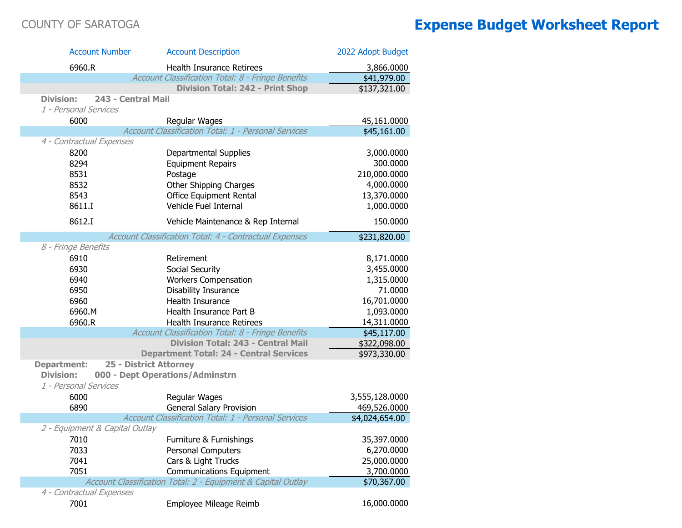| <b>Account Number</b>          | <b>Account Description</b>                                   | 2022 Adopt Budget |
|--------------------------------|--------------------------------------------------------------|-------------------|
| 6960.R                         | <b>Health Insurance Retirees</b>                             | 3,866.0000        |
|                                | Account Classification Total: 8 - Fringe Benefits            | \$41,979.00       |
|                                | <b>Division Total: 242 - Print Shop</b>                      | \$137,321.00      |
| <b>Division:</b>               | 243 - Central Mail                                           |                   |
| 1 - Personal Services          |                                                              |                   |
| 6000                           | Regular Wages                                                | 45,161.0000       |
|                                | Account Classification Total: 1 - Personal Services          | \$45,161.00       |
| 4 - Contractual Expenses       |                                                              |                   |
| 8200                           | Departmental Supplies                                        | 3,000.0000        |
| 8294                           | <b>Equipment Repairs</b>                                     | 300.0000          |
| 8531                           | Postage                                                      | 210,000.0000      |
| 8532                           | Other Shipping Charges                                       | 4,000.0000        |
| 8543                           | Office Equipment Rental                                      | 13,370.0000       |
| 8611.I                         | Vehicle Fuel Internal                                        | 1,000.0000        |
| 8612.I                         | Vehicle Maintenance & Rep Internal                           | 150.0000          |
|                                | Account Classification Total: 4 - Contractual Expenses       | \$231,820.00      |
| 8 - Fringe Benefits            |                                                              |                   |
| 6910                           | Retirement                                                   | 8,171.0000        |
| 6930                           | Social Security                                              | 3,455.0000        |
| 6940                           | <b>Workers Compensation</b>                                  | 1,315.0000        |
| 6950                           | Disability Insurance                                         | 71.0000           |
| 6960                           | Health Insurance                                             | 16,701.0000       |
| 6960.M                         | Health Insurance Part B                                      | 1,093.0000        |
| 6960.R                         | Health Insurance Retirees                                    | 14,311.0000       |
|                                | Account Classification Total: 8 - Fringe Benefits            | \$45,117.00       |
|                                | <b>Division Total: 243 - Central Mail</b>                    | \$322,098.00      |
|                                | <b>Department Total: 24 - Central Services</b>               | \$973,330.00      |
| <b>Department:</b>             | <b>25 - District Attorney</b>                                |                   |
| <b>Division:</b>               | 000 - Dept Operations/Adminstrn                              |                   |
| 1 - Personal Services          |                                                              |                   |
| 6000                           | Regular Wages                                                | 3,555,128.0000    |
| 6890                           | <b>General Salary Provision</b>                              | 469,526.0000      |
|                                | Account Classification Total: 1 - Personal Services          | \$4,024,654.00    |
| 2 - Equipment & Capital Outlay |                                                              |                   |
| 7010                           | Furniture & Furnishings                                      | 35,397.0000       |
| 7033                           | Personal Computers                                           | 6,270.0000        |
| 7041                           | Cars & Light Trucks                                          | 25,000.0000       |
| 7051                           | <b>Communications Equipment</b>                              | 3,700.0000        |
|                                | Account Classification Total: 2 - Equipment & Capital Outlay | \$70,367.00       |
| 4 - Contractual Expenses       |                                                              |                   |
| 7001                           | Employee Mileage Reimb                                       | 16,000.0000       |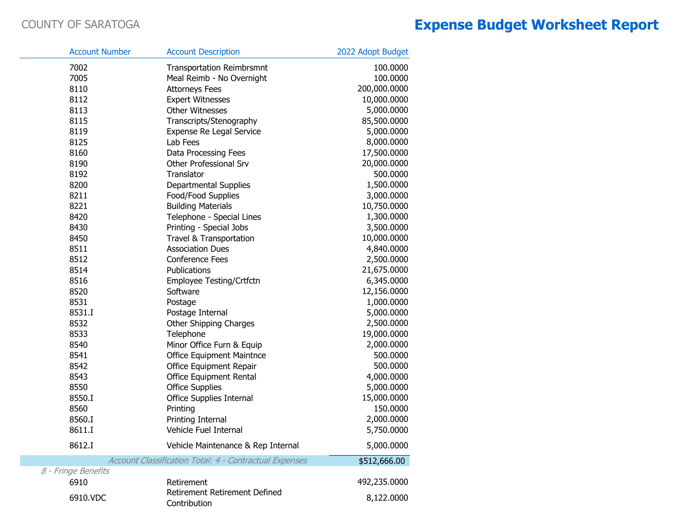| <b>Account Number</b> | <b>Account Description</b>                                    | 2022 Adopt Budget |
|-----------------------|---------------------------------------------------------------|-------------------|
| 7002                  | <b>Transportation Reimbrsmnt</b>                              | 100.0000          |
| 7005                  | Meal Reimb - No Overnight                                     | 100.0000          |
| 8110                  | <b>Attorneys Fees</b>                                         | 200,000.0000      |
| 8112                  | <b>Expert Witnesses</b>                                       | 10,000.0000       |
| 8113                  | <b>Other Witnesses</b>                                        | 5,000.0000        |
| 8115                  | Transcripts/Stenography                                       | 85,500.0000       |
| 8119                  | Expense Re Legal Service                                      | 5,000.0000        |
| 8125                  | Lab Fees                                                      | 8,000.0000        |
| 8160                  | Data Processing Fees                                          | 17,500.0000       |
| 8190                  | Other Professional Srv                                        | 20,000.0000       |
| 8192                  | Translator                                                    | 500.0000          |
| 8200                  | Departmental Supplies                                         | 1,500.0000        |
| 8211                  | Food/Food Supplies                                            | 3,000.0000        |
| 8221                  | <b>Building Materials</b>                                     | 10,750.0000       |
| 8420                  | Telephone - Special Lines                                     | 1,300.0000        |
| 8430                  | Printing - Special Jobs                                       | 3,500.0000        |
| 8450                  | Travel & Transportation                                       | 10,000.0000       |
| 8511                  | <b>Association Dues</b>                                       | 4,840.0000        |
| 8512                  | <b>Conference Fees</b>                                        | 2,500.0000        |
| 8514                  | Publications                                                  | 21,675.0000       |
| 8516                  | Employee Testing/Crtfctn                                      | 6,345.0000        |
| 8520                  | Software                                                      | 12,156.0000       |
| 8531                  | Postage                                                       | 1,000.0000        |
| 8531.I                | Postage Internal                                              | 5,000.0000        |
| 8532                  | Other Shipping Charges                                        | 2,500.0000        |
| 8533                  | Telephone                                                     | 19,000.0000       |
| 8540                  | Minor Office Furn & Equip                                     | 2,000.0000        |
| 8541                  | <b>Office Equipment Maintnce</b>                              | 500.0000          |
| 8542                  | Office Equipment Repair                                       | 500.0000          |
| 8543                  | Office Equipment Rental                                       | 4,000.0000        |
| 8550                  | <b>Office Supplies</b>                                        | 5,000.0000        |
| 8550.I                | <b>Office Supplies Internal</b>                               | 15,000.0000       |
| 8560                  | Printing                                                      | 150.0000          |
| 8560.I                | Printing Internal                                             | 2,000.0000        |
| 8611.I                | Vehicle Fuel Internal                                         | 5,750.0000        |
| 8612.I                | Vehicle Maintenance & Rep Internal                            | 5,000.0000        |
|                       | <b>Account Classification Total: 4 - Contractual Expenses</b> | \$512,666.00      |
| 8 - Fringe Benefits   |                                                               |                   |
| 6910                  | Retirement                                                    | 492,235.0000      |
| 6910.VDC              | Retirement Retirement Defined<br>Contribution                 | 8,122.0000        |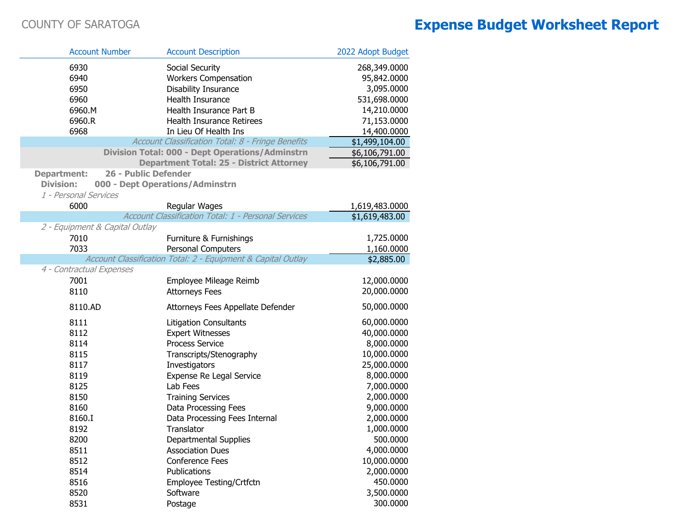| <b>Account Number</b>          | <b>Account Description</b>                                   | 2022 Adopt Budget |
|--------------------------------|--------------------------------------------------------------|-------------------|
| 6930                           | Social Security                                              | 268,349.0000      |
| 6940                           | <b>Workers Compensation</b>                                  | 95,842.0000       |
| 6950                           | Disability Insurance                                         | 3,095.0000        |
| 6960                           | Health Insurance                                             | 531,698.0000      |
| 6960.M                         | Health Insurance Part B                                      | 14,210.0000       |
| 6960.R                         | Health Insurance Retirees                                    | 71,153.0000       |
| 6968                           | In Lieu Of Health Ins                                        | 14,400.0000       |
|                                | Account Classification Total: 8 - Fringe Benefits            | \$1,499,104.00    |
|                                | <b>Division Total: 000 - Dept Operations/Adminstrn</b>       | \$6,106,791.00    |
|                                | <b>Department Total: 25 - District Attorney</b>              | \$6,106,791.00    |
| <b>Department:</b>             | 26 - Public Defender                                         |                   |
| <b>Division:</b>               | 000 - Dept Operations/Adminstrn                              |                   |
| 1 - Personal Services          |                                                              |                   |
| 6000                           | Regular Wages                                                | 1,619,483.0000    |
|                                | Account Classification Total: 1 - Personal Services          | \$1,619,483.00    |
| 2 - Equipment & Capital Outlay |                                                              |                   |
| 7010                           | Furniture & Furnishings                                      | 1,725.0000        |
| 7033                           | <b>Personal Computers</b>                                    | 1,160.0000        |
|                                | Account Classification Total: 2 - Equipment & Capital Outlay | \$2,885.00        |
| 4 - Contractual Expenses       |                                                              |                   |
| 7001                           | Employee Mileage Reimb                                       | 12,000.0000       |
| 8110                           | <b>Attorneys Fees</b>                                        | 20,000.0000       |
| 8110.AD                        | Attorneys Fees Appellate Defender                            | 50,000.0000       |
| 8111                           | <b>Litigation Consultants</b>                                | 60,000.0000       |
| 8112                           | <b>Expert Witnesses</b>                                      | 40,000.0000       |
| 8114                           | <b>Process Service</b>                                       | 8,000.0000        |
| 8115                           | Transcripts/Stenography                                      | 10,000.0000       |
| 8117                           | Investigators                                                | 25,000.0000       |
| 8119                           | Expense Re Legal Service                                     | 8,000.0000        |
| 8125                           | Lab Fees                                                     | 7,000.0000        |
| 8150                           | <b>Training Services</b>                                     | 2,000.0000        |
| 8160                           | Data Processing Fees                                         | 9,000.0000        |
| 8160.I                         | Data Processing Fees Internal                                | 2,000.0000        |
| 8192                           | Translator                                                   | 1,000.0000        |
| 8200                           | Departmental Supplies                                        | 500.0000          |
| 8511                           | <b>Association Dues</b>                                      | 4,000.0000        |
| 8512                           | <b>Conference Fees</b>                                       | 10,000.0000       |
| 8514                           | Publications                                                 | 2,000.0000        |
| 8516                           | Employee Testing/Crtfctn                                     | 450.0000          |
| 8520                           | Software                                                     | 3,500.0000        |
| 8531                           | Postage                                                      | 300.0000          |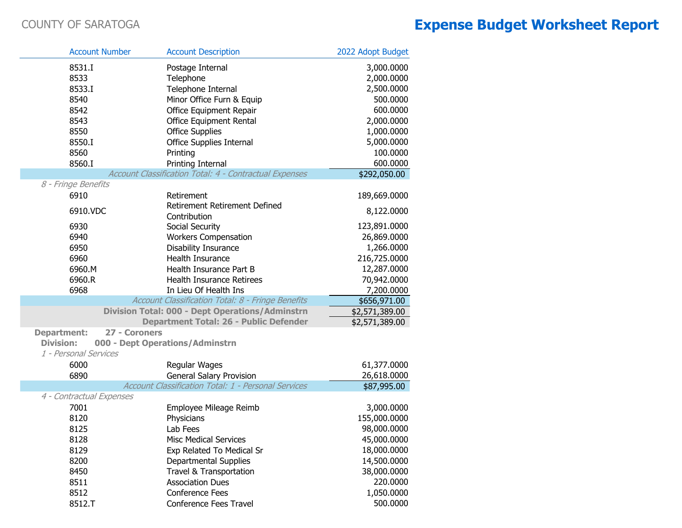| <b>Account Number</b>               | <b>Account Description</b>                             | 2022 Adopt Budget |
|-------------------------------------|--------------------------------------------------------|-------------------|
| 8531.I                              | Postage Internal                                       | 3,000.0000        |
| 8533                                | Telephone                                              | 2,000.0000        |
| 8533.I                              | Telephone Internal                                     | 2,500.0000        |
| 8540                                | Minor Office Furn & Equip                              | 500.0000          |
| 8542                                | Office Equipment Repair                                | 600.0000          |
| 8543                                | Office Equipment Rental                                | 2,000.0000        |
| 8550                                | <b>Office Supplies</b>                                 | 1,000.0000        |
| 8550.I                              | <b>Office Supplies Internal</b>                        | 5,000.0000        |
| 8560                                | Printing                                               | 100.0000          |
| 8560.I                              | Printing Internal                                      | 600.0000          |
|                                     | Account Classification Total: 4 - Contractual Expenses | \$292,050.00      |
| 8 - Fringe Benefits                 |                                                        |                   |
| 6910                                | Retirement                                             | 189,669.0000      |
| 6910.VDC                            | Retirement Retirement Defined                          | 8,122.0000        |
|                                     | Contribution                                           |                   |
| 6930                                | Social Security                                        | 123,891.0000      |
| 6940                                | <b>Workers Compensation</b>                            | 26,869.0000       |
| 6950                                | Disability Insurance                                   | 1,266.0000        |
| 6960                                | Health Insurance                                       | 216,725.0000      |
| 6960.M                              | Health Insurance Part B                                | 12,287.0000       |
| 6960.R                              | <b>Health Insurance Retirees</b>                       | 70,942.0000       |
| 6968                                | In Lieu Of Health Ins                                  | 7,200.0000        |
|                                     | Account Classification Total: 8 - Fringe Benefits      | \$656,971.00      |
|                                     | <b>Division Total: 000 - Dept Operations/Adminstrn</b> | \$2,571,389.00    |
|                                     | Department Total: 26 - Public Defender                 | \$2,571,389.00    |
| <b>Department:</b><br>27 - Coroners |                                                        |                   |
| <b>Division:</b>                    | 000 - Dept Operations/Adminstrn                        |                   |
| 1 - Personal Services               |                                                        |                   |
| 6000                                | Regular Wages                                          | 61,377.0000       |
| 6890                                | <b>General Salary Provision</b>                        | 26,618.0000       |
| 4 - Contractual Expenses            | Account Classification Total: 1 - Personal Services    | \$87,995.00       |
| 7001                                | Employee Mileage Reimb                                 | 3,000.0000        |
| 8120                                | Physicians                                             | 155,000.0000      |
| 8125                                | Lab Fees                                               | 98,000.0000       |
| 8128                                | <b>Misc Medical Services</b>                           | 45,000.0000       |
| 8129                                | Exp Related To Medical Sr                              | 18,000.0000       |
| 8200                                | <b>Departmental Supplies</b>                           | 14,500.0000       |
| 8450                                | Travel & Transportation                                | 38,000.0000       |
| 8511                                | <b>Association Dues</b>                                | 220.0000          |
| 8512                                | <b>Conference Fees</b>                                 | 1,050.0000        |
| 8512.T                              | Conference Fees Travel                                 | 500.0000          |
|                                     |                                                        |                   |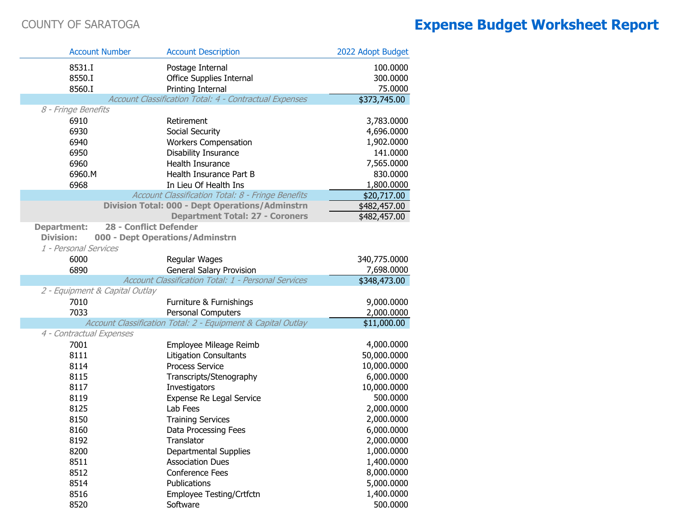T.

T.

T.

|                          | <b>Account Number</b>          | <b>Account Description</b>                                   | 2022 Adopt Budget |
|--------------------------|--------------------------------|--------------------------------------------------------------|-------------------|
| 8531.I                   |                                | Postage Internal                                             | 100.0000          |
| 8550.I                   |                                | <b>Office Supplies Internal</b>                              | 300.0000          |
| 8560.I                   |                                | Printing Internal                                            | 75.0000           |
|                          |                                | Account Classification Total: 4 - Contractual Expenses       | \$373,745.00      |
| 8 - Fringe Benefits      |                                |                                                              |                   |
| 6910                     |                                | Retirement                                                   | 3,783.0000        |
| 6930                     |                                | Social Security                                              | 4,696.0000        |
| 6940                     |                                | <b>Workers Compensation</b>                                  | 1,902.0000        |
| 6950                     |                                | <b>Disability Insurance</b>                                  | 141.0000          |
| 6960                     |                                | <b>Health Insurance</b>                                      | 7,565.0000        |
| 6960.M                   |                                | Health Insurance Part B                                      | 830.0000          |
| 6968                     |                                | In Lieu Of Health Ins                                        | 1,800.0000        |
|                          |                                | Account Classification Total: 8 - Fringe Benefits            | \$20,717.00       |
|                          |                                | <b>Division Total: 000 - Dept Operations/Adminstrn</b>       | \$482,457.00      |
|                          |                                | <b>Department Total: 27 - Coroners</b>                       | \$482,457.00      |
| <b>Department:</b>       | <b>28 - Conflict Defender</b>  |                                                              |                   |
| <b>Division:</b>         |                                | 000 - Dept Operations/Adminstrn                              |                   |
| 1 - Personal Services    |                                |                                                              |                   |
| 6000                     |                                | Regular Wages                                                | 340,775.0000      |
| 6890                     |                                | <b>General Salary Provision</b>                              | 7,698.0000        |
|                          |                                | Account Classification Total: 1 - Personal Services          | \$348,473.00      |
|                          | 2 - Equipment & Capital Outlay |                                                              |                   |
| 7010                     |                                | Furniture & Furnishings                                      | 9,000.0000        |
| 7033                     |                                | <b>Personal Computers</b>                                    | 2,000.0000        |
|                          |                                | Account Classification Total: 2 - Equipment & Capital Outlay | \$11,000.00       |
| 4 - Contractual Expenses |                                |                                                              |                   |
| 7001                     |                                | Employee Mileage Reimb                                       | 4,000.0000        |
| 8111                     |                                | <b>Litigation Consultants</b>                                | 50,000.0000       |
| 8114                     |                                | <b>Process Service</b>                                       | 10,000.0000       |
| 8115                     |                                | Transcripts/Stenography                                      | 6,000.0000        |
| 8117                     |                                | Investigators                                                | 10,000.0000       |
| 8119                     |                                | Expense Re Legal Service                                     | 500.0000          |
| 8125                     |                                | Lab Fees                                                     | 2,000.0000        |
| 8150                     |                                | <b>Training Services</b>                                     | 2,000.0000        |
| 8160                     |                                | Data Processing Fees                                         | 6,000.0000        |
| 8192                     |                                | Translator                                                   | 2,000.0000        |
| 8200                     |                                | Departmental Supplies                                        | 1,000.0000        |
| 8511                     |                                | <b>Association Dues</b>                                      | 1,400.0000        |
| 8512                     |                                | <b>Conference Fees</b>                                       | 8,000.0000        |
| 8514                     |                                | Publications                                                 | 5,000.0000        |
| 8516                     |                                | Employee Testing/Crtfctn                                     | 1,400.0000        |
| 8520                     |                                | Software                                                     | 500.0000          |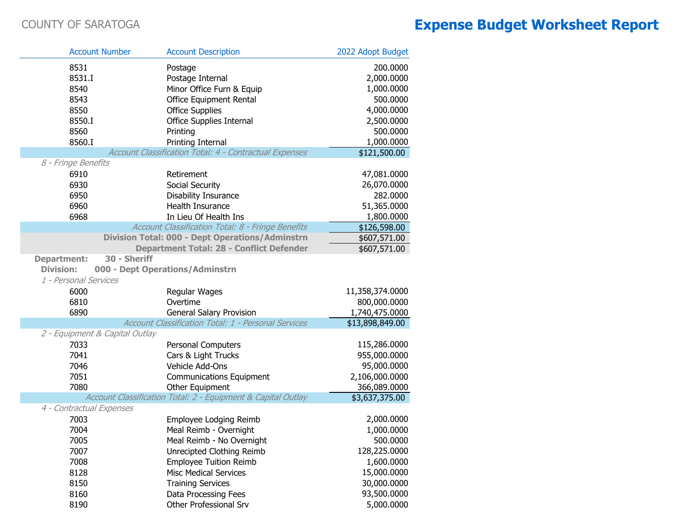Г

Г

|                          | <b>Account Number</b>          | <b>Account Description</b>                                   | 2022 Adopt Budget            |
|--------------------------|--------------------------------|--------------------------------------------------------------|------------------------------|
| 8531                     |                                | Postage                                                      | 200.0000                     |
| 8531.I                   |                                | Postage Internal                                             | 2,000.0000                   |
| 8540                     |                                | Minor Office Furn & Equip                                    | 1,000.0000                   |
| 8543                     |                                | Office Equipment Rental                                      | 500.0000                     |
| 8550                     |                                | <b>Office Supplies</b>                                       | 4,000.0000                   |
| 8550.I                   |                                | Office Supplies Internal                                     | 2,500.0000                   |
| 8560                     |                                | Printing                                                     | 500.0000                     |
| 8560.I                   |                                | Printing Internal                                            | 1,000.0000                   |
|                          |                                | Account Classification Total: 4 - Contractual Expenses       | \$121,500.00                 |
| 8 - Fringe Benefits      |                                |                                                              |                              |
| 6910                     |                                | Retirement                                                   | 47,081.0000                  |
| 6930                     |                                | Social Security                                              | 26,070.0000                  |
| 6950                     |                                | Disability Insurance                                         | 282.0000                     |
| 6960                     |                                | Health Insurance                                             | 51,365.0000                  |
| 6968                     |                                | In Lieu Of Health Ins                                        | 1,800.0000                   |
|                          |                                | Account Classification Total: 8 - Fringe Benefits            | \$126,598.00                 |
|                          |                                | <b>Division Total: 000 - Dept Operations/Adminstrn</b>       | \$607,571.00                 |
|                          |                                | <b>Department Total: 28 - Conflict Defender</b>              | \$607,571.00                 |
| <b>Department:</b>       | 30 - Sheriff                   |                                                              |                              |
| <b>Division:</b>         |                                | 000 - Dept Operations/Adminstrn                              |                              |
| 1 - Personal Services    |                                |                                                              |                              |
| 6000                     |                                | Regular Wages                                                | 11,358,374.0000              |
| 6810                     |                                | Overtime                                                     | 800,000.0000                 |
| 6890                     |                                | <b>General Salary Provision</b>                              | 1,740,475.0000               |
|                          |                                | Account Classification Total: 1 - Personal Services          | \$13,898,849.00              |
| 7033                     | 2 - Equipment & Capital Outlay |                                                              |                              |
| 7041                     |                                | Personal Computers                                           | 115,286.0000<br>955,000.0000 |
| 7046                     |                                | Cars & Light Trucks<br>Vehicle Add-Ons                       | 95,000.0000                  |
| 7051                     |                                |                                                              | 2,106,000.0000               |
| 7080                     |                                | <b>Communications Equipment</b><br>Other Equipment           | 366,089.0000                 |
|                          |                                | Account Classification Total: 2 - Equipment & Capital Outlay | \$3,637,375.00               |
| 4 - Contractual Expenses |                                |                                                              |                              |
| 7003                     |                                | Employee Lodging Reimb                                       | 2,000.0000                   |
| 7004                     |                                | Meal Reimb - Overnight                                       | 1,000.0000                   |
| 7005                     |                                | Meal Reimb - No Overnight                                    | 500.0000                     |
| 7007                     |                                | Unrecipted Clothing Reimb                                    | 128,225.0000                 |
| 7008                     |                                | <b>Employee Tuition Reimb</b>                                | 1,600.0000                   |
| 8128                     |                                | <b>Misc Medical Services</b>                                 | 15,000.0000                  |
| 8150                     |                                | <b>Training Services</b>                                     | 30,000.0000                  |
| 8160                     |                                | Data Processing Fees                                         | 93,500.0000                  |
| 8190                     |                                | Other Professional Srv                                       | 5,000.0000                   |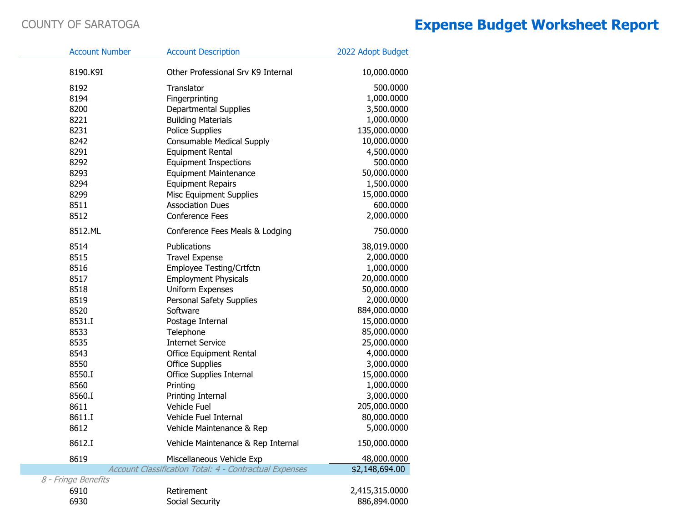| <b>Account Number</b> | <b>Account Description</b>                             | 2022 Adopt Budget |
|-----------------------|--------------------------------------------------------|-------------------|
| 8190.K9I              | Other Professional Srv K9 Internal                     | 10,000.0000       |
| 8192                  | Translator                                             | 500.0000          |
| 8194                  | Fingerprinting                                         | 1,000.0000        |
| 8200                  | Departmental Supplies                                  | 3,500.0000        |
| 8221                  | <b>Building Materials</b>                              | 1,000.0000        |
| 8231                  | <b>Police Supplies</b>                                 | 135,000.0000      |
| 8242                  | <b>Consumable Medical Supply</b>                       | 10,000.0000       |
| 8291                  | <b>Equipment Rental</b>                                | 4,500.0000        |
| 8292                  | <b>Equipment Inspections</b>                           | 500.0000          |
| 8293                  | <b>Equipment Maintenance</b>                           | 50,000.0000       |
| 8294                  | <b>Equipment Repairs</b>                               | 1,500.0000        |
| 8299                  | <b>Misc Equipment Supplies</b>                         | 15,000.0000       |
| 8511                  | <b>Association Dues</b>                                | 600.0000          |
| 8512                  | <b>Conference Fees</b>                                 | 2,000.0000        |
| 8512.ML               | Conference Fees Meals & Lodging                        | 750.0000          |
| 8514                  | Publications                                           | 38,019.0000       |
| 8515                  | <b>Travel Expense</b>                                  | 2,000.0000        |
| 8516                  | Employee Testing/Crtfctn                               | 1,000.0000        |
| 8517                  | <b>Employment Physicals</b>                            | 20,000.0000       |
| 8518                  | <b>Uniform Expenses</b>                                | 50,000.0000       |
| 8519                  | Personal Safety Supplies                               | 2,000.0000        |
| 8520                  | Software                                               | 884,000.0000      |
| 8531.I                | Postage Internal                                       | 15,000.0000       |
| 8533                  | Telephone                                              | 85,000.0000       |
| 8535                  | <b>Internet Service</b>                                | 25,000.0000       |
| 8543                  | Office Equipment Rental                                | 4,000.0000        |
| 8550                  | <b>Office Supplies</b>                                 | 3,000.0000        |
| 8550.I                | Office Supplies Internal                               | 15,000.0000       |
| 8560                  | Printing                                               | 1,000.0000        |
| 8560.I                | Printing Internal                                      | 3,000.0000        |
| 8611                  | Vehicle Fuel                                           | 205,000.0000      |
| 8611.I                | Vehicle Fuel Internal                                  | 80,000.0000       |
| 8612                  | Vehicle Maintenance & Rep                              | 5,000.0000        |
| 8612.I                | Vehicle Maintenance & Rep Internal                     | 150,000.0000      |
| 8619                  | Miscellaneous Vehicle Exp                              | 48,000.0000       |
|                       | Account Classification Total: 4 - Contractual Expenses | \$2,148,694.00    |
| 8 - Fringe Benefits   |                                                        |                   |
| 6910                  | Retirement                                             | 2,415,315.0000    |
| 6930                  | Social Security                                        | 886,894.0000      |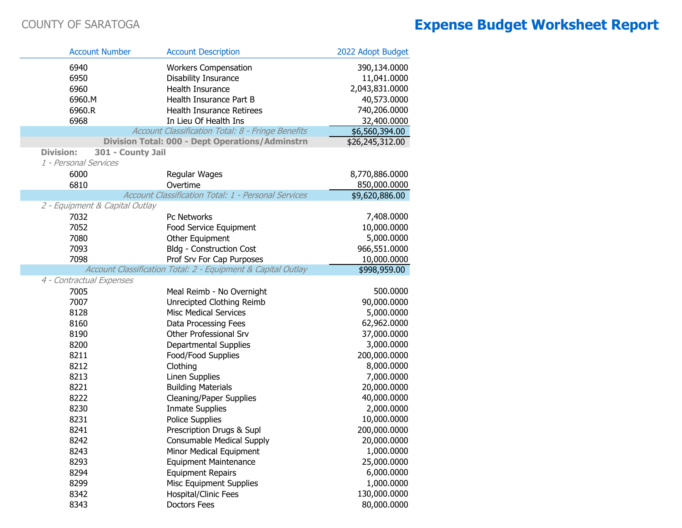| <b>Account Number</b>                 | <b>Account Description</b>                                   | 2022 Adopt Budget           |
|---------------------------------------|--------------------------------------------------------------|-----------------------------|
| 6940                                  | <b>Workers Compensation</b>                                  | 390,134.0000                |
| 6950                                  | <b>Disability Insurance</b>                                  | 11,041.0000                 |
| 6960                                  | Health Insurance                                             | 2,043,831.0000              |
| 6960.M                                | Health Insurance Part B                                      | 40,573.0000                 |
| 6960.R                                | Health Insurance Retirees                                    | 740,206.0000                |
| 6968                                  | In Lieu Of Health Ins                                        | 32,400.0000                 |
|                                       | Account Classification Total: 8 - Fringe Benefits            | \$6,560,394.00              |
|                                       | <b>Division Total: 000 - Dept Operations/Adminstrn</b>       | \$26,245,312.00             |
| <b>Division:</b><br>301 - County Jail |                                                              |                             |
| 1 - Personal Services                 |                                                              |                             |
| 6000                                  | Regular Wages                                                | 8,770,886.0000              |
| 6810                                  | Overtime                                                     | 850,000.0000                |
|                                       | Account Classification Total: 1 - Personal Services          | \$9,620,886.00              |
| 2 - Equipment & Capital Outlay        |                                                              |                             |
| 7032                                  | Pc Networks                                                  | 7,408.0000                  |
| 7052                                  | Food Service Equipment                                       | 10,000.0000                 |
| 7080                                  | Other Equipment                                              | 5,000.0000                  |
| 7093                                  | <b>Bldg - Construction Cost</b>                              | 966,551.0000                |
| 7098                                  | Prof Srv For Cap Purposes                                    | 10,000.0000                 |
|                                       | Account Classification Total: 2 - Equipment & Capital Outlay | \$998,959.00                |
| 4 - Contractual Expenses              |                                                              |                             |
| 7005                                  | Meal Reimb - No Overnight                                    | 500.0000                    |
| 7007                                  | Unrecipted Clothing Reimb                                    | 90,000.0000                 |
| 8128                                  | <b>Misc Medical Services</b>                                 | 5,000.0000                  |
| 8160                                  | Data Processing Fees                                         | 62,962.0000                 |
| 8190                                  | Other Professional Srv                                       | 37,000.0000                 |
| 8200                                  | Departmental Supplies                                        | 3,000.0000                  |
| 8211                                  | Food/Food Supplies                                           | 200,000.0000                |
| 8212                                  | Clothing                                                     | 8,000.0000                  |
| 8213                                  | Linen Supplies                                               | 7,000.0000                  |
| 8221                                  | <b>Building Materials</b>                                    | 20,000.0000                 |
| 8222                                  | <b>Cleaning/Paper Supplies</b>                               | 40,000.0000                 |
| 8230<br>8231                          | <b>Inmate Supplies</b>                                       | 2,000.0000                  |
|                                       | Police Supplies                                              | 10,000.0000                 |
| 8241                                  | Prescription Drugs & Supl                                    | 200,000.0000<br>20,000.0000 |
| 8242<br>8243                          | <b>Consumable Medical Supply</b><br>Minor Medical Equipment  | 1,000.0000                  |
| 8293                                  | <b>Equipment Maintenance</b>                                 | 25,000.0000                 |
| 8294                                  | <b>Equipment Repairs</b>                                     | 6,000.0000                  |
| 8299                                  | <b>Misc Equipment Supplies</b>                               | 1,000.0000                  |
| 8342                                  | Hospital/Clinic Fees                                         | 130,000.0000                |
| 8343                                  | <b>Doctors Fees</b>                                          | 80,000.0000                 |
|                                       |                                                              |                             |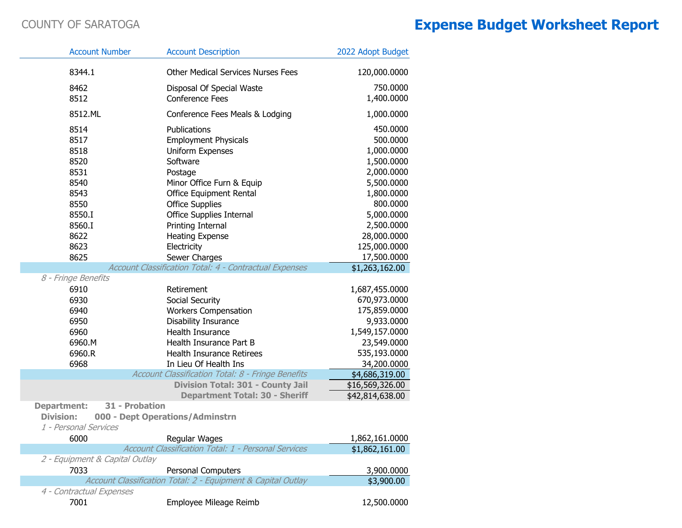| <b>Account Number</b>          | <b>Account Description</b>                                   | 2022 Adopt Budget |
|--------------------------------|--------------------------------------------------------------|-------------------|
| 8344.1                         | <b>Other Medical Services Nurses Fees</b>                    | 120,000.0000      |
| 8462                           | Disposal Of Special Waste                                    | 750.0000          |
| 8512                           | <b>Conference Fees</b>                                       | 1,400.0000        |
| 8512.ML                        | Conference Fees Meals & Lodging                              | 1,000.0000        |
| 8514                           | Publications                                                 | 450.0000          |
| 8517                           | <b>Employment Physicals</b>                                  | 500.0000          |
| 8518                           | Uniform Expenses                                             | 1,000.0000        |
| 8520                           | Software                                                     | 1,500.0000        |
| 8531                           | Postage                                                      | 2,000.0000        |
| 8540                           | Minor Office Furn & Equip                                    | 5,500.0000        |
| 8543                           | Office Equipment Rental                                      | 1,800.0000        |
| 8550                           | <b>Office Supplies</b>                                       | 800.0000          |
| 8550.I                         | <b>Office Supplies Internal</b>                              | 5,000.0000        |
| 8560.I                         | Printing Internal                                            | 2,500.0000        |
| 8622                           | <b>Heating Expense</b>                                       | 28,000.0000       |
| 8623                           | Electricity                                                  | 125,000.0000      |
| 8625                           | Sewer Charges                                                | 17,500.0000       |
|                                | Account Classification Total: 4 - Contractual Expenses       | \$1,263,162.00    |
| 8 - Fringe Benefits            |                                                              |                   |
| 6910                           | Retirement                                                   | 1,687,455.0000    |
| 6930                           | Social Security                                              | 670,973.0000      |
| 6940                           | <b>Workers Compensation</b>                                  | 175,859.0000      |
| 6950                           | Disability Insurance                                         | 9,933.0000        |
| 6960                           | Health Insurance                                             | 1,549,157.0000    |
| 6960.M                         | Health Insurance Part B                                      | 23,549.0000       |
| 6960.R                         | <b>Health Insurance Retirees</b>                             | 535,193.0000      |
| 6968                           | In Lieu Of Health Ins                                        | 34,200.0000       |
|                                | Account Classification Total: 8 - Fringe Benefits            | \$4,686,319.00    |
|                                | Division Total: 301 - County Jail                            | \$16,569,326.00   |
|                                | <b>Department Total: 30 - Sheriff</b>                        | \$42,814,638.00   |
| <b>Department:</b>             | 31 - Probation                                               |                   |
| <b>Division:</b>               | 000 - Dept Operations/Adminstrn                              |                   |
| 1 - Personal Services          |                                                              |                   |
| 6000                           | Regular Wages                                                | 1,862,161.0000    |
|                                | Account Classification Total: 1 - Personal Services          | \$1,862,161.00    |
| 2 - Equipment & Capital Outlay |                                                              |                   |
| 7033                           | <b>Personal Computers</b>                                    | 3,900.0000        |
|                                | Account Classification Total: 2 - Equipment & Capital Outlay | \$3,900.00        |
| 4 - Contractual Expenses       |                                                              |                   |
| 7001                           | Employee Mileage Reimb                                       | 12,500.0000       |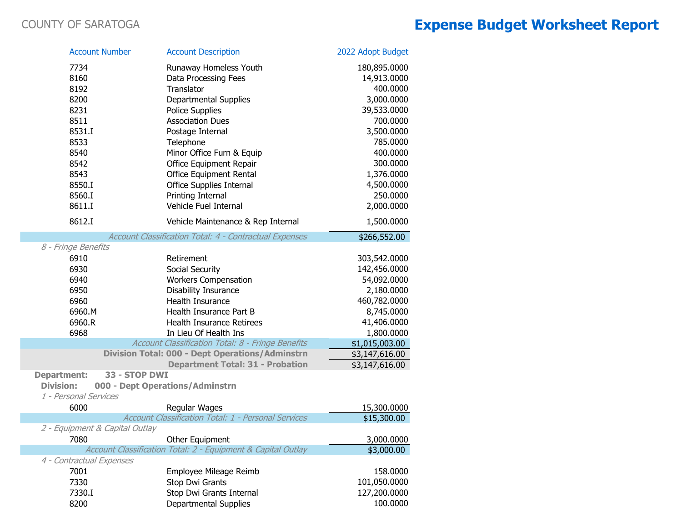|                                           | <b>Account Number</b> | <b>Account Description</b>                                   | 2022 Adopt Budget |
|-------------------------------------------|-----------------------|--------------------------------------------------------------|-------------------|
| 7734                                      |                       | Runaway Homeless Youth                                       | 180,895.0000      |
| 8160                                      |                       | Data Processing Fees                                         | 14,913.0000       |
| 8192                                      |                       | Translator                                                   | 400.0000          |
| 8200                                      |                       | Departmental Supplies                                        | 3,000.0000        |
| 8231                                      |                       | <b>Police Supplies</b>                                       | 39,533.0000       |
| 8511                                      |                       | <b>Association Dues</b>                                      | 700.0000          |
| 8531.I                                    |                       | Postage Internal                                             | 3,500.0000        |
| 8533                                      |                       | Telephone                                                    | 785.0000          |
| 8540                                      |                       | Minor Office Furn & Equip                                    | 400.0000          |
| 8542                                      |                       | Office Equipment Repair                                      | 300.0000          |
| 8543                                      |                       | Office Equipment Rental                                      | 1,376.0000        |
| 8550.I                                    |                       | Office Supplies Internal                                     | 4,500.0000        |
| 8560.I                                    |                       | Printing Internal                                            | 250.0000          |
| 8611.I                                    |                       | Vehicle Fuel Internal                                        | 2,000.0000        |
| 8612.I                                    |                       | Vehicle Maintenance & Rep Internal                           | 1,500.0000        |
|                                           |                       | Account Classification Total: 4 - Contractual Expenses       | \$266,552.00      |
| 8 - Fringe Benefits                       |                       |                                                              |                   |
| 6910                                      |                       | Retirement                                                   | 303,542.0000      |
| 6930                                      |                       | Social Security                                              | 142,456.0000      |
| 6940                                      |                       | <b>Workers Compensation</b>                                  | 54,092.0000       |
| 6950                                      |                       | <b>Disability Insurance</b>                                  | 2,180.0000        |
| 6960                                      |                       | Health Insurance                                             | 460,782.0000      |
| 6960.M                                    |                       | Health Insurance Part B                                      | 8,745.0000        |
| 6960.R                                    |                       | <b>Health Insurance Retirees</b>                             | 41,406.0000       |
| 6968                                      |                       | In Lieu Of Health Ins                                        | 1,800.0000        |
|                                           |                       | Account Classification Total: 8 - Fringe Benefits            | \$1,015,003.00    |
|                                           |                       | <b>Division Total: 000 - Dept Operations/Adminstrn</b>       | \$3,147,616.00    |
|                                           |                       | <b>Department Total: 31 - Probation</b>                      | \$3,147,616.00    |
| <b>Department:</b>                        | 33 - STOP DWI         |                                                              |                   |
| <b>Division:</b><br>1 - Personal Services |                       | 000 - Dept Operations/Adminstrn                              |                   |
| 6000                                      |                       | Regular Wages                                                | 15,300.0000       |
|                                           |                       | Account Classification Total: 1 - Personal Services          | \$15,300.00       |
| 2 - Equipment & Capital Outlay            |                       |                                                              |                   |
| 7080                                      |                       | Other Equipment                                              | 3,000.0000        |
|                                           |                       | Account Classification Total: 2 - Equipment & Capital Outlay | \$3,000.00        |
| 4 - Contractual Expenses                  |                       |                                                              |                   |
| 7001                                      |                       | Employee Mileage Reimb                                       | 158.0000          |
| 7330                                      |                       | Stop Dwi Grants                                              | 101,050.0000      |
| 7330.I                                    |                       | Stop Dwi Grants Internal                                     | 127,200.0000      |
| 8200                                      |                       | <b>Departmental Supplies</b>                                 | 100.0000          |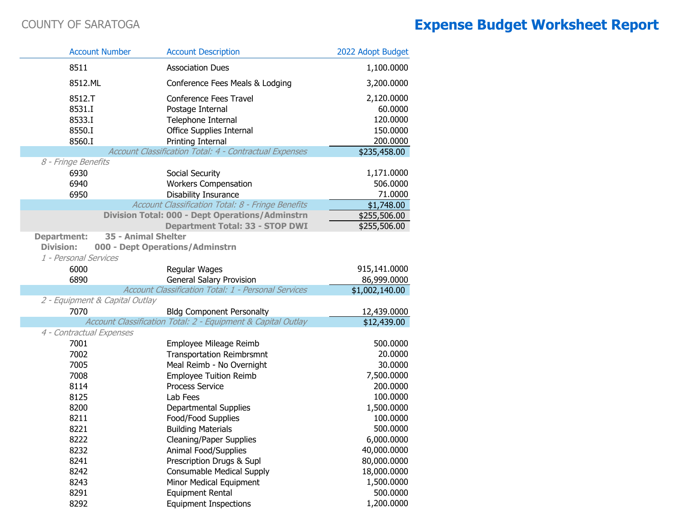| <b>Account Number</b>                                           | <b>Account Description</b>                                                                                                  | 2022 Adopt Budget                                         |
|-----------------------------------------------------------------|-----------------------------------------------------------------------------------------------------------------------------|-----------------------------------------------------------|
| 8511                                                            | <b>Association Dues</b>                                                                                                     | 1,100.0000                                                |
| 8512.ML                                                         | Conference Fees Meals & Lodging                                                                                             | 3,200.0000                                                |
| 8512.T<br>8531.I<br>8533.I<br>8550.I<br>8560.I                  | Conference Fees Travel<br>Postage Internal<br>Telephone Internal<br><b>Office Supplies Internal</b><br>Printing Internal    | 2,120.0000<br>60.0000<br>120.0000<br>150.0000<br>200.0000 |
|                                                                 | Account Classification Total: 4 - Contractual Expenses                                                                      | \$235,458.00                                              |
| 8 - Fringe Benefits                                             |                                                                                                                             |                                                           |
| 6930<br>6940<br>6950                                            | Social Security<br><b>Workers Compensation</b><br>Disability Insurance<br>Account Classification Total: 8 - Fringe Benefits | 1,171.0000<br>506.0000<br>71.0000                         |
|                                                                 | <b>Division Total: 000 - Dept Operations/Adminstrn</b>                                                                      | \$1,748.00<br>\$255,506.00                                |
|                                                                 | <b>Department Total: 33 - STOP DWI</b>                                                                                      | \$255,506.00                                              |
| <b>Department:</b><br><b>Division:</b><br>1 - Personal Services | 35 - Animal Shelter<br>000 - Dept Operations/Adminstrn                                                                      |                                                           |
| 6000                                                            | Regular Wages                                                                                                               | 915,141.0000                                              |
| 6890                                                            | <b>General Salary Provision</b>                                                                                             | 86,999.0000                                               |
|                                                                 | Account Classification Total: 1 - Personal Services                                                                         | \$1,002,140.00                                            |
| 2 - Equipment & Capital Outlay                                  |                                                                                                                             |                                                           |
| 7070                                                            | <b>Bldg Component Personalty</b><br>Account Classification Total: 2 - Equipment & Capital Outlay                            | 12,439.0000<br>$\overline{$12,439.00}$                    |
| 4 - Contractual Expenses                                        |                                                                                                                             |                                                           |
| 7001                                                            | Employee Mileage Reimb                                                                                                      | 500.0000                                                  |
| 7002                                                            | <b>Transportation Reimbrsmnt</b>                                                                                            | 20.0000                                                   |
| 7005                                                            | Meal Reimb - No Overnight                                                                                                   | 30.0000                                                   |
| 7008                                                            | <b>Employee Tuition Reimb</b>                                                                                               | 7,500.0000                                                |
| 8114                                                            | <b>Process Service</b>                                                                                                      | 200.0000                                                  |
| 8125                                                            | Lab Fees                                                                                                                    | 100.0000                                                  |
| 8200<br>8211                                                    | <b>Departmental Supplies</b>                                                                                                | 1,500.0000<br>100.0000                                    |
| 8221                                                            | Food/Food Supplies<br><b>Building Materials</b>                                                                             | 500.0000                                                  |
| 8222                                                            | <b>Cleaning/Paper Supplies</b>                                                                                              | 6,000.0000                                                |
| 8232                                                            | Animal Food/Supplies                                                                                                        | 40,000.0000                                               |
| 8241                                                            | Prescription Drugs & Supl                                                                                                   | 80,000.0000                                               |
| 8242                                                            | <b>Consumable Medical Supply</b>                                                                                            | 18,000.0000                                               |
| 8243                                                            | Minor Medical Equipment                                                                                                     | 1,500.0000                                                |
| 8291                                                            | <b>Equipment Rental</b>                                                                                                     | 500.0000                                                  |
| 8292                                                            | <b>Equipment Inspections</b>                                                                                                | 1,200.0000                                                |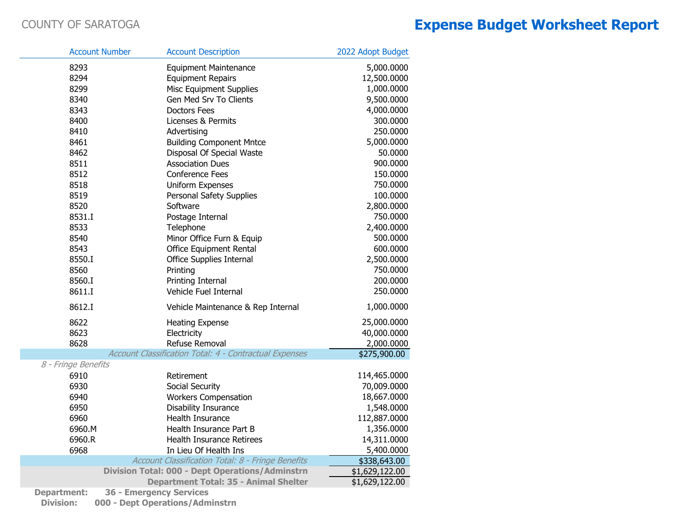|                     | <b>Account Number</b> | <b>Account Description</b>                             | 2022 Adopt Budget |
|---------------------|-----------------------|--------------------------------------------------------|-------------------|
| 8293                |                       | <b>Equipment Maintenance</b>                           | 5,000.0000        |
| 8294                |                       | <b>Equipment Repairs</b>                               | 12,500.0000       |
| 8299                |                       | <b>Misc Equipment Supplies</b>                         | 1,000.0000        |
| 8340                |                       | Gen Med Srv To Clients                                 | 9,500.0000        |
| 8343                |                       | <b>Doctors Fees</b>                                    | 4,000.0000        |
| 8400                |                       | Licenses & Permits                                     | 300.0000          |
| 8410                |                       | Advertising                                            | 250.0000          |
| 8461                |                       | <b>Building Component Mntce</b>                        | 5,000.0000        |
| 8462                |                       | Disposal Of Special Waste                              | 50.0000           |
| 8511                |                       | <b>Association Dues</b>                                | 900.0000          |
| 8512                |                       | <b>Conference Fees</b>                                 | 150.0000          |
| 8518                |                       | Uniform Expenses                                       | 750.0000          |
| 8519                |                       | Personal Safety Supplies                               | 100.0000          |
| 8520                |                       | Software                                               | 2,800.0000        |
| 8531.I              |                       | Postage Internal                                       | 750.0000          |
| 8533                |                       | Telephone                                              | 2,400.0000        |
| 8540                |                       | Minor Office Furn & Equip                              | 500.0000          |
| 8543                |                       | Office Equipment Rental                                | 600.0000          |
| 8550.I              |                       | Office Supplies Internal                               | 2,500.0000        |
| 8560                |                       | Printing                                               | 750.0000          |
| 8560.I              |                       | Printing Internal                                      | 200.0000          |
| 8611.I              |                       | Vehicle Fuel Internal                                  | 250.0000          |
| 8612.I              |                       | Vehicle Maintenance & Rep Internal                     | 1,000.0000        |
| 8622                |                       | <b>Heating Expense</b>                                 | 25,000.0000       |
| 8623                |                       | Electricity                                            | 40,000.0000       |
| 8628                |                       | Refuse Removal                                         | 2,000.0000        |
|                     |                       | Account Classification Total: 4 - Contractual Expenses | \$275,900.00      |
| 8 - Fringe Benefits |                       |                                                        |                   |
| 6910                |                       | Retirement                                             | 114,465.0000      |
| 6930                |                       | Social Security                                        | 70,009.0000       |
| 6940                |                       | <b>Workers Compensation</b>                            | 18,667.0000       |
| 6950                |                       | Disability Insurance                                   | 1,548.0000        |
| 6960                |                       | Health Insurance                                       | 112,887.0000      |
| 6960.M              |                       | Health Insurance Part B                                | 1,356.0000        |
| 6960.R              |                       | <b>Health Insurance Retirees</b>                       | 14,311.0000       |
| 6968                |                       | In Lieu Of Health Ins                                  | 5,400.0000        |
|                     |                       | Account Classification Total: 8 - Fringe Benefits      | \$338,643.00      |
|                     |                       | <b>Division Total: 000 - Dept Operations/Adminstrn</b> | \$1,629,122.00    |
|                     |                       | <b>Department Total: 35 - Animal Shelter</b>           | \$1,629,122.00    |
|                     |                       |                                                        |                   |

**Department: 36 - Emergency Services**

**Division: 000 - Dept Operations/Adminstrn**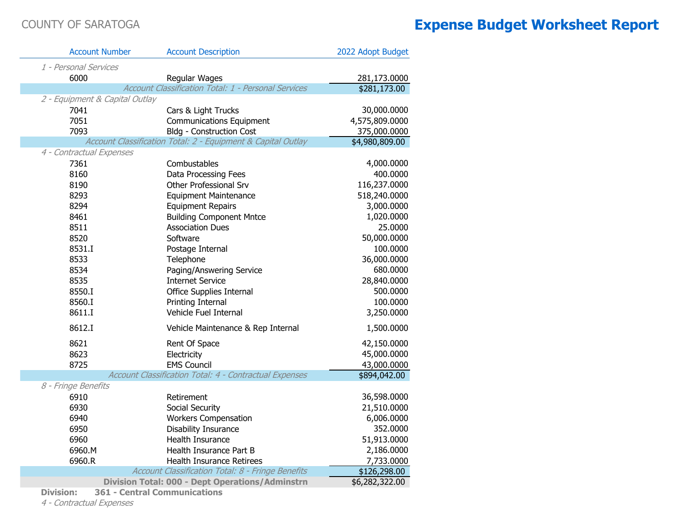| <b>Account Number</b>          | <b>Account Description</b>                                   | 2022 Adopt Budget |
|--------------------------------|--------------------------------------------------------------|-------------------|
| 1 - Personal Services          |                                                              |                   |
| 6000                           | Regular Wages                                                | 281,173.0000      |
|                                | Account Classification Total: 1 - Personal Services          | \$281,173.00      |
| 2 - Equipment & Capital Outlay |                                                              |                   |
| 7041                           | Cars & Light Trucks                                          | 30,000.0000       |
| 7051                           | <b>Communications Equipment</b>                              | 4,575,809.0000    |
| 7093                           | <b>Bldg - Construction Cost</b>                              | 375,000.0000      |
|                                | Account Classification Total: 2 - Equipment & Capital Outlay | \$4,980,809.00    |
| 4 - Contractual Expenses       |                                                              |                   |
| 7361                           | Combustables                                                 | 4,000.0000        |
| 8160                           | Data Processing Fees                                         | 400.0000          |
| 8190                           | Other Professional Srv                                       | 116,237.0000      |
| 8293                           | <b>Equipment Maintenance</b>                                 | 518,240.0000      |
| 8294                           | <b>Equipment Repairs</b>                                     | 3,000.0000        |
| 8461                           | <b>Building Component Mntce</b>                              | 1,020.0000        |
| 8511                           | <b>Association Dues</b>                                      | 25.0000           |
| 8520                           | Software                                                     | 50,000.0000       |
| 8531.I                         | Postage Internal                                             | 100.0000          |
| 8533                           | Telephone                                                    | 36,000.0000       |
| 8534                           | Paging/Answering Service                                     | 680.0000          |
| 8535                           | <b>Internet Service</b>                                      | 28,840.0000       |
| 8550.I                         | <b>Office Supplies Internal</b>                              | 500.0000          |
| 8560.I                         | Printing Internal                                            | 100.0000          |
| 8611.I                         | Vehicle Fuel Internal                                        | 3,250.0000        |
| 8612.I                         | Vehicle Maintenance & Rep Internal                           | 1,500.0000        |
| 8621                           | Rent Of Space                                                | 42,150.0000       |
| 8623                           | Electricity                                                  | 45,000.0000       |
| 8725                           | <b>EMS Council</b>                                           | 43,000.0000       |
|                                | Account Classification Total: 4 - Contractual Expenses       | \$894,042.00      |
| 8 - Fringe Benefits            |                                                              |                   |
| 6910                           | Retirement                                                   | 36,598.0000       |
| 6930                           | Social Security                                              | 21,510.0000       |
| 6940                           | <b>Workers Compensation</b>                                  | 6,006.0000        |
| 6950                           | Disability Insurance                                         | 352.0000          |
| 6960                           | Health Insurance                                             | 51,913.0000       |
| 6960.M                         | Health Insurance Part B                                      | 2,186.0000        |
| 6960.R                         | Health Insurance Retirees                                    | 7,733.0000        |
|                                | Account Classification Total: 8 - Fringe Benefits            | \$126,298.00      |
|                                | <b>Division Total: 000 - Dept Operations/Adminstrn</b>       | \$6,282,322.00    |

**Division: 361 - Central Communications**

4 - Contractual Expenses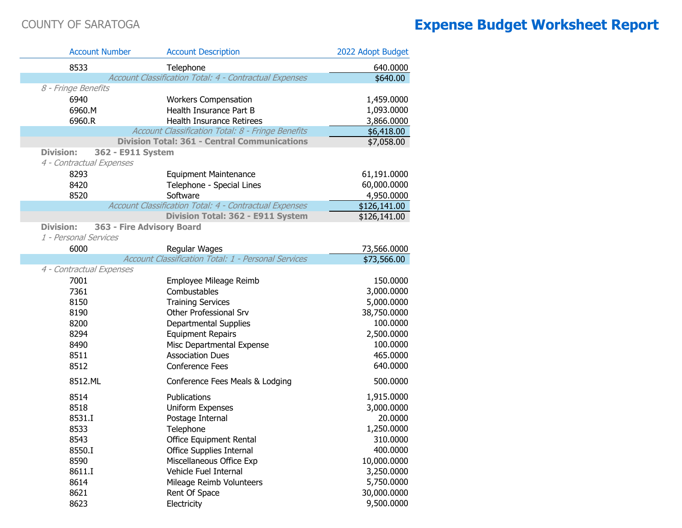| <b>Account Number</b>                 | <b>Account Description</b>                             | 2022 Adopt Budget |
|---------------------------------------|--------------------------------------------------------|-------------------|
| 8533                                  | Telephone                                              | 640.0000          |
|                                       | Account Classification Total: 4 - Contractual Expenses | \$640.00          |
| 8 - Fringe Benefits                   |                                                        |                   |
| 6940                                  | <b>Workers Compensation</b>                            | 1,459.0000        |
| 6960.M                                | Health Insurance Part B                                | 1,093.0000        |
| 6960.R                                | <b>Health Insurance Retirees</b>                       | 3,866.0000        |
|                                       | Account Classification Total: 8 - Fringe Benefits      | \$6,418.00        |
|                                       | <b>Division Total: 361 - Central Communications</b>    | \$7,058.00        |
| <b>Division:</b><br>362 - E911 System |                                                        |                   |
| 4 - Contractual Expenses              |                                                        |                   |
| 8293                                  | <b>Equipment Maintenance</b>                           | 61,191.0000       |
| 8420                                  | Telephone - Special Lines                              | 60,000.0000       |
| 8520                                  | Software                                               | 4,950.0000        |
|                                       | Account Classification Total: 4 - Contractual Expenses | \$126,141.00      |
|                                       | Division Total: 362 - E911 System                      | \$126,141.00      |
| <b>Division:</b>                      | 363 - Fire Advisory Board                              |                   |
| 1 - Personal Services                 |                                                        |                   |
| 6000                                  | Regular Wages                                          | 73,566.0000       |
|                                       | Account Classification Total: 1 - Personal Services    | \$73,566.00       |
| 4 - Contractual Expenses              |                                                        |                   |
| 7001                                  | Employee Mileage Reimb                                 | 150.0000          |
| 7361                                  | Combustables                                           | 3,000.0000        |
| 8150                                  | <b>Training Services</b>                               | 5,000.0000        |
| 8190                                  | Other Professional Srv                                 | 38,750.0000       |
| 8200                                  | <b>Departmental Supplies</b>                           | 100.0000          |
| 8294                                  | <b>Equipment Repairs</b>                               | 2,500.0000        |
| 8490                                  | Misc Departmental Expense                              | 100.0000          |
| 8511                                  | <b>Association Dues</b>                                | 465.0000          |
| 8512                                  | <b>Conference Fees</b>                                 | 640.0000          |
| 8512.ML                               | Conference Fees Meals & Lodging                        | 500.0000          |
| 8514                                  | Publications                                           | 1,915.0000        |
| 8518                                  | Uniform Expenses                                       | 3,000.0000        |
| 8531.I                                | Postage Internal                                       | 20.0000           |
| 8533                                  | Telephone                                              | 1,250.0000        |
| 8543                                  | <b>Office Equipment Rental</b>                         | 310.0000          |
| 8550.I                                | Office Supplies Internal                               | 400.0000          |
| 8590                                  | Miscellaneous Office Exp                               | 10,000.0000       |
| 8611.I                                | Vehicle Fuel Internal                                  | 3,250.0000        |
| 8614                                  | Mileage Reimb Volunteers                               | 5,750.0000        |
| 8621                                  | Rent Of Space                                          | 30,000.0000       |
| 8623                                  | Electricity                                            | 9,500.0000        |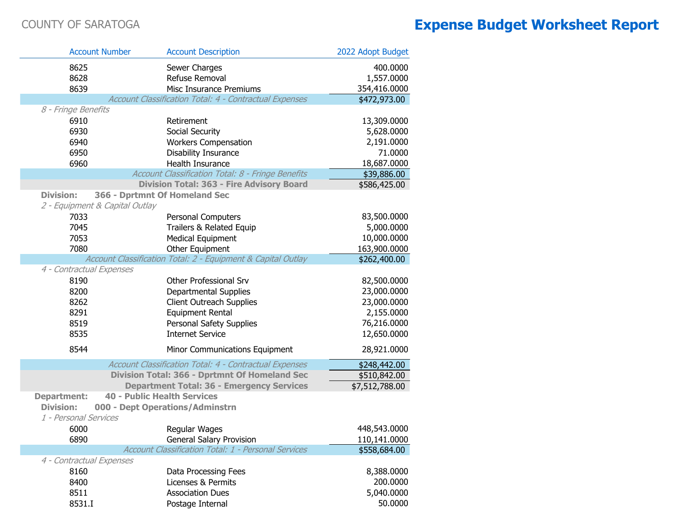|                          | <b>Account Number</b>              | <b>Account Description</b>                                   | 2022 Adopt Budget |
|--------------------------|------------------------------------|--------------------------------------------------------------|-------------------|
| 8625                     |                                    | Sewer Charges                                                | 400.0000          |
| 8628                     |                                    | Refuse Removal                                               | 1,557.0000        |
| 8639                     |                                    | Misc Insurance Premiums                                      | 354,416.0000      |
|                          |                                    | Account Classification Total: 4 - Contractual Expenses       | \$472,973.00      |
| 8 - Fringe Benefits      |                                    |                                                              |                   |
| 6910                     |                                    | Retirement                                                   | 13,309.0000       |
| 6930                     |                                    | Social Security                                              | 5,628.0000        |
| 6940                     |                                    | <b>Workers Compensation</b>                                  | 2,191.0000        |
| 6950                     |                                    | <b>Disability Insurance</b>                                  | 71.0000           |
| 6960                     |                                    | Health Insurance                                             | 18,687.0000       |
|                          |                                    | Account Classification Total: 8 - Fringe Benefits            | \$39,886.00       |
|                          |                                    | <b>Division Total: 363 - Fire Advisory Board</b>             | \$586,425.00      |
| <b>Division:</b>         |                                    | 366 - Dprtmnt Of Homeland Sec                                |                   |
|                          | 2 - Equipment & Capital Outlay     |                                                              |                   |
| 7033                     |                                    | Personal Computers                                           | 83,500.0000       |
| 7045                     |                                    | Trailers & Related Equip                                     | 5,000.0000        |
| 7053                     |                                    | <b>Medical Equipment</b>                                     | 10,000.0000       |
| 7080                     |                                    | Other Equipment                                              | 163,900.0000      |
|                          |                                    | Account Classification Total: 2 - Equipment & Capital Outlay | \$262,400.00      |
| 4 - Contractual Expenses |                                    |                                                              |                   |
| 8190                     |                                    | Other Professional Srv                                       | 82,500.0000       |
| 8200                     |                                    | <b>Departmental Supplies</b>                                 | 23,000.0000       |
| 8262                     |                                    | <b>Client Outreach Supplies</b>                              | 23,000.0000       |
| 8291                     |                                    | <b>Equipment Rental</b>                                      | 2,155.0000        |
| 8519                     |                                    | Personal Safety Supplies                                     | 76,216.0000       |
| 8535                     |                                    | <b>Internet Service</b>                                      | 12,650.0000       |
| 8544                     |                                    | Minor Communications Equipment                               | 28,921.0000       |
|                          |                                    | Account Classification Total: 4 - Contractual Expenses       | \$248,442.00      |
|                          |                                    | Division Total: 366 - Dprtmnt Of Homeland Sec                | \$510,842.00      |
|                          |                                    | <b>Department Total: 36 - Emergency Services</b>             | \$7,512,788.00    |
| <b>Department:</b>       | <b>40 - Public Health Services</b> |                                                              |                   |
| <b>Division:</b>         |                                    | 000 - Dept Operations/Adminstrn                              |                   |
| 1 - Personal Services    |                                    |                                                              |                   |
| 6000                     |                                    | Regular Wages                                                | 448,543.0000      |
| 6890                     |                                    | <b>General Salary Provision</b>                              | 110,141.0000      |
|                          |                                    | Account Classification Total: 1 - Personal Services          | \$558,684.00      |
| 4 - Contractual Expenses |                                    |                                                              |                   |
| 8160                     |                                    | Data Processing Fees                                         | 8,388.0000        |
| 8400                     |                                    | Licenses & Permits                                           | 200.0000          |
| 8511                     |                                    | <b>Association Dues</b>                                      | 5,040.0000        |
| 8531.I                   |                                    | Postage Internal                                             | 50.0000           |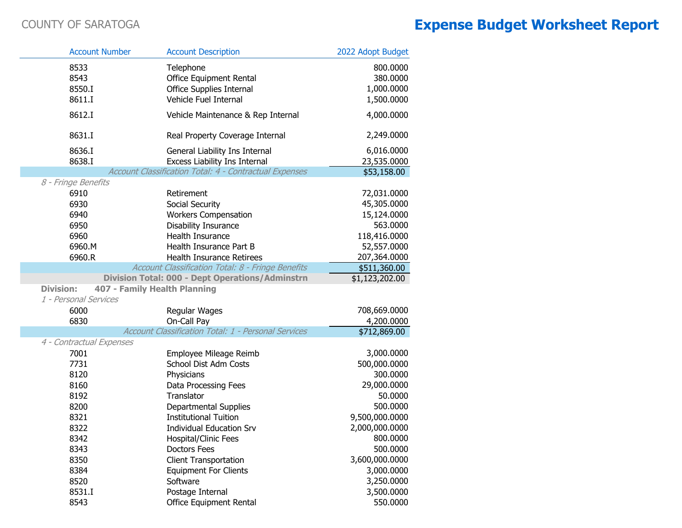|                        | <b>Account Number</b>        | <b>Account Description</b>                                              | 2022 Adopt Budget                  |
|------------------------|------------------------------|-------------------------------------------------------------------------|------------------------------------|
| 8533<br>8543<br>8550.I |                              | Telephone<br>Office Equipment Rental<br><b>Office Supplies Internal</b> | 800.0000<br>380.0000<br>1,000.0000 |
| 8611.I                 |                              | Vehicle Fuel Internal                                                   | 1,500.0000                         |
| 8612.I                 |                              | Vehicle Maintenance & Rep Internal                                      | 4,000.0000                         |
| 8631.I                 |                              | Real Property Coverage Internal                                         | 2,249.0000                         |
| 8636.I                 |                              | General Liability Ins Internal                                          | 6,016.0000                         |
| 8638.I                 |                              | Excess Liability Ins Internal                                           | 23,535.0000                        |
|                        |                              | Account Classification Total: 4 - Contractual Expenses                  | \$53,158.00                        |
| 8 - Fringe Benefits    |                              |                                                                         |                                    |
| 6910                   |                              | Retirement                                                              | 72,031.0000                        |
| 6930                   |                              | Social Security                                                         | 45,305.0000                        |
| 6940                   |                              | <b>Workers Compensation</b>                                             | 15,124.0000                        |
| 6950                   |                              | Disability Insurance                                                    | 563.0000                           |
| 6960                   |                              | Health Insurance                                                        | 118,416.0000                       |
| 6960.M                 |                              | Health Insurance Part B                                                 | 52,557.0000                        |
| 6960.R                 |                              | Health Insurance Retirees                                               | 207,364.0000                       |
|                        |                              | Account Classification Total: 8 - Fringe Benefits                       | \$511,360.00                       |
|                        |                              | <b>Division Total: 000 - Dept Operations/Adminstrn</b>                  | \$1,123,202.00                     |
| <b>Division:</b>       | 407 - Family Health Planning |                                                                         |                                    |
| 1 - Personal Services  |                              |                                                                         |                                    |
| 6000                   |                              | Regular Wages                                                           | 708,669.0000                       |
| 6830                   |                              | On-Call Pay<br>Account Classification Total: 1 - Personal Services      | 4,200.0000                         |
|                        |                              |                                                                         | \$712,869.00                       |
|                        | 4 - Contractual Expenses     |                                                                         |                                    |
| 7001                   |                              | Employee Mileage Reimb                                                  | 3,000.0000                         |
| 7731                   |                              | School Dist Adm Costs                                                   | 500,000.0000<br>300.0000           |
| 8120                   |                              | Physicians                                                              |                                    |
| 8160<br>8192           |                              | Data Processing Fees<br>Translator                                      | 29,000.0000<br>50.0000             |
| 8200                   |                              | <b>Departmental Supplies</b>                                            | 500.0000                           |
| 8321                   |                              | <b>Institutional Tuition</b>                                            | 9,500,000.0000                     |
| 8322                   |                              | <b>Individual Education Srv</b>                                         | 2,000,000.0000                     |
| 8342                   |                              | Hospital/Clinic Fees                                                    | 800.0000                           |
| 8343                   |                              | <b>Doctors Fees</b>                                                     | 500.0000                           |
| 8350                   |                              | <b>Client Transportation</b>                                            | 3,600,000.0000                     |
| 8384                   |                              | <b>Equipment For Clients</b>                                            | 3,000.0000                         |
| 8520                   |                              | Software                                                                | 3,250.0000                         |
| 8531.I                 |                              | Postage Internal                                                        | 3,500.0000                         |
| 8543                   |                              | Office Equipment Rental                                                 | 550.0000                           |
|                        |                              |                                                                         |                                    |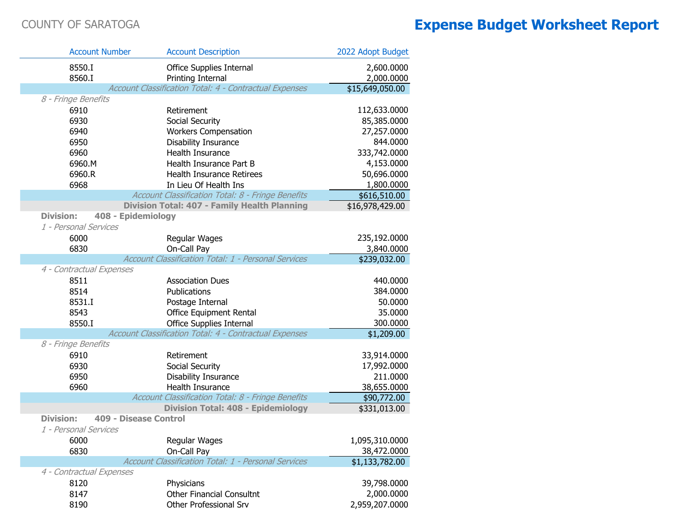| <b>Account Number</b>                  | <b>Account Description</b>                             | 2022 Adopt Budget          |
|----------------------------------------|--------------------------------------------------------|----------------------------|
| 8550.I                                 | Office Supplies Internal                               | 2,600.0000                 |
| 8560.I                                 | Printing Internal                                      | 2,000.0000                 |
|                                        | Account Classification Total: 4 - Contractual Expenses | \$15,649,050.00            |
| 8 - Fringe Benefits                    |                                                        |                            |
| 6910                                   | Retirement                                             | 112,633.0000               |
| 6930                                   | Social Security                                        | 85,385.0000                |
| 6940                                   | <b>Workers Compensation</b>                            | 27,257.0000                |
| 6950                                   | Disability Insurance                                   | 844.0000                   |
| 6960                                   | <b>Health Insurance</b>                                | 333,742.0000               |
| 6960.M                                 | Health Insurance Part B                                | 4,153.0000                 |
| 6960.R                                 | <b>Health Insurance Retirees</b>                       | 50,696.0000                |
| 6968                                   | In Lieu Of Health Ins                                  | 1,800.0000                 |
|                                        | Account Classification Total: 8 - Fringe Benefits      | \$616,510.00               |
|                                        | Division Total: 407 - Family Health Planning           | \$16,978,429.00            |
| <b>Division:</b><br>408 - Epidemiology |                                                        |                            |
| 1 - Personal Services                  |                                                        |                            |
| 6000                                   | Regular Wages                                          | 235,192.0000               |
| 6830                                   | On-Call Pay                                            | 3,840.0000                 |
|                                        | Account Classification Total: 1 - Personal Services    | \$239,032.00               |
| 4 - Contractual Expenses               |                                                        |                            |
| 8511                                   | <b>Association Dues</b>                                | 440.0000                   |
| 8514                                   | Publications                                           | 384.0000                   |
| 8531.I                                 | Postage Internal                                       | 50.0000                    |
| 8543                                   | Office Equipment Rental                                | 35.0000                    |
| 8550.I                                 | <b>Office Supplies Internal</b>                        | 300.0000                   |
|                                        | Account Classification Total: 4 - Contractual Expenses | \$1,209.00                 |
| 8 - Fringe Benefits                    | Retirement                                             |                            |
| 6910<br>6930                           | Social Security                                        | 33,914.0000<br>17,992.0000 |
| 6950                                   | Disability Insurance                                   | 211.0000                   |
| 6960                                   | Health Insurance                                       | 38,655.0000                |
|                                        | Account Classification Total: 8 - Fringe Benefits      | \$90,772.00                |
|                                        | <b>Division Total: 408 - Epidemiology</b>              | \$331,013.00               |
| <b>Division:</b>                       | 409 - Disease Control                                  |                            |
| 1 - Personal Services                  |                                                        |                            |
| 6000                                   | Regular Wages                                          | 1,095,310.0000             |
| 6830                                   | On-Call Pay                                            | 38,472.0000                |
|                                        | Account Classification Total: 1 - Personal Services    | \$1,133,782.00             |
| 4 - Contractual Expenses               |                                                        |                            |
| 8120                                   | Physicians                                             | 39,798.0000                |
| 8147                                   | <b>Other Financial Consultnt</b>                       | 2,000.0000                 |
| 8190                                   | Other Professional Srv                                 | 2,959,207.0000             |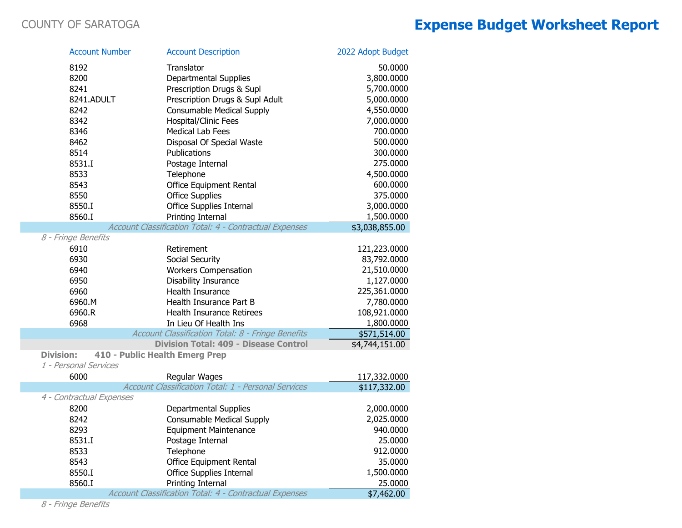F

П

### COUNTY OF SARATOGA **Expense Budget Worksheet Report**

| <b>Account Number</b>                     | <b>Account Description</b>                                    | 2022 Adopt Budget |
|-------------------------------------------|---------------------------------------------------------------|-------------------|
| 8192                                      | Translator                                                    | 50.0000           |
| 8200                                      | <b>Departmental Supplies</b>                                  | 3,800.0000        |
| 8241                                      | Prescription Drugs & Supl                                     | 5,700.0000        |
| 8241.ADULT                                | Prescription Drugs & Supl Adult                               | 5,000.0000        |
| 8242                                      | Consumable Medical Supply                                     | 4,550.0000        |
| 8342                                      | Hospital/Clinic Fees                                          | 7,000.0000        |
| 8346                                      | <b>Medical Lab Fees</b>                                       | 700.0000          |
| 8462                                      | Disposal Of Special Waste                                     | 500.0000          |
| 8514                                      | Publications                                                  | 300.0000          |
| 8531.I                                    | Postage Internal                                              | 275.0000          |
| 8533                                      | Telephone                                                     | 4,500.0000        |
| 8543                                      | Office Equipment Rental                                       | 600.0000          |
| 8550                                      | <b>Office Supplies</b>                                        | 375.0000          |
| 8550.I                                    | Office Supplies Internal                                      | 3,000.0000        |
| 8560.I                                    | Printing Internal                                             | 1,500.0000        |
|                                           | Account Classification Total: 4 - Contractual Expenses        | \$3,038,855.00    |
| 8 - Fringe Benefits                       |                                                               |                   |
| 6910                                      | Retirement                                                    | 121,223.0000      |
| 6930                                      | Social Security                                               | 83,792.0000       |
| 6940                                      | <b>Workers Compensation</b>                                   | 21,510.0000       |
| 6950                                      | Disability Insurance                                          | 1,127.0000        |
| 6960                                      | Health Insurance                                              | 225,361.0000      |
| 6960.M                                    | Health Insurance Part B                                       | 7,780.0000        |
| 6960.R                                    | Health Insurance Retirees                                     | 108,921.0000      |
| 6968                                      | In Lieu Of Health Ins                                         | 1,800.0000        |
|                                           | Account Classification Total: 8 - Fringe Benefits             | \$571,514.00      |
|                                           | <b>Division Total: 409 - Disease Control</b>                  | \$4,744,151.00    |
| <b>Division:</b><br>1 - Personal Services | 410 - Public Health Emerg Prep                                |                   |
| 6000                                      | Regular Wages                                                 | 117,332.0000      |
|                                           | Account Classification Total: 1 - Personal Services           | \$117,332.00      |
| 4 - Contractual Expenses                  |                                                               |                   |
| 8200                                      | Departmental Supplies                                         | 2,000.0000        |
| 8242                                      | Consumable Medical Supply                                     | 2,025.0000        |
| 8293                                      | <b>Equipment Maintenance</b>                                  | 940.0000          |
| 8531.I                                    | Postage Internal                                              | 25.0000           |
| 8533                                      | Telephone                                                     | 912.0000          |
| 8543                                      | <b>Office Equipment Rental</b>                                | 35.0000           |
| 8550.I                                    | Office Supplies Internal                                      | 1,500.0000        |
| 8560.I                                    | Printing Internal                                             | 25.0000           |
|                                           | <b>Account Classification Total: 4 - Contractual Expenses</b> | \$7,462.00        |

8 - Fringe Benefits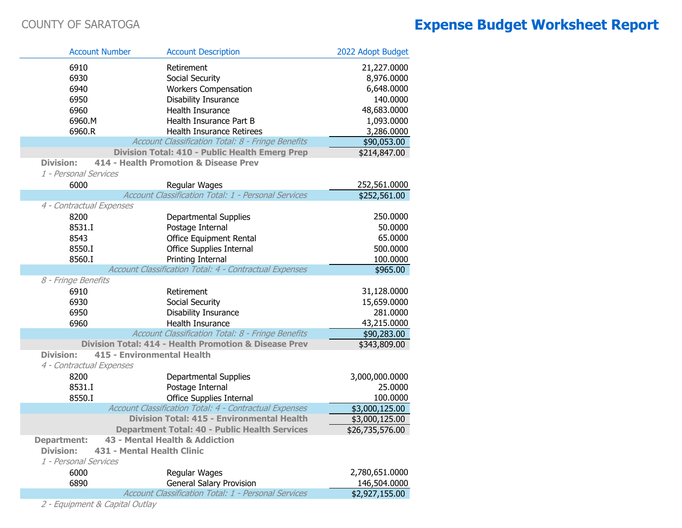| <b>Account Number</b>    | <b>Account Description</b>                                       | 2022 Adopt Budget |
|--------------------------|------------------------------------------------------------------|-------------------|
| 6910                     | Retirement                                                       | 21,227.0000       |
| 6930                     | Social Security                                                  | 8,976.0000        |
| 6940                     | <b>Workers Compensation</b>                                      | 6,648.0000        |
| 6950                     | Disability Insurance                                             | 140.0000          |
| 6960                     | Health Insurance                                                 | 48,683.0000       |
| 6960.M                   | Health Insurance Part B                                          | 1,093.0000        |
| 6960.R                   | Health Insurance Retirees                                        | 3,286.0000        |
|                          | Account Classification Total: 8 - Fringe Benefits                | \$90,053.00       |
|                          | Division Total: 410 - Public Health Emerg Prep                   | \$214,847.00      |
| <b>Division:</b>         | 414 - Health Promotion & Disease Prev                            |                   |
| 1 - Personal Services    |                                                                  |                   |
| 6000                     | Regular Wages                                                    | 252,561.0000      |
|                          | Account Classification Total: 1 - Personal Services              | \$252,561.00      |
| 4 - Contractual Expenses |                                                                  |                   |
| 8200                     | Departmental Supplies                                            | 250.0000          |
| 8531.I                   | Postage Internal                                                 | 50.0000           |
| 8543                     | <b>Office Equipment Rental</b>                                   | 65.0000           |
| 8550.I                   | Office Supplies Internal                                         | 500.0000          |
| 8560.I                   | Printing Internal                                                | 100.0000          |
|                          | Account Classification Total: 4 - Contractual Expenses           | \$965.00          |
| 8 - Fringe Benefits      |                                                                  |                   |
| 6910                     | Retirement                                                       | 31,128.0000       |
| 6930                     | Social Security                                                  | 15,659.0000       |
| 6950                     | Disability Insurance                                             | 281.0000          |
| 6960                     | Health Insurance                                                 | 43,215.0000       |
|                          | Account Classification Total: 8 - Fringe Benefits                | \$90,283.00       |
|                          | <b>Division Total: 414 - Health Promotion &amp; Disease Prev</b> | \$343,809.00      |
| <b>Division:</b>         | <b>415 - Environmental Health</b>                                |                   |
| 4 - Contractual Expenses |                                                                  |                   |
| 8200                     | Departmental Supplies                                            | 3,000,000.0000    |
| 8531.I                   | Postage Internal                                                 | 25.0000           |
| 8550.I                   | Office Supplies Internal                                         | 100.0000          |
|                          | Account Classification Total: 4 - Contractual Expenses           | \$3,000,125.00    |
|                          | Division Total: 415 - Environmental Health                       | \$3,000,125.00    |
|                          | <b>Department Total: 40 - Public Health Services</b>             | \$26,735,576.00   |
| <b>Department:</b>       | 43 - Mental Health & Addiction                                   |                   |
| <b>Division:</b>         | 431 - Mental Health Clinic                                       |                   |
| 1 - Personal Services    |                                                                  |                   |
| 6000                     | Regular Wages                                                    | 2,780,651.0000    |
| 6890                     | <b>General Salary Provision</b>                                  | 146,504.0000      |
|                          | Account Classification Total: 1 - Personal Services              | \$2,927,155.00    |

2 - Equipment & Capital Outlay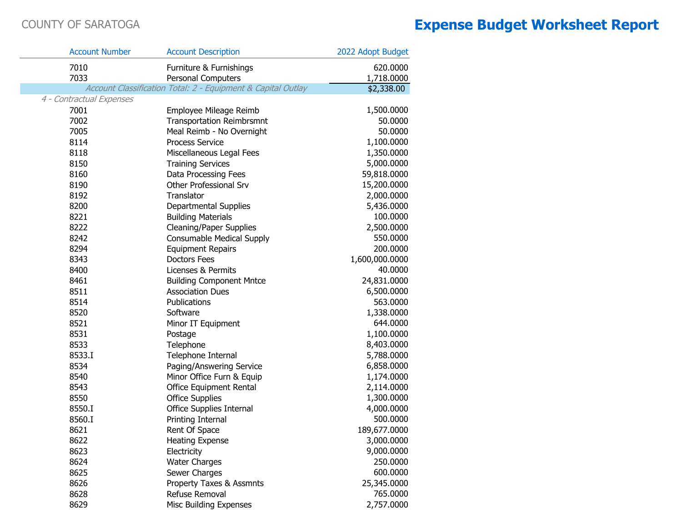| <b>Account Number</b>    | <b>Account Description</b>                                   | 2022 Adopt Budget |
|--------------------------|--------------------------------------------------------------|-------------------|
| 7010                     | Furniture & Furnishings                                      | 620.0000          |
| 7033                     | <b>Personal Computers</b>                                    | 1,718.0000        |
|                          | Account Classification Total: 2 - Equipment & Capital Outlay | \$2,338.00        |
| 4 - Contractual Expenses |                                                              |                   |
| 7001                     | Employee Mileage Reimb                                       | 1,500.0000        |
| 7002                     | <b>Transportation Reimbrsmnt</b>                             | 50.0000           |
| 7005                     | Meal Reimb - No Overnight                                    | 50.0000           |
| 8114                     | <b>Process Service</b>                                       | 1,100.0000        |
| 8118                     | Miscellaneous Legal Fees                                     | 1,350.0000        |
| 8150                     | <b>Training Services</b>                                     | 5,000.0000        |
| 8160                     | Data Processing Fees                                         | 59,818.0000       |
| 8190                     | Other Professional Srv                                       | 15,200.0000       |
| 8192                     | Translator                                                   | 2,000.0000        |
| 8200                     | Departmental Supplies                                        | 5,436.0000        |
| 8221                     | <b>Building Materials</b>                                    | 100.0000          |
| 8222                     | <b>Cleaning/Paper Supplies</b>                               | 2,500.0000        |
| 8242                     | <b>Consumable Medical Supply</b>                             | 550.0000          |
| 8294                     | <b>Equipment Repairs</b>                                     | 200.0000          |
| 8343                     | <b>Doctors Fees</b>                                          | 1,600,000.0000    |
| 8400                     | Licenses & Permits                                           | 40.0000           |
| 8461                     | <b>Building Component Mntce</b>                              | 24,831.0000       |
| 8511                     | <b>Association Dues</b>                                      | 6,500.0000        |
| 8514                     | Publications                                                 | 563.0000          |
| 8520                     | Software                                                     | 1,338.0000        |
| 8521                     | Minor IT Equipment                                           | 644.0000          |
| 8531                     | Postage                                                      | 1,100.0000        |
| 8533                     | Telephone                                                    | 8,403.0000        |
| 8533.I                   | Telephone Internal                                           | 5,788.0000        |
| 8534                     | Paging/Answering Service                                     | 6,858.0000        |
| 8540                     | Minor Office Furn & Equip                                    | 1,174.0000        |
| 8543                     | Office Equipment Rental                                      | 2,114.0000        |
| 8550                     | <b>Office Supplies</b>                                       | 1,300.0000        |
| 8550.I                   | Office Supplies Internal                                     | 4,000.0000        |
| 8560.I                   | Printing Internal                                            | 500.0000          |
| 8621                     | Rent Of Space                                                | 189,677.0000      |
| 8622                     | <b>Heating Expense</b>                                       | 3,000.0000        |
| 8623                     | Electricity                                                  | 9,000.0000        |
| 8624                     | <b>Water Charges</b>                                         | 250.0000          |
| 8625                     | Sewer Charges                                                | 600.0000          |
| 8626                     | Property Taxes & Assmnts                                     | 25,345.0000       |
| 8628                     | Refuse Removal                                               | 765.0000          |
| 8629                     | Misc Building Expenses                                       | 2,757.0000        |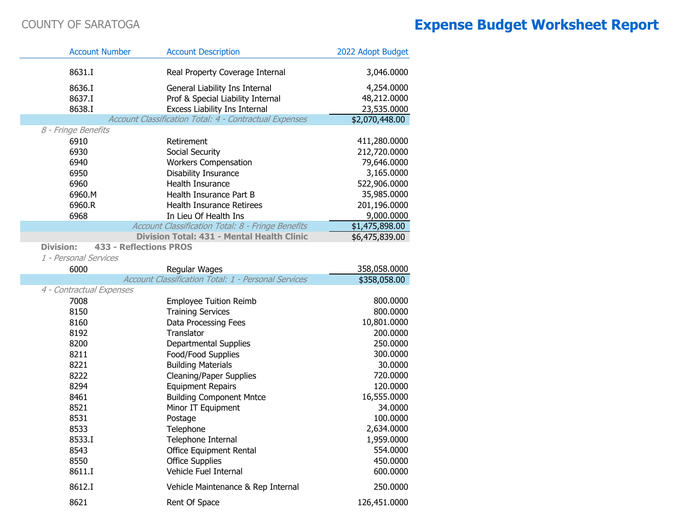| <b>Account Number</b>                             | <b>Account Description</b>                                    | 2022 Adopt Budget |
|---------------------------------------------------|---------------------------------------------------------------|-------------------|
| 8631.I                                            | Real Property Coverage Internal                               | 3,046.0000        |
| 8636.I                                            | General Liability Ins Internal                                | 4,254.0000        |
| 8637.I                                            | Prof & Special Liability Internal                             | 48,212.0000       |
| 8638.I                                            | Excess Liability Ins Internal                                 | 23,535.0000       |
|                                                   | <b>Account Classification Total: 4 - Contractual Expenses</b> | \$2,070,448.00    |
| 8 - Fringe Benefits                               |                                                               |                   |
| 6910                                              | Retirement                                                    | 411,280.0000      |
| 6930                                              | Social Security                                               | 212,720.0000      |
| 6940                                              | <b>Workers Compensation</b>                                   | 79,646.0000       |
| 6950                                              | <b>Disability Insurance</b>                                   | 3,165.0000        |
| 6960                                              | Health Insurance                                              | 522,906.0000      |
| 6960.M                                            | Health Insurance Part B                                       | 35,985.0000       |
| 6960.R                                            | Health Insurance Retirees                                     | 201,196.0000      |
| 6968                                              | In Lieu Of Health Ins                                         | 9,000.0000        |
|                                                   | Account Classification Total: 8 - Fringe Benefits             | \$1,475,898.00    |
|                                                   | Division Total: 431 - Mental Health Clinic                    | \$6,475,839.00    |
| <b>Division:</b><br><b>433 - Reflections PROS</b> |                                                               |                   |
| 1 - Personal Services                             |                                                               |                   |
| 6000                                              | Regular Wages                                                 | 358,058.0000      |
|                                                   | Account Classification Total: 1 - Personal Services           | \$358,058.00      |
| 4 - Contractual Expenses                          |                                                               |                   |
| 7008                                              | <b>Employee Tuition Reimb</b>                                 | 800.0000          |
| 8150                                              | <b>Training Services</b>                                      | 800.0000          |
| 8160                                              | Data Processing Fees                                          | 10,801.0000       |
| 8192                                              | Translator                                                    | 200.0000          |
| 8200                                              | Departmental Supplies                                         | 250.0000          |
| 8211                                              | Food/Food Supplies                                            | 300.0000          |
| 8221                                              | <b>Building Materials</b>                                     | 30.0000           |
| 8222                                              | <b>Cleaning/Paper Supplies</b>                                | 720.0000          |
| 8294                                              | <b>Equipment Repairs</b>                                      | 120.0000          |
| 8461                                              | <b>Building Component Mntce</b>                               | 16,555.0000       |
| 8521                                              | Minor IT Equipment                                            | 34.0000           |
| 8531                                              | Postage                                                       | 100.0000          |
| 8533                                              | Telephone                                                     | 2,634.0000        |
| 8533.I                                            | Telephone Internal                                            | 1,959.0000        |
| 8543                                              | Office Equipment Rental                                       | 554.0000          |
| 8550                                              | <b>Office Supplies</b>                                        | 450.0000          |
| 8611.I                                            | Vehicle Fuel Internal                                         | 600.0000          |
| 8612.I                                            | Vehicle Maintenance & Rep Internal                            | 250.0000          |
| 8621                                              | Rent Of Space                                                 | 126,451.0000      |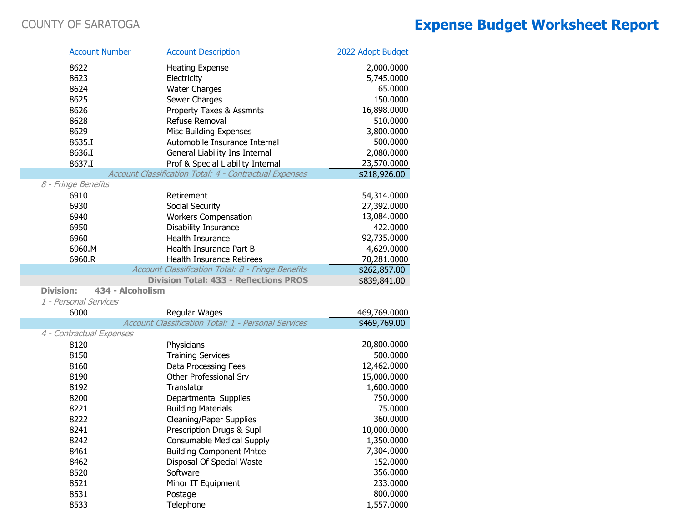| <b>Account Number</b>                | <b>Account Description</b>                             | 2022 Adopt Budget |
|--------------------------------------|--------------------------------------------------------|-------------------|
| 8622                                 | <b>Heating Expense</b>                                 | 2,000.0000        |
| 8623                                 | Electricity                                            | 5,745.0000        |
| 8624                                 | <b>Water Charges</b>                                   | 65.0000           |
| 8625                                 | Sewer Charges                                          | 150.0000          |
| 8626                                 | Property Taxes & Assmnts                               | 16,898.0000       |
| 8628                                 | Refuse Removal                                         | 510.0000          |
| 8629                                 | Misc Building Expenses                                 | 3,800.0000        |
| 8635.I                               | Automobile Insurance Internal                          | 500.0000          |
| 8636.I                               | General Liability Ins Internal                         | 2,080.0000        |
| 8637.I                               | Prof & Special Liability Internal                      | 23,570.0000       |
|                                      | Account Classification Total: 4 - Contractual Expenses | \$218,926.00      |
| 8 - Fringe Benefits                  |                                                        |                   |
| 6910                                 | Retirement                                             | 54,314.0000       |
| 6930                                 | Social Security                                        | 27,392.0000       |
| 6940                                 | <b>Workers Compensation</b>                            | 13,084.0000       |
| 6950                                 | <b>Disability Insurance</b>                            | 422.0000          |
| 6960                                 | Health Insurance                                       | 92,735.0000       |
| 6960.M                               | Health Insurance Part B                                | 4,629.0000        |
| 6960.R                               | Health Insurance Retirees                              | 70,281.0000       |
|                                      | Account Classification Total: 8 - Fringe Benefits      | \$262,857.00      |
|                                      | <b>Division Total: 433 - Reflections PROS</b>          | \$839,841.00      |
| 434 - Alcoholism<br><b>Division:</b> |                                                        |                   |
| 1 - Personal Services                |                                                        |                   |
| 6000                                 | Regular Wages                                          | 469,769.0000      |
|                                      | Account Classification Total: 1 - Personal Services    | \$469,769.00      |
| 4 - Contractual Expenses             |                                                        |                   |
| 8120                                 | Physicians                                             | 20,800.0000       |
| 8150                                 | <b>Training Services</b>                               | 500.0000          |
| 8160                                 | Data Processing Fees                                   | 12,462.0000       |
| 8190                                 | Other Professional Srv                                 | 15,000.0000       |
| 8192                                 | Translator                                             | 1,600.0000        |
| 8200                                 | Departmental Supplies                                  | 750.0000          |
| 8221                                 | <b>Building Materials</b>                              | 75.0000           |
| 8222                                 | <b>Cleaning/Paper Supplies</b>                         | 360.0000          |
| 8241                                 | Prescription Drugs & Supl                              | 10,000.0000       |
| 8242                                 | Consumable Medical Supply                              | 1,350.0000        |
| 8461                                 | <b>Building Component Mntce</b>                        | 7,304.0000        |
| 8462                                 | Disposal Of Special Waste                              | 152.0000          |
| 8520                                 | Software                                               | 356.0000          |
| 8521                                 | Minor IT Equipment                                     | 233.0000          |
| 8531                                 | Postage                                                | 800.0000          |
| 8533                                 | Telephone                                              | 1,557.0000        |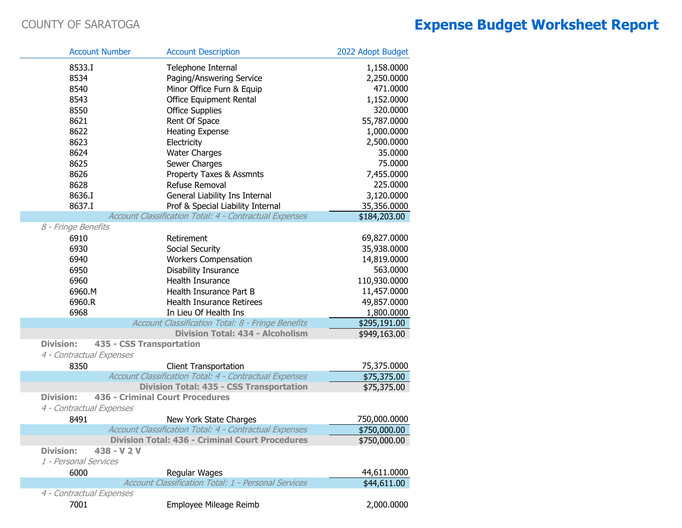| <b>Account Number</b>           | <b>Account Description</b>                                    | 2022 Adopt Budget      |
|---------------------------------|---------------------------------------------------------------|------------------------|
|                                 |                                                               |                        |
| 8533.I                          | Telephone Internal                                            | 1,158.0000             |
| 8534                            | Paging/Answering Service                                      | 2,250.0000             |
| 8540<br>8543                    | Minor Office Furn & Equip                                     | 471.0000<br>1,152.0000 |
| 8550                            | <b>Office Equipment Rental</b>                                | 320.0000               |
| 8621                            | <b>Office Supplies</b><br>Rent Of Space                       | 55,787.0000            |
| 8622                            | <b>Heating Expense</b>                                        | 1,000.0000             |
| 8623                            | Electricity                                                   | 2,500.0000             |
| 8624                            | <b>Water Charges</b>                                          | 35.0000                |
| 8625                            | Sewer Charges                                                 | 75.0000                |
| 8626                            | Property Taxes & Assmnts                                      | 7,455.0000             |
| 8628                            | Refuse Removal                                                | 225.0000               |
| 8636.I                          | General Liability Ins Internal                                | 3,120.0000             |
| 8637.I                          | Prof & Special Liability Internal                             | 35,356.0000            |
|                                 | Account Classification Total: 4 - Contractual Expenses        | \$184,203.00           |
| 8 - Fringe Benefits             |                                                               |                        |
| 6910                            | Retirement                                                    | 69,827.0000            |
| 6930                            | Social Security                                               | 35,938.0000            |
| 6940                            | <b>Workers Compensation</b>                                   | 14,819.0000            |
| 6950                            | Disability Insurance                                          | 563.0000               |
| 6960                            | Health Insurance                                              | 110,930.0000           |
| 6960.M                          | Health Insurance Part B                                       | 11,457.0000            |
| 6960.R                          | Health Insurance Retirees                                     | 49,857.0000            |
| 6968                            | In Lieu Of Health Ins                                         | 1,800.0000             |
|                                 | Account Classification Total: 8 - Fringe Benefits             | \$295,191.00           |
|                                 | <b>Division Total: 434 - Alcoholism</b>                       | \$949,163.00           |
| <b>Division:</b>                | 435 - CSS Transportation                                      |                        |
| 4 - Contractual Expenses        |                                                               |                        |
| 8350                            | <b>Client Transportation</b>                                  | 75,375.0000            |
|                                 | Account Classification Total: 4 - Contractual Expenses        | \$75,375.00            |
|                                 | <b>Division Total: 435 - CSS Transportation</b>               | \$75,375.00            |
| <b>Division:</b>                | <b>436 - Criminal Court Procedures</b>                        |                        |
| 4 - Contractual Expenses        |                                                               |                        |
| 8491                            | New York State Charges                                        | 750,000.0000           |
|                                 | <b>Account Classification Total: 4 - Contractual Expenses</b> | \$750,000.00           |
|                                 | <b>Division Total: 436 - Criminal Court Procedures</b>        | \$750,000.00           |
| <b>Division:</b><br>438 - V 2 V |                                                               |                        |
| 1 - Personal Services           |                                                               |                        |
| 6000                            | Regular Wages                                                 | 44,611.0000            |
|                                 | Account Classification Total: 1 - Personal Services           | \$44,611.00            |
| 4 - Contractual Expenses        |                                                               |                        |
| 7001                            | Employee Mileage Reimb                                        | 2,000.0000             |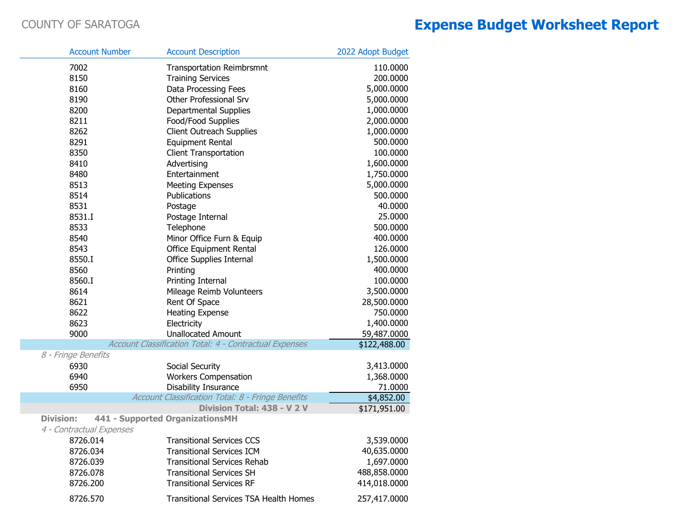| <b>Account Number</b>       | <b>Account Description</b>                             |                                                   | 2022 Adopt Budget        |
|-----------------------------|--------------------------------------------------------|---------------------------------------------------|--------------------------|
| 7002                        |                                                        | <b>Transportation Reimbrsmnt</b>                  | 110.0000                 |
| 8150                        | <b>Training Services</b>                               |                                                   | 200.0000                 |
| 8160                        | Data Processing Fees                                   |                                                   | 5,000.0000               |
| 8190                        | <b>Other Professional Srv</b>                          |                                                   | 5,000.0000               |
| 8200                        | <b>Departmental Supplies</b>                           |                                                   | 1,000.0000               |
| 8211                        | Food/Food Supplies                                     |                                                   | 2,000.0000               |
| 8262                        | <b>Client Outreach Supplies</b>                        |                                                   | 1,000.0000               |
| 8291                        | <b>Equipment Rental</b>                                |                                                   | 500.0000                 |
| 8350                        | <b>Client Transportation</b>                           |                                                   | 100.0000                 |
| 8410                        | Advertising                                            |                                                   | 1,600.0000               |
| 8480                        | Entertainment                                          |                                                   | 1,750.0000               |
| 8513                        | <b>Meeting Expenses</b>                                |                                                   | 5,000.0000               |
| 8514                        | Publications                                           |                                                   | 500.0000                 |
| 8531                        | Postage                                                |                                                   | 40.0000                  |
| 8531.I                      | Postage Internal                                       |                                                   | 25.0000                  |
| 8533                        | Telephone                                              |                                                   | 500.0000                 |
| 8540                        |                                                        | Minor Office Furn & Equip                         | 400.0000                 |
| 8543                        | Office Equipment Rental                                |                                                   | 126.0000                 |
| 8550.I                      | <b>Office Supplies Internal</b>                        |                                                   | 1,500.0000               |
| 8560                        | Printing                                               |                                                   | 400.0000                 |
| 8560.I                      | Printing Internal                                      |                                                   | 100.0000                 |
| 8614                        |                                                        | Mileage Reimb Volunteers                          | 3,500.0000               |
| 8621                        | Rent Of Space                                          |                                                   | 28,500.0000              |
| 8622                        | <b>Heating Expense</b>                                 |                                                   | 750.0000                 |
| 8623                        | Electricity                                            |                                                   | 1,400.0000               |
| 9000                        | <b>Unallocated Amount</b>                              |                                                   | 59,487.0000              |
|                             | Account Classification Total: 4 - Contractual Expenses |                                                   | \$122,488.00             |
| 8 - Fringe Benefits<br>6930 |                                                        |                                                   |                          |
| 6940                        | Social Security                                        |                                                   | 3,413.0000<br>1,368.0000 |
| 6950                        | <b>Workers Compensation</b><br>Disability Insurance    |                                                   | 71.0000                  |
|                             |                                                        | Account Classification Total: 8 - Fringe Benefits | \$4,852.00               |
|                             |                                                        | Division Total: 438 - V 2 V                       | \$171,951.00             |
| <b>Division:</b>            | 441 - Supported OrganizationsMH                        |                                                   |                          |
| 4 - Contractual Expenses    |                                                        |                                                   |                          |
| 8726.014                    |                                                        | <b>Transitional Services CCS</b>                  | 3,539.0000               |
| 8726.034                    |                                                        | <b>Transitional Services ICM</b>                  | 40,635.0000              |
| 8726.039                    |                                                        | <b>Transitional Services Rehab</b>                | 1,697.0000               |
| 8726.078                    | <b>Transitional Services SH</b>                        |                                                   | 488,858.0000             |
| 8726.200                    | <b>Transitional Services RF</b>                        |                                                   | 414,018.0000             |
| 8726.570                    |                                                        | <b>Transitional Services TSA Health Homes</b>     | 257,417.0000             |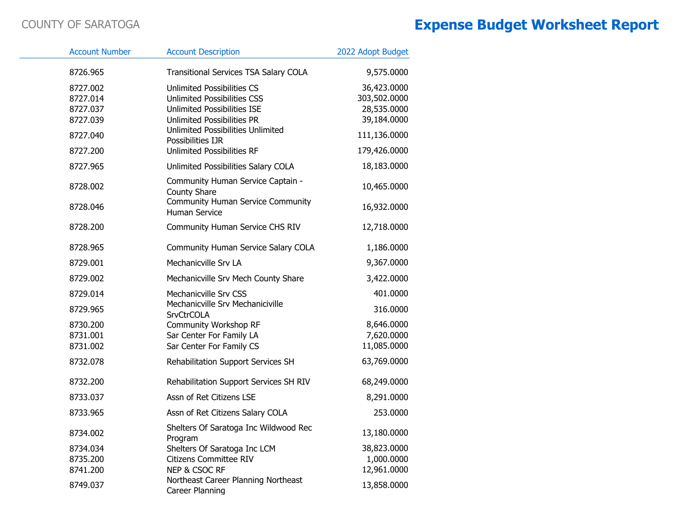| <b>Account Number</b>                        | <b>Account Description</b>                                                                                                                  | 2022 Adopt Budget                                         |
|----------------------------------------------|---------------------------------------------------------------------------------------------------------------------------------------------|-----------------------------------------------------------|
| 8726.965                                     | <b>Transitional Services TSA Salary COLA</b>                                                                                                | 9,575.0000                                                |
| 8727.002<br>8727.014<br>8727.037<br>8727.039 | <b>Unlimited Possibilities CS</b><br><b>Unlimited Possibilities CSS</b><br>Unlimited Possibilities ISE<br><b>Unlimited Possibilities PR</b> | 36,423.0000<br>303,502.0000<br>28,535.0000<br>39,184.0000 |
| 8727.040                                     | Unlimited Possibilities Unlimited<br>Possibilities IJR                                                                                      | 111,136.0000                                              |
| 8727.200                                     | <b>Unlimited Possibilities RF</b>                                                                                                           | 179,426.0000                                              |
| 8727.965                                     | Unlimited Possibilities Salary COLA                                                                                                         | 18,183.0000                                               |
| 8728.002<br>8728.046                         | Community Human Service Captain -<br><b>County Share</b><br><b>Community Human Service Community</b>                                        | 10,465.0000<br>16,932.0000                                |
|                                              | <b>Human Service</b>                                                                                                                        |                                                           |
| 8728.200                                     | Community Human Service CHS RIV                                                                                                             | 12,718.0000                                               |
| 8728.965                                     | Community Human Service Salary COLA                                                                                                         | 1,186.0000                                                |
| 8729.001                                     | Mechanicville Srv LA                                                                                                                        | 9,367.0000                                                |
| 8729.002                                     | Mechanicville Srv Mech County Share                                                                                                         | 3,422.0000                                                |
| 8729.014<br>8729.965                         | Mechanicville Srv CSS<br>Mechanicville Srv Mechaniciville<br><b>SrvCtrCOLA</b>                                                              | 401.0000<br>316.0000                                      |
| 8730.200<br>8731.001<br>8731.002             | <b>Community Workshop RF</b><br>Sar Center For Family LA<br>Sar Center For Family CS                                                        | 8,646.0000<br>7,620.0000<br>11,085.0000                   |
| 8732.078                                     | Rehabilitation Support Services SH                                                                                                          | 63,769.0000                                               |
| 8732.200                                     | Rehabilitation Support Services SH RIV                                                                                                      | 68,249.0000                                               |
| 8733.037                                     | Assn of Ret Citizens LSE                                                                                                                    | 8,291.0000                                                |
| 8733.965                                     | Assn of Ret Citizens Salary COLA                                                                                                            | 253.0000                                                  |
| 8734.002                                     | Shelters Of Saratoga Inc Wildwood Rec<br>Program                                                                                            | 13,180.0000                                               |
| 8734.034<br>8735.200<br>8741.200             | Shelters Of Saratoga Inc LCM<br><b>Citizens Committee RIV</b><br>NEP & CSOC RF                                                              | 38,823.0000<br>1,000.0000<br>12,961.0000                  |
| 8749.037                                     | Northeast Career Planning Northeast<br>Career Planning                                                                                      | 13,858.0000                                               |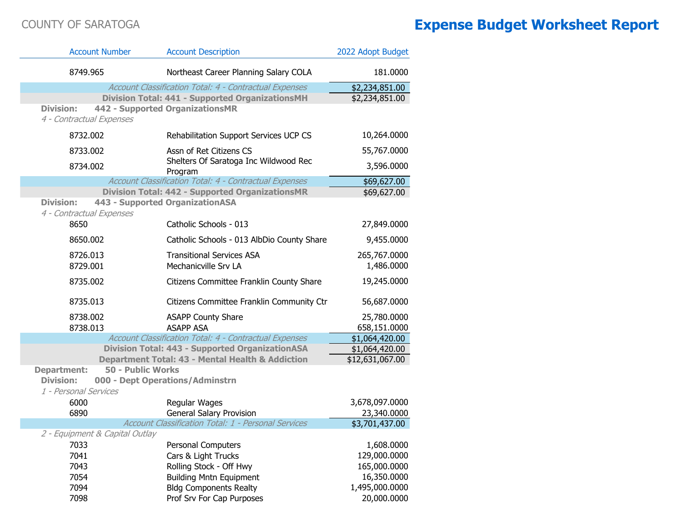T.

| <b>Account Number</b>                          | <b>Account Description</b>                                  | 2022 Adopt Budget            |
|------------------------------------------------|-------------------------------------------------------------|------------------------------|
| 8749.965                                       | Northeast Career Planning Salary COLA                       | 181.0000                     |
|                                                | Account Classification Total: 4 - Contractual Expenses      | \$2,234,851.00               |
|                                                | <b>Division Total: 441 - Supported OrganizationsMH</b>      | \$2,234,851.00               |
| <b>Division:</b><br>4 - Contractual Expenses   | 442 - Supported OrganizationsMR                             |                              |
| 8732.002                                       | Rehabilitation Support Services UCP CS                      | 10,264.0000                  |
| 8733.002                                       | Assn of Ret Citizens CS                                     | 55,767.0000                  |
| 8734.002                                       | Shelters Of Saratoga Inc Wildwood Rec<br>Program            | 3,596.0000                   |
|                                                | Account Classification Total: 4 - Contractual Expenses      | \$69,627.00                  |
|                                                | <b>Division Total: 442 - Supported OrganizationsMR</b>      | \$69,627.00                  |
| <b>Division:</b><br>4 - Contractual Expenses   | 443 - Supported OrganizationASA                             |                              |
| 8650                                           | Catholic Schools - 013                                      | 27,849.0000                  |
| 8650.002                                       | Catholic Schools - 013 AlbDio County Share                  | 9,455.0000                   |
| 8726.013                                       | <b>Transitional Services ASA</b>                            | 265,767.0000                 |
| 8729.001                                       | Mechanicville Srv LA                                        | 1,486.0000                   |
| 8735.002                                       | Citizens Committee Franklin County Share                    | 19,245.0000                  |
| 8735.013                                       | Citizens Committee Franklin Community Ctr                   | 56,687.0000                  |
| 8738.002                                       | <b>ASAPP County Share</b>                                   | 25,780.0000                  |
| 8738.013                                       | <b>ASAPP ASA</b>                                            | 658,151.0000                 |
|                                                | Account Classification Total: 4 - Contractual Expenses      | \$1,064,420.00               |
|                                                | <b>Division Total: 443 - Supported OrganizationASA</b>      | \$1,064,420.00               |
| <b>50 - Public Works</b><br><b>Department:</b> | <b>Department Total: 43 - Mental Health &amp; Addiction</b> | \$12,631,067.00              |
| <b>Division:</b>                               | 000 - Dept Operations/Adminstrn                             |                              |
| 1 - Personal Services                          |                                                             |                              |
| 6000                                           | Regular Wages                                               | 3,678,097.0000               |
| 6890                                           | <b>General Salary Provision</b>                             | 23,340.0000                  |
|                                                | Account Classification Total: 1 - Personal Services         | \$3,701,437.00               |
| 2 - Equipment & Capital Outlay                 |                                                             |                              |
| 7033                                           | <b>Personal Computers</b>                                   | 1,608.0000                   |
| 7041<br>7043                                   | Cars & Light Trucks<br>Rolling Stock - Off Hwy              | 129,000.0000<br>165,000.0000 |
| 7054                                           | <b>Building Mntn Equipment</b>                              | 16,350.0000                  |
| 7094                                           | <b>Bldg Components Realty</b>                               | 1,495,000.0000               |
| 7098                                           | Prof Srv For Cap Purposes                                   | 20,000.0000                  |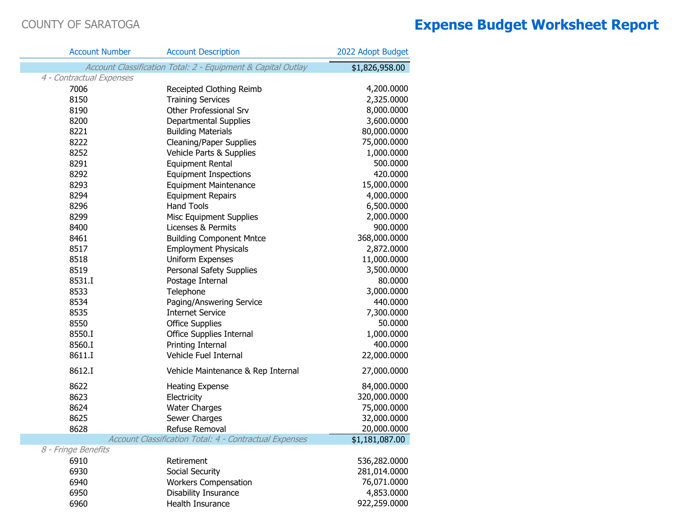T.

| <b>Account Number</b>    | <b>Account Description</b>                                   | 2022 Adopt Budget |
|--------------------------|--------------------------------------------------------------|-------------------|
|                          | Account Classification Total: 2 - Equipment & Capital Outlay | \$1,826,958.00    |
| 4 - Contractual Expenses |                                                              |                   |
| 7006                     | Receipted Clothing Reimb                                     | 4,200.0000        |
| 8150                     | <b>Training Services</b>                                     | 2,325.0000        |
| 8190                     | Other Professional Srv                                       | 8,000.0000        |
| 8200                     | Departmental Supplies                                        | 3,600.0000        |
| 8221                     | <b>Building Materials</b>                                    | 80,000.0000       |
| 8222                     | <b>Cleaning/Paper Supplies</b>                               | 75,000.0000       |
| 8252                     | Vehicle Parts & Supplies                                     | 1,000.0000        |
| 8291                     | <b>Equipment Rental</b>                                      | 500.0000          |
| 8292                     | <b>Equipment Inspections</b>                                 | 420.0000          |
| 8293                     | <b>Equipment Maintenance</b>                                 | 15,000.0000       |
| 8294                     | <b>Equipment Repairs</b>                                     | 4,000.0000        |
| 8296                     | <b>Hand Tools</b>                                            | 6,500.0000        |
| 8299                     | <b>Misc Equipment Supplies</b>                               | 2,000.0000        |
| 8400                     | Licenses & Permits                                           | 900.0000          |
| 8461                     | <b>Building Component Mntce</b>                              | 368,000.0000      |
| 8517                     | <b>Employment Physicals</b>                                  | 2,872.0000        |
| 8518                     | Uniform Expenses                                             | 11,000.0000       |
| 8519                     | Personal Safety Supplies                                     | 3,500.0000        |
| 8531.I                   | Postage Internal                                             | 80.0000           |
| 8533                     | Telephone                                                    | 3,000.0000        |
| 8534                     | Paging/Answering Service                                     | 440.0000          |
| 8535                     | <b>Internet Service</b>                                      | 7,300.0000        |
| 8550                     | <b>Office Supplies</b>                                       | 50.0000           |
| 8550.I                   | <b>Office Supplies Internal</b>                              | 1,000.0000        |
| 8560.I                   | Printing Internal                                            | 400.0000          |
| 8611.I                   | Vehicle Fuel Internal                                        | 22,000.0000       |
| 8612.I                   | Vehicle Maintenance & Rep Internal                           | 27,000.0000       |
| 8622                     | <b>Heating Expense</b>                                       | 84,000.0000       |
| 8623                     | Electricity                                                  | 320,000.0000      |
| 8624                     | <b>Water Charges</b>                                         | 75,000.0000       |
| 8625                     | Sewer Charges                                                | 32,000.0000       |
| 8628                     | Refuse Removal                                               | 20,000.0000       |
|                          | Account Classification Total: 4 - Contractual Expenses       | \$1,181,087.00    |
| 8 - Fringe Benefits      |                                                              |                   |
| 6910                     | Retirement                                                   | 536,282.0000      |
| 6930                     | Social Security                                              | 281,014.0000      |
| 6940                     | <b>Workers Compensation</b>                                  | 76,071.0000       |
| 6950                     | Disability Insurance                                         | 4,853.0000        |
| 6960                     | Health Insurance                                             | 922,259.0000      |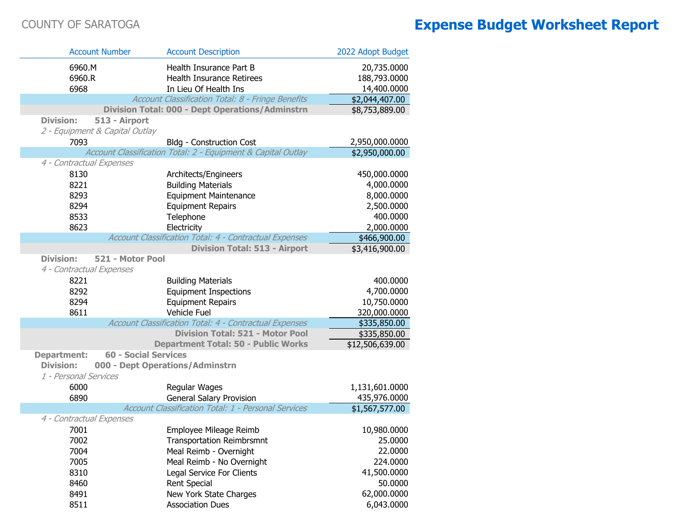Г

Г

| <b>Account Number</b>                             | <b>Account Description</b>                                   | 2022 Adopt Budget |
|---------------------------------------------------|--------------------------------------------------------------|-------------------|
| 6960.M                                            | Health Insurance Part B                                      | 20,735.0000       |
| 6960.R                                            | Health Insurance Retirees                                    | 188,793.0000      |
| 6968                                              | In Lieu Of Health Ins                                        | 14,400.0000       |
|                                                   | Account Classification Total: 8 - Fringe Benefits            | \$2,044,407.00    |
|                                                   | <b>Division Total: 000 - Dept Operations/Adminstrn</b>       | \$8,753,889.00    |
| <b>Division:</b><br>513 - Airport                 |                                                              |                   |
| 2 - Equipment & Capital Outlay                    |                                                              |                   |
| 7093                                              | <b>Bldg - Construction Cost</b>                              | 2,950,000.0000    |
|                                                   | Account Classification Total: 2 - Equipment & Capital Outlay | \$2,950,000.00    |
| 4 - Contractual Expenses                          |                                                              |                   |
| 8130                                              | Architects/Engineers                                         | 450,000.0000      |
| 8221                                              | <b>Building Materials</b>                                    | 4,000.0000        |
| 8293                                              | <b>Equipment Maintenance</b>                                 | 8,000.0000        |
| 8294                                              | <b>Equipment Repairs</b>                                     | 2,500.0000        |
| 8533                                              | Telephone                                                    | 400.0000          |
| 8623                                              | Electricity                                                  | 2,000.0000        |
|                                                   | Account Classification Total: 4 - Contractual Expenses       | \$466,900.00      |
|                                                   | <b>Division Total: 513 - Airport</b>                         | \$3,416,900.00    |
| <b>Division:</b><br>521 - Motor Pool              |                                                              |                   |
| 4 - Contractual Expenses                          |                                                              |                   |
| 8221                                              | <b>Building Materials</b>                                    | 400.0000          |
| 8292                                              | <b>Equipment Inspections</b>                                 | 4,700.0000        |
| 8294                                              | <b>Equipment Repairs</b>                                     | 10,750.0000       |
| 8611                                              | Vehicle Fuel                                                 | 320,000.0000      |
|                                                   | Account Classification Total: 4 - Contractual Expenses       | \$335,850.00      |
|                                                   | <b>Division Total: 521 - Motor Pool</b>                      | \$335,850.00      |
|                                                   | <b>Department Total: 50 - Public Works</b>                   | \$12,506,639.00   |
| <b>60 - Social Services</b><br><b>Department:</b> |                                                              |                   |
| <b>Division:</b>                                  | 000 - Dept Operations/Adminstrn                              |                   |
| 1 - Personal Services                             |                                                              |                   |
| 6000                                              | Regular Wages                                                | 1,131,601.0000    |
| 6890                                              | <b>General Salary Provision</b>                              | 435,976.0000      |
|                                                   | Account Classification Total: 1 - Personal Services          | \$1,567,577.00    |
| 4 - Contractual Expenses                          |                                                              |                   |
| 7001                                              | Employee Mileage Reimb                                       | 10,980.0000       |
| 7002                                              | <b>Transportation Reimbrsmnt</b>                             | 25.0000           |
| 7004                                              | Meal Reimb - Overnight                                       | 22.0000           |
| 7005                                              | Meal Reimb - No Overnight                                    | 224.0000          |
| 8310                                              | Legal Service For Clients                                    | 41,500.0000       |
| 8460                                              | <b>Rent Special</b>                                          | 50.0000           |
| 8491                                              | New York State Charges                                       | 62,000.0000       |
| 8511                                              | <b>Association Dues</b>                                      | 6,043.0000        |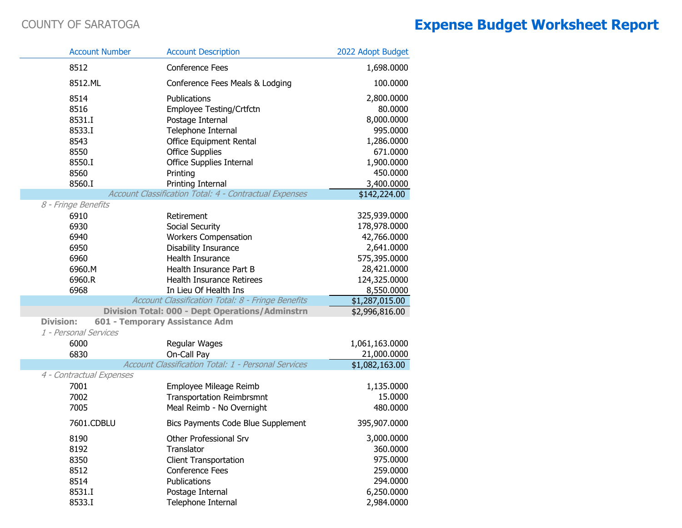i.

T.

|                  | <b>Account Number</b>    | <b>Account Description</b>                             | 2022 Adopt Budget |
|------------------|--------------------------|--------------------------------------------------------|-------------------|
|                  | 8512                     | <b>Conference Fees</b>                                 | 1,698.0000        |
|                  | 8512.ML                  | Conference Fees Meals & Lodging                        | 100.0000          |
|                  | 8514                     | Publications                                           | 2,800.0000        |
|                  | 8516                     | Employee Testing/Crtfctn                               | 80.0000           |
|                  | 8531.I                   | Postage Internal                                       | 8,000.0000        |
|                  | 8533.I                   | Telephone Internal                                     | 995.0000          |
|                  | 8543                     | Office Equipment Rental                                | 1,286.0000        |
|                  | 8550                     | <b>Office Supplies</b>                                 | 671.0000          |
|                  | 8550.I                   | Office Supplies Internal                               | 1,900.0000        |
|                  | 8560                     | Printing                                               | 450.0000          |
|                  | 8560.I                   | Printing Internal                                      | 3,400.0000        |
|                  |                          | Account Classification Total: 4 - Contractual Expenses | \$142,224.00      |
|                  | 8 - Fringe Benefits      |                                                        |                   |
|                  | 6910                     | Retirement                                             | 325,939.0000      |
|                  | 6930                     | Social Security                                        | 178,978.0000      |
|                  | 6940                     | <b>Workers Compensation</b>                            | 42,766.0000       |
|                  | 6950                     | Disability Insurance                                   | 2,641.0000        |
|                  | 6960                     | Health Insurance                                       | 575,395.0000      |
|                  | 6960.M                   | Health Insurance Part B                                | 28,421.0000       |
|                  | 6960.R                   | Health Insurance Retirees                              | 124,325.0000      |
|                  | 6968                     | In Lieu Of Health Ins                                  | 8,550.0000        |
|                  |                          | Account Classification Total: 8 - Fringe Benefits      | \$1,287,015.00    |
|                  |                          | Division Total: 000 - Dept Operations/Adminstrn        | \$2,996,816.00    |
| <b>Division:</b> | 1 - Personal Services    | 601 - Temporary Assistance Adm                         |                   |
|                  | 6000                     | Regular Wages                                          | 1,061,163.0000    |
|                  | 6830                     | On-Call Pay                                            | 21,000.0000       |
|                  |                          | Account Classification Total: 1 - Personal Services    | \$1,082,163.00    |
|                  | 4 - Contractual Expenses |                                                        |                   |
|                  | 7001                     | Employee Mileage Reimb                                 | 1,135.0000        |
|                  | 7002                     | <b>Transportation Reimbrsmnt</b>                       | 15.0000           |
|                  | 7005                     | Meal Reimb - No Overnight                              | 480.0000          |
|                  | 7601.CDBLU               | <b>Bics Payments Code Blue Supplement</b>              | 395,907.0000      |
|                  | 8190                     | Other Professional Srv                                 | 3,000.0000        |
|                  | 8192                     | Translator                                             | 360.0000          |
|                  | 8350                     | <b>Client Transportation</b>                           | 975.0000          |
|                  | 8512                     | <b>Conference Fees</b>                                 | 259.0000          |
|                  | 8514                     | Publications                                           | 294.0000          |
|                  | 8531.I                   | Postage Internal                                       | 6,250.0000        |
|                  | 8533.I                   | Telephone Internal                                     | 2,984.0000        |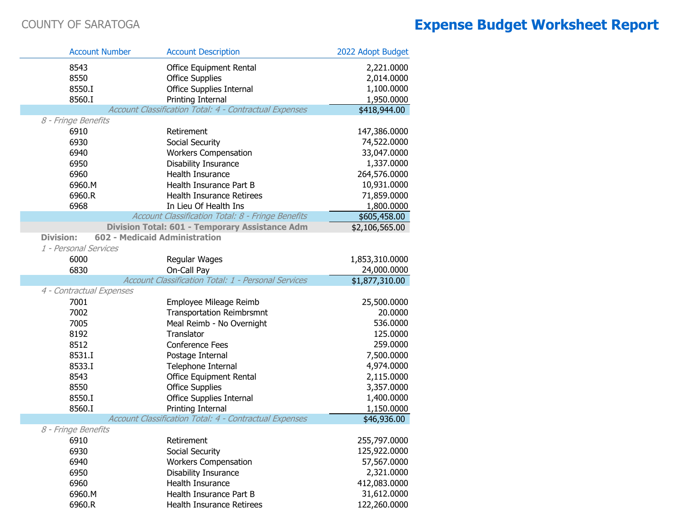| <b>Account Number</b>            | <b>Account Description</b>                             | 2022 Adopt Budget      |
|----------------------------------|--------------------------------------------------------|------------------------|
| 8543                             | Office Equipment Rental                                | 2,221.0000             |
| 8550                             | <b>Office Supplies</b>                                 | 2,014.0000             |
| 8550.I                           | <b>Office Supplies Internal</b>                        | 1,100.0000             |
| 8560.I                           | Printing Internal                                      | 1,950.0000             |
|                                  | Account Classification Total: 4 - Contractual Expenses | \$418,944.00           |
| 8 - Fringe Benefits              |                                                        |                        |
| 6910                             | Retirement                                             | 147,386.0000           |
| 6930                             | Social Security                                        | 74,522.0000            |
| 6940                             | <b>Workers Compensation</b>                            | 33,047.0000            |
| 6950                             | Disability Insurance                                   | 1,337.0000             |
| 6960                             | Health Insurance                                       | 264,576.0000           |
| 6960.M                           | Health Insurance Part B                                | 10,931.0000            |
| 6960.R                           | Health Insurance Retirees                              | 71,859.0000            |
| 6968                             | In Lieu Of Health Ins                                  | 1,800.0000             |
|                                  | Account Classification Total: 8 - Fringe Benefits      | \$605,458.00           |
|                                  | Division Total: 601 - Temporary Assistance Adm         | \$2,106,565.00         |
| <b>Division:</b>                 | <b>602 - Medicaid Administration</b>                   |                        |
| 1 - Personal Services            |                                                        |                        |
| 6000                             | Regular Wages                                          | 1,853,310.0000         |
| 6830                             | On-Call Pay                                            | 24,000.0000            |
|                                  | Account Classification Total: 1 - Personal Services    | \$1,877,310.00         |
| 4 - Contractual Expenses<br>7001 |                                                        |                        |
| 7002                             | Employee Mileage Reimb                                 | 25,500.0000<br>20.0000 |
| 7005                             | <b>Transportation Reimbrsmnt</b>                       | 536.0000               |
| 8192                             | Meal Reimb - No Overnight<br>Translator                | 125.0000               |
|                                  | <b>Conference Fees</b>                                 | 259.0000               |
| 8512<br>8531.I                   |                                                        | 7,500.0000             |
| 8533.I                           | Postage Internal                                       | 4,974.0000             |
| 8543                             | Telephone Internal                                     | 2,115.0000             |
| 8550                             | Office Equipment Rental<br><b>Office Supplies</b>      | 3,357.0000             |
| 8550.I                           | <b>Office Supplies Internal</b>                        | 1,400.0000             |
| 8560.I                           | Printing Internal                                      | 1,150.0000             |
|                                  | Account Classification Total: 4 - Contractual Expenses | \$46,936.00            |
| 8 - Fringe Benefits              |                                                        |                        |
| 6910                             | Retirement                                             | 255,797.0000           |
| 6930                             | Social Security                                        | 125,922.0000           |
| 6940                             | <b>Workers Compensation</b>                            | 57,567.0000            |
| 6950                             | <b>Disability Insurance</b>                            | 2,321.0000             |
| 6960                             | Health Insurance                                       | 412,083.0000           |
| 6960.M                           | Health Insurance Part B                                | 31,612.0000            |
| 6960.R                           | <b>Health Insurance Retirees</b>                       | 122,260.0000           |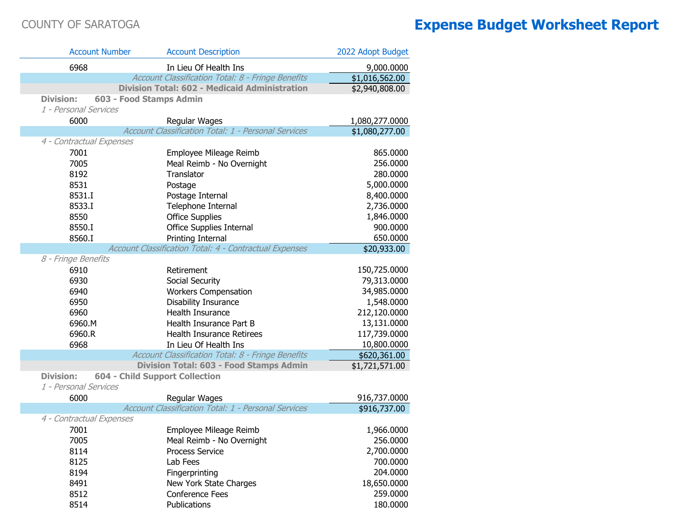| <b>Account Number</b>    | <b>Account Description</b>                             | 2022 Adopt Budget |
|--------------------------|--------------------------------------------------------|-------------------|
| 6968                     | In Lieu Of Health Ins                                  | 9,000.0000        |
|                          | Account Classification Total: 8 - Fringe Benefits      | \$1,016,562.00    |
|                          | <b>Division Total: 602 - Medicaid Administration</b>   | \$2,940,808.00    |
| <b>Division:</b>         | 603 - Food Stamps Admin                                |                   |
| 1 - Personal Services    |                                                        |                   |
| 6000                     | Regular Wages                                          | 1,080,277.0000    |
|                          | Account Classification Total: 1 - Personal Services    | \$1,080,277.00    |
| 4 - Contractual Expenses |                                                        |                   |
| 7001                     | Employee Mileage Reimb                                 | 865.0000          |
| 7005                     | Meal Reimb - No Overnight                              | 256.0000          |
| 8192                     | Translator                                             | 280.0000          |
| 8531                     | Postage                                                | 5,000.0000        |
| 8531.I                   | Postage Internal                                       | 8,400.0000        |
| 8533.I                   | Telephone Internal                                     | 2,736.0000        |
| 8550                     | <b>Office Supplies</b>                                 | 1,846.0000        |
| 8550.I                   | Office Supplies Internal                               | 900.0000          |
| 8560.I                   | Printing Internal                                      | 650.0000          |
|                          | Account Classification Total: 4 - Contractual Expenses | \$20,933.00       |
| 8 - Fringe Benefits      |                                                        |                   |
| 6910                     | Retirement                                             | 150,725.0000      |
| 6930                     | Social Security                                        | 79,313.0000       |
| 6940                     | <b>Workers Compensation</b>                            | 34,985.0000       |
| 6950                     | Disability Insurance                                   | 1,548.0000        |
| 6960                     | Health Insurance                                       | 212,120.0000      |
| 6960.M                   | Health Insurance Part B                                | 13,131.0000       |
| 6960.R                   | Health Insurance Retirees                              | 117,739.0000      |
| 6968                     | In Lieu Of Health Ins                                  | 10,800.0000       |
|                          | Account Classification Total: 8 - Fringe Benefits      | \$620,361.00      |
|                          | Division Total: 603 - Food Stamps Admin                | \$1,721,571.00    |
| <b>Division:</b>         | <b>604 - Child Support Collection</b>                  |                   |
| 1 - Personal Services    |                                                        |                   |
| 6000                     | Regular Wages                                          | 916,737.0000      |
|                          | Account Classification Total: 1 - Personal Services    | \$916,737.00      |
| 4 - Contractual Expenses |                                                        |                   |
| 7001                     | Employee Mileage Reimb                                 | 1,966.0000        |
| 7005                     | Meal Reimb - No Overnight                              | 256.0000          |
| 8114                     | <b>Process Service</b>                                 | 2,700.0000        |
| 8125                     | Lab Fees                                               | 700.0000          |
| 8194                     | Fingerprinting                                         | 204.0000          |
| 8491                     | New York State Charges                                 | 18,650.0000       |
| 8512                     | <b>Conference Fees</b>                                 | 259.0000          |
| 8514                     | Publications                                           | 180.0000          |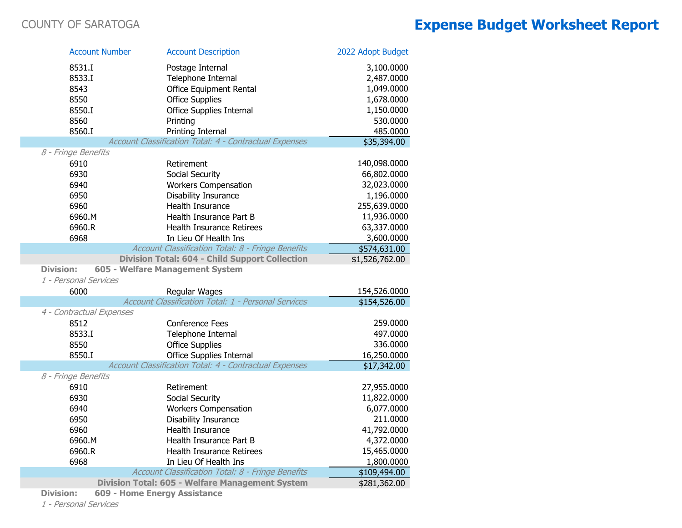| <b>Account Number</b>    | <b>Account Description</b>                             | 2022 Adopt Budget |
|--------------------------|--------------------------------------------------------|-------------------|
| 8531.I                   | Postage Internal                                       | 3,100.0000        |
| 8533.I                   | Telephone Internal                                     | 2,487.0000        |
| 8543                     | Office Equipment Rental                                | 1,049.0000        |
| 8550                     | <b>Office Supplies</b>                                 | 1,678.0000        |
| 8550.I                   | <b>Office Supplies Internal</b>                        | 1,150.0000        |
| 8560                     | Printing                                               | 530.0000          |
| 8560.I                   | Printing Internal                                      | 485.0000          |
|                          | Account Classification Total: 4 - Contractual Expenses | \$35,394.00       |
| 8 - Fringe Benefits      |                                                        |                   |
| 6910                     | Retirement                                             | 140,098.0000      |
| 6930                     | Social Security                                        | 66,802.0000       |
| 6940                     | <b>Workers Compensation</b>                            | 32,023.0000       |
| 6950                     | Disability Insurance                                   | 1,196.0000        |
| 6960                     | Health Insurance                                       | 255,639.0000      |
| 6960.M                   | Health Insurance Part B                                | 11,936.0000       |
| 6960.R                   | Health Insurance Retirees                              | 63,337.0000       |
| 6968                     | In Lieu Of Health Ins                                  | 3,600.0000        |
|                          | Account Classification Total: 8 - Fringe Benefits      | \$574,631.00      |
|                          | <b>Division Total: 604 - Child Support Collection</b>  | \$1,526,762.00    |
| <b>Division:</b>         | 605 - Welfare Management System                        |                   |
| 1 - Personal Services    |                                                        |                   |
| 6000                     | Regular Wages                                          | 154,526.0000      |
|                          | Account Classification Total: 1 - Personal Services    | \$154,526.00      |
| 4 - Contractual Expenses |                                                        |                   |
| 8512                     | Conference Fees                                        | 259.0000          |
| 8533.I                   | Telephone Internal                                     | 497.0000          |
| 8550                     | <b>Office Supplies</b>                                 | 336.0000          |
| 8550.I                   | Office Supplies Internal                               | 16,250.0000       |
|                          | Account Classification Total: 4 - Contractual Expenses | \$17,342.00       |
| 8 - Fringe Benefits      |                                                        |                   |
| 6910                     | Retirement                                             | 27,955.0000       |
| 6930                     | Social Security                                        | 11,822.0000       |
| 6940                     | <b>Workers Compensation</b>                            | 6,077.0000        |
| 6950                     | Disability Insurance                                   | 211.0000          |
| 6960                     | Health Insurance                                       | 41,792.0000       |
| 6960.M                   | Health Insurance Part B                                | 4,372.0000        |
| 6960.R                   | Health Insurance Retirees                              | 15,465.0000       |
| 6968                     | In Lieu Of Health Ins                                  | 1,800.0000        |
|                          | Account Classification Total: 8 - Fringe Benefits      | \$109,494.00      |
|                          | Division Total: 605 - Welfare Management System        | \$281,362.00      |

**Division: 609 - Home Energy Assistance**

1 - Personal Services

П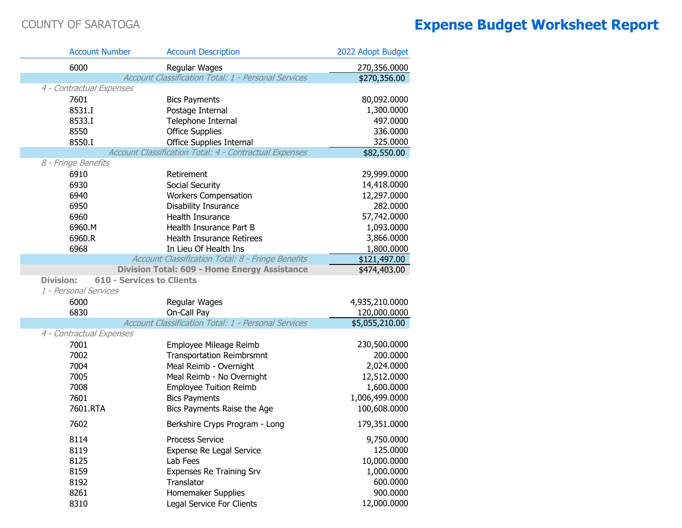| <b>Account Number</b>    | <b>Account Description</b>                                                              | 2022 Adopt Budget |
|--------------------------|-----------------------------------------------------------------------------------------|-------------------|
| 6000                     | Regular Wages                                                                           | 270,356.0000      |
|                          | Account Classification Total: 1 - Personal Services                                     | \$270,356.00      |
| 4 - Contractual Expenses |                                                                                         |                   |
| 7601                     | <b>Bics Payments</b>                                                                    | 80,092.0000       |
| 8531.I                   | Postage Internal                                                                        | 1,300.0000        |
| 8533.I                   | Telephone Internal                                                                      | 497.0000          |
| 8550                     | <b>Office Supplies</b>                                                                  | 336.0000          |
| 8550.I                   | <b>Office Supplies Internal</b>                                                         | 325.0000          |
|                          | Account Classification Total: 4 - Contractual Expenses                                  | \$82,550.00       |
| 8 - Fringe Benefits      |                                                                                         |                   |
| 6910                     | Retirement                                                                              | 29,999.0000       |
| 6930                     | Social Security                                                                         | 14,418.0000       |
| 6940                     | <b>Workers Compensation</b>                                                             | 12,297.0000       |
| 6950                     | Disability Insurance                                                                    | 282.0000          |
| 6960                     | Health Insurance                                                                        | 57,742.0000       |
| 6960.M                   | Health Insurance Part B                                                                 | 1,093.0000        |
| 6960.R                   | Health Insurance Retirees                                                               | 3,866.0000        |
| 6968                     | In Lieu Of Health Ins                                                                   | 1,800.0000        |
|                          | Account Classification Total: 8 - Fringe Benefits                                       | \$121,497.00      |
| <b>Division:</b>         | <b>Division Total: 609 - Home Energy Assistance</b><br><b>610 - Services to Clients</b> | \$474,403.00      |
| 1 - Personal Services    |                                                                                         |                   |
| 6000                     | Regular Wages                                                                           | 4,935,210.0000    |
| 6830                     | On-Call Pay                                                                             | 120,000.0000      |
|                          | Account Classification Total: 1 - Personal Services                                     | \$5,055,210.00    |
| 4 - Contractual Expenses |                                                                                         |                   |
| 7001                     | Employee Mileage Reimb                                                                  | 230,500.0000      |
| 7002                     | <b>Transportation Reimbrsmnt</b>                                                        | 200.0000          |
| 7004                     | Meal Reimb - Overnight                                                                  | 2,024.0000        |
| 7005                     | Meal Reimb - No Overnight                                                               | 12,512.0000       |
| 7008                     | <b>Employee Tuition Reimb</b>                                                           | 1,600.0000        |
| 7601                     | <b>Bics Payments</b>                                                                    | 1,006,499.0000    |
| 7601.RTA                 | Bics Payments Raise the Age                                                             | 100,608.0000      |
| 7602                     | Berkshire Cryps Program - Long                                                          | 179,351.0000      |
| 8114                     | <b>Process Service</b>                                                                  | 9,750.0000        |
| 8119                     | Expense Re Legal Service                                                                | 125.0000          |
| 8125                     | Lab Fees                                                                                | 10,000.0000       |
| 8159                     | Expenses Re Training Srv                                                                | 1,000.0000        |
| 8192                     | Translator                                                                              | 600.0000          |
| 8261                     | Homemaker Supplies                                                                      | 900.0000          |
| 8310                     | Legal Service For Clients                                                               | 12,000.0000       |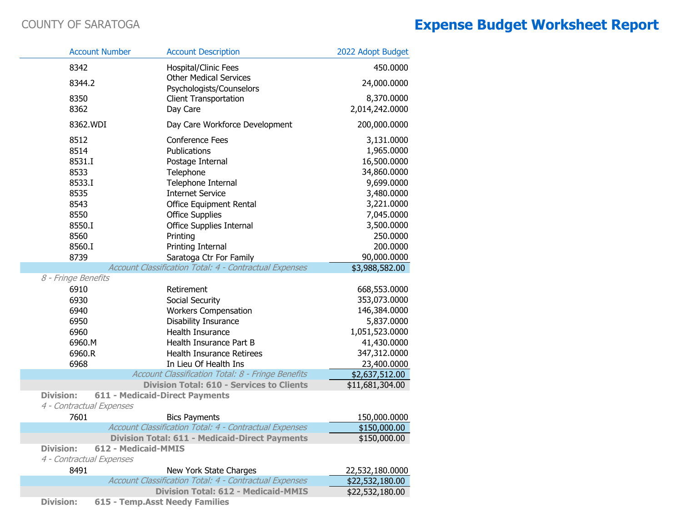| <b>Account Number</b>                        |                     | <b>Account Description</b>                                    | 2022 Adopt Budget |
|----------------------------------------------|---------------------|---------------------------------------------------------------|-------------------|
| 8342                                         |                     | Hospital/Clinic Fees                                          | 450.0000          |
| 8344.2                                       |                     | <b>Other Medical Services</b><br>Psychologists/Counselors     | 24,000.0000       |
| 8350                                         |                     | <b>Client Transportation</b>                                  | 8,370.0000        |
| 8362                                         |                     | Day Care                                                      | 2,014,242.0000    |
| 8362.WDI                                     |                     | Day Care Workforce Development                                | 200,000.0000      |
| 8512                                         |                     | <b>Conference Fees</b>                                        | 3,131.0000        |
| 8514                                         |                     | Publications                                                  | 1,965.0000        |
| 8531.I                                       |                     | Postage Internal                                              | 16,500.0000       |
| 8533                                         |                     | Telephone                                                     | 34,860.0000       |
| 8533.I                                       |                     | Telephone Internal                                            | 9,699.0000        |
| 8535                                         |                     | <b>Internet Service</b>                                       | 3,480.0000        |
| 8543                                         |                     | Office Equipment Rental                                       | 3,221.0000        |
| 8550                                         |                     | <b>Office Supplies</b>                                        | 7,045.0000        |
| 8550.I                                       |                     | Office Supplies Internal                                      | 3,500.0000        |
| 8560                                         |                     | Printing                                                      | 250.0000          |
| 8560.I                                       |                     | Printing Internal                                             | 200.0000          |
| 8739                                         |                     | Saratoga Ctr For Family                                       | 90,000.0000       |
|                                              |                     | Account Classification Total: 4 - Contractual Expenses        | \$3,988,582.00    |
| 8 - Fringe Benefits                          |                     |                                                               |                   |
| 6910                                         |                     | Retirement                                                    | 668,553.0000      |
| 6930                                         |                     | Social Security                                               | 353,073.0000      |
| 6940                                         |                     | <b>Workers Compensation</b>                                   | 146,384.0000      |
| 6950                                         |                     | <b>Disability Insurance</b>                                   | 5,837.0000        |
| 6960                                         |                     | Health Insurance                                              | 1,051,523.0000    |
| 6960.M                                       |                     | Health Insurance Part B                                       | 41,430.0000       |
| 6960.R                                       |                     | Health Insurance Retirees                                     | 347,312.0000      |
| 6968                                         |                     | In Lieu Of Health Ins                                         | 23,400.0000       |
|                                              |                     | Account Classification Total: 8 - Fringe Benefits             | \$2,637,512.00    |
|                                              |                     | <b>Division Total: 610 - Services to Clients</b>              | \$11,681,304.00   |
| <b>Division:</b><br>4 - Contractual Expenses |                     | <b>611 - Medicaid-Direct Payments</b>                         |                   |
| 7601                                         |                     | <b>Bics Payments</b>                                          | 150,000.0000      |
|                                              |                     | Account Classification Total: 4 - Contractual Expenses        | \$150,000.00      |
|                                              |                     | <b>Division Total: 611 - Medicaid-Direct Payments</b>         | \$150,000.00      |
| Division:                                    | 612 - Medicaid-MMIS |                                                               |                   |
| 4 - Contractual Expenses                     |                     |                                                               |                   |
| 8491                                         |                     | New York State Charges                                        | 22,532,180.0000   |
|                                              |                     | <b>Account Classification Total: 4 - Contractual Expenses</b> | \$22,532,180.00   |
|                                              |                     | <b>Division Total: 612 - Medicaid-MMIS</b>                    | \$22,532,180.00   |
| <b>Division:</b>                             |                     | 615 - Temp. Asst Needy Families                               |                   |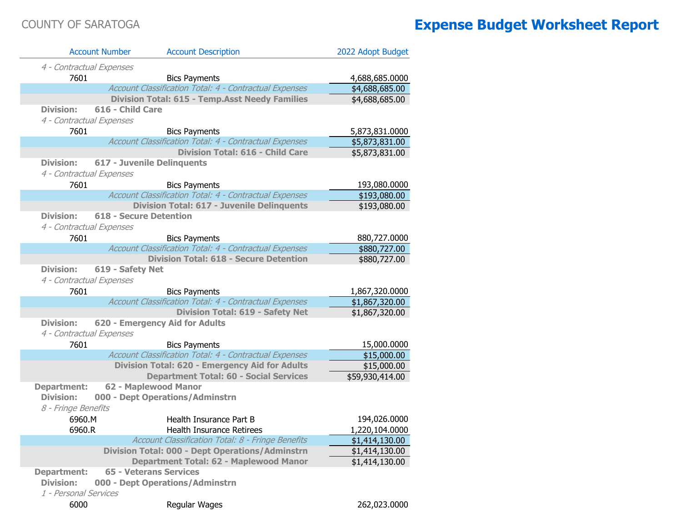| <b>Account Number</b>    | <b>Account Description</b>                             | 2022 Adopt Budget |
|--------------------------|--------------------------------------------------------|-------------------|
| 4 - Contractual Expenses |                                                        |                   |
| 7601                     | <b>Bics Payments</b>                                   | 4,688,685.0000    |
|                          | Account Classification Total: 4 - Contractual Expenses | \$4,688,685.00    |
|                          | <b>Division Total: 615 - Temp.Asst Needy Families</b>  | \$4,688,685.00    |
| <b>Division:</b>         | 616 - Child Care                                       |                   |
| 4 - Contractual Expenses |                                                        |                   |
| 7601                     | <b>Bics Payments</b>                                   | 5,873,831.0000    |
|                          | Account Classification Total: 4 - Contractual Expenses | \$5,873,831.00    |
|                          | <b>Division Total: 616 - Child Care</b>                | \$5,873,831.00    |
| <b>Division:</b>         | <b>617 - Juvenile Delinquents</b>                      |                   |
| 4 - Contractual Expenses |                                                        |                   |
| 7601                     | <b>Bics Payments</b>                                   | 193,080.0000      |
|                          | Account Classification Total: 4 - Contractual Expenses | \$193,080.00      |
|                          | <b>Division Total: 617 - Juvenile Delinquents</b>      | \$193,080.00      |
| Division:                | <b>618 - Secure Detention</b>                          |                   |
| 4 - Contractual Expenses |                                                        |                   |
| 7601                     | <b>Bics Payments</b>                                   | 880,727.0000      |
|                          | Account Classification Total: 4 - Contractual Expenses | \$880,727.00      |
|                          | <b>Division Total: 618 - Secure Detention</b>          | \$880,727.00      |
| <b>Division:</b>         | 619 - Safety Net                                       |                   |
| 4 - Contractual Expenses |                                                        |                   |
| 7601                     | <b>Bics Payments</b>                                   | 1,867,320.0000    |
|                          | Account Classification Total: 4 - Contractual Expenses | \$1,867,320.00    |
|                          | <b>Division Total: 619 - Safety Net</b>                | \$1,867,320.00    |
| <b>Division:</b>         | 620 - Emergency Aid for Adults                         |                   |
| 4 - Contractual Expenses |                                                        |                   |
| 7601                     | <b>Bics Payments</b>                                   | 15,000.0000       |
|                          | Account Classification Total: 4 - Contractual Expenses | \$15,000.00       |
|                          | Division Total: 620 - Emergency Aid for Adults         | \$15,000.00       |
|                          | <b>Department Total: 60 - Social Services</b>          | \$59,930,414.00   |
| <b>Department:</b>       | 62 - Maplewood Manor                                   |                   |
| <b>Division:</b>         | 000 - Dept Operations/Adminstrn                        |                   |
| 8 - Fringe Benefits      |                                                        |                   |
| 6960.M                   | Health Insurance Part B                                | 194,026.0000      |
| 6960.R                   | Health Insurance Retirees                              | 1,220,104.0000    |
|                          | Account Classification Total: 8 - Fringe Benefits      | \$1,414,130.00    |
|                          | <b>Division Total: 000 - Dept Operations/Adminstrn</b> | \$1,414,130.00    |
|                          | Department Total: 62 - Maplewood Manor                 | \$1,414,130.00    |
| <b>Department:</b>       | <b>65 - Veterans Services</b>                          |                   |
| <b>Division:</b>         | 000 - Dept Operations/Adminstrn                        |                   |
| 1 - Personal Services    |                                                        |                   |
| 6000                     | Regular Wages                                          | 262,023.0000      |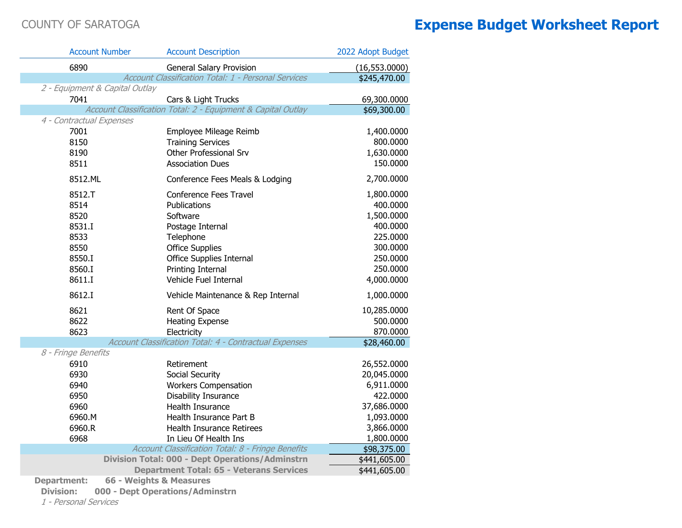|                                | <b>Account Number</b>   | <b>Account Description</b>                                   | 2022 Adopt Budget |
|--------------------------------|-------------------------|--------------------------------------------------------------|-------------------|
| 6890                           |                         | <b>General Salary Provision</b>                              | (16, 553.0000)    |
|                                |                         | Account Classification Total: 1 - Personal Services          | \$245,470.00      |
| 2 - Equipment & Capital Outlay |                         |                                                              |                   |
| 7041                           |                         | Cars & Light Trucks                                          | 69,300.0000       |
|                                |                         | Account Classification Total: 2 - Equipment & Capital Outlay | \$69,300.00       |
| 4 - Contractual Expenses       |                         |                                                              |                   |
| 7001                           |                         | Employee Mileage Reimb                                       | 1,400.0000        |
| 8150                           |                         | <b>Training Services</b>                                     | 800.0000          |
| 8190                           |                         | Other Professional Srv                                       | 1,630.0000        |
| 8511                           |                         | <b>Association Dues</b>                                      | 150.0000          |
| 8512.ML                        |                         | Conference Fees Meals & Lodging                              | 2,700.0000        |
| 8512.T                         |                         | Conference Fees Travel                                       | 1,800.0000        |
| 8514                           |                         | Publications                                                 | 400.0000          |
| 8520                           |                         | Software                                                     | 1,500.0000        |
| 8531.I                         |                         | Postage Internal                                             | 400.0000          |
| 8533                           |                         | Telephone                                                    | 225.0000          |
| 8550                           |                         | <b>Office Supplies</b>                                       | 300.0000          |
| 8550.I                         |                         | <b>Office Supplies Internal</b>                              | 250.0000          |
| 8560.I                         |                         | Printing Internal                                            | 250.0000          |
| 8611.I                         |                         | Vehicle Fuel Internal                                        | 4,000.0000        |
| 8612.I                         |                         | Vehicle Maintenance & Rep Internal                           | 1,000.0000        |
| 8621                           |                         | Rent Of Space                                                | 10,285.0000       |
| 8622                           |                         | <b>Heating Expense</b>                                       | 500.0000          |
| 8623                           |                         | Electricity                                                  | 870.0000          |
|                                |                         | Account Classification Total: 4 - Contractual Expenses       | \$28,460.00       |
| 8 - Fringe Benefits            |                         |                                                              |                   |
| 6910                           |                         | Retirement                                                   | 26,552.0000       |
| 6930                           |                         | Social Security                                              | 20,045.0000       |
| 6940                           |                         | <b>Workers Compensation</b>                                  | 6,911.0000        |
| 6950                           |                         | Disability Insurance                                         | 422.0000          |
| 6960                           |                         | Health Insurance                                             | 37,686.0000       |
| 6960.M                         |                         | Health Insurance Part B                                      | 1,093.0000        |
| 6960.R                         |                         | Health Insurance Retirees                                    | 3,866.0000        |
| 6968                           |                         | In Lieu Of Health Ins                                        | 1,800.0000        |
|                                |                         | Account Classification Total: 8 - Fringe Benefits            | \$98,375.00       |
|                                |                         | <b>Division Total: 000 - Dept Operations/Adminstrn</b>       | \$441,605.00      |
|                                |                         | <b>Department Total: 65 - Veterans Services</b>              | \$441,605.00      |
| <b>Department:</b>             | 66 - Weights & Measures |                                                              |                   |

**Division: 000 - Dept Operations/Adminstrn**

1 - Personal Services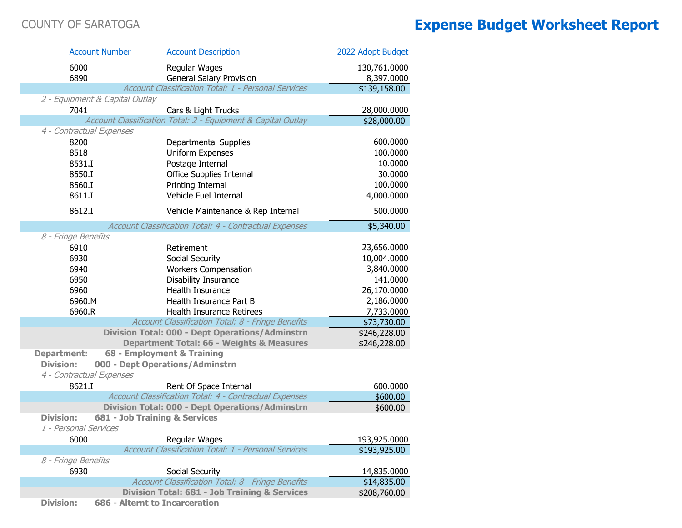|                             | <b>Account Number</b>          | <b>Account Description</b>                                    | 2022 Adopt Budget |
|-----------------------------|--------------------------------|---------------------------------------------------------------|-------------------|
| 6000                        |                                | Regular Wages                                                 | 130,761.0000      |
| 6890                        |                                | General Salary Provision                                      | 8,397.0000        |
|                             |                                | Account Classification Total: 1 - Personal Services           | \$139,158.00      |
|                             | 2 - Equipment & Capital Outlay |                                                               |                   |
| 7041                        |                                | Cars & Light Trucks                                           | 28,000.0000       |
|                             |                                | Account Classification Total: 2 - Equipment & Capital Outlay  | \$28,000.00       |
| 4 - Contractual Expenses    |                                |                                                               |                   |
| 8200                        |                                | <b>Departmental Supplies</b>                                  | 600.0000          |
| 8518                        |                                | Uniform Expenses                                              | 100.0000          |
| 8531.I                      |                                | Postage Internal                                              | 10.0000           |
| 8550.I                      |                                | <b>Office Supplies Internal</b>                               | 30.0000           |
| 8560.I                      |                                | Printing Internal                                             | 100.0000          |
| 8611.I                      |                                | Vehicle Fuel Internal                                         | 4,000.0000        |
| 8612.I                      |                                | Vehicle Maintenance & Rep Internal                            | 500.0000          |
|                             |                                | Account Classification Total: 4 - Contractual Expenses        | \$5,340.00        |
| 8 - Fringe Benefits         |                                |                                                               |                   |
| 6910                        |                                | Retirement                                                    | 23,656.0000       |
| 6930                        |                                | Social Security                                               | 10,004.0000       |
| 6940                        |                                | <b>Workers Compensation</b>                                   | 3,840.0000        |
| 6950                        |                                | Disability Insurance                                          | 141.0000          |
| 6960                        |                                | Health Insurance                                              | 26,170.0000       |
| 6960.M                      |                                | Health Insurance Part B                                       | 2,186.0000        |
| 6960.R                      |                                | Health Insurance Retirees                                     | 7,733.0000        |
|                             |                                | Account Classification Total: 8 - Fringe Benefits             | \$73,730.00       |
|                             |                                | <b>Division Total: 000 - Dept Operations/Adminstrn</b>        | \$246,228.00      |
|                             |                                | <b>Department Total: 66 - Weights &amp; Measures</b>          | \$246,228.00      |
| <b>Department:</b>          |                                | 68 - Employment & Training                                    |                   |
| <b>Division:</b>            |                                | 000 - Dept Operations/Adminstrn                               |                   |
| 4 - Contractual Expenses    |                                |                                                               |                   |
| 8621.I                      |                                | Rent Of Space Internal                                        | 600.0000          |
|                             |                                | <b>Account Classification Total: 4 - Contractual Expenses</b> | \$600.00          |
|                             |                                | <b>Division Total: 000 - Dept Operations/Adminstrn</b>        | \$600.00          |
| <b>Division:</b>            | 681 - Job Training & Services  |                                                               |                   |
| 1 - Personal Services       |                                |                                                               |                   |
| 6000                        |                                | Regular Wages                                                 | 193,925.0000      |
|                             |                                | Account Classification Total: 1 - Personal Services           | \$193,925.00      |
| 8 - Fringe Benefits<br>6930 |                                | Social Security                                               | 14,835.0000       |
|                             |                                | Account Classification Total: 8 - Fringe Benefits             | \$14,835.00       |
|                             |                                | <b>Division Total: 681 - Job Training &amp; Services</b>      | \$208,760.00      |
| <b>Division:</b>            | 686 - Alternt to Incarceration |                                                               |                   |
|                             |                                |                                                               |                   |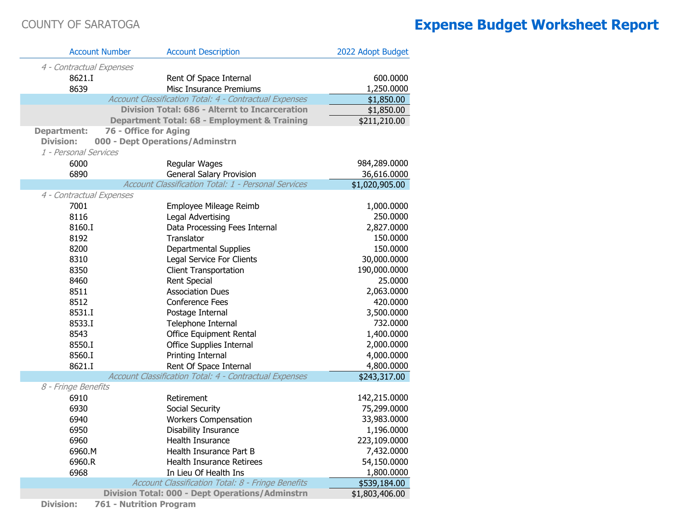| <b>Account Number</b>    | <b>Account Description</b>                             | 2022 Adopt Budget |
|--------------------------|--------------------------------------------------------|-------------------|
| 4 - Contractual Expenses |                                                        |                   |
| 8621.I                   | Rent Of Space Internal                                 | 600.0000          |
| 8639                     | Misc Insurance Premiums                                | 1,250.0000        |
|                          | Account Classification Total: 4 - Contractual Expenses | \$1,850.00        |
|                          | <b>Division Total: 686 - Alternt to Incarceration</b>  | \$1,850.00        |
|                          | Department Total: 68 - Employment & Training           | \$211,210.00      |
| <b>Department:</b>       | 76 - Office for Aging                                  |                   |
| <b>Division:</b>         | 000 - Dept Operations/Adminstrn                        |                   |
| 1 - Personal Services    |                                                        |                   |
| 6000                     | Regular Wages                                          | 984,289.0000      |
| 6890                     | <b>General Salary Provision</b>                        | 36,616.0000       |
|                          | Account Classification Total: 1 - Personal Services    | \$1,020,905.00    |
| 4 - Contractual Expenses |                                                        |                   |
| 7001                     | Employee Mileage Reimb                                 | 1,000.0000        |
| 8116                     | Legal Advertising                                      | 250.0000          |
| 8160.I                   | Data Processing Fees Internal                          | 2,827.0000        |
| 8192                     | Translator                                             | 150.0000          |
| 8200                     | Departmental Supplies                                  | 150.0000          |
| 8310                     | Legal Service For Clients                              | 30,000.0000       |
| 8350                     | <b>Client Transportation</b>                           | 190,000.0000      |
| 8460                     | Rent Special                                           | 25.0000           |
| 8511                     | <b>Association Dues</b>                                | 2,063.0000        |
| 8512                     | <b>Conference Fees</b>                                 | 420.0000          |
| 8531.I                   | Postage Internal                                       | 3,500.0000        |
| 8533.I                   | Telephone Internal                                     | 732.0000          |
| 8543                     | Office Equipment Rental                                | 1,400.0000        |
| 8550.I                   | Office Supplies Internal                               | 2,000.0000        |
| 8560.I                   | Printing Internal                                      | 4,000.0000        |
| 8621.I                   | Rent Of Space Internal                                 | 4,800.0000        |
| 8 - Fringe Benefits      | Account Classification Total: 4 - Contractual Expenses | \$243,317.00      |
| 6910                     | Retirement                                             | 142,215.0000      |
| 6930                     | Social Security                                        | 75,299.0000       |
| 6940                     | <b>Workers Compensation</b>                            | 33,983.0000       |
| 6950                     | Disability Insurance                                   | 1,196.0000        |
| 6960                     | Health Insurance                                       | 223,109.0000      |
| 6960.M                   | Health Insurance Part B                                | 7,432.0000        |
| 6960.R                   | <b>Health Insurance Retirees</b>                       | 54,150.0000       |
| 6968                     | In Lieu Of Health Ins                                  | 1,800.0000        |
|                          | Account Classification Total: 8 - Fringe Benefits      | \$539,184.00      |
|                          | <b>Division Total: 000 - Dept Operations/Adminstrn</b> | \$1,803,406.00    |

**Division: 761 - Nutrition Program**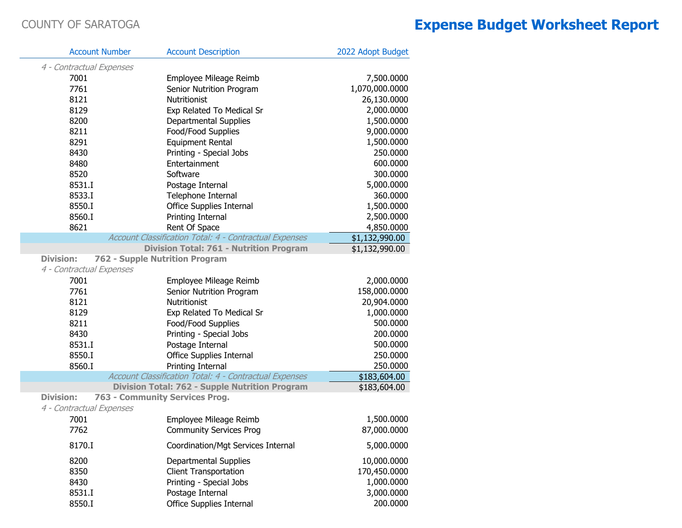| <b>Account Number</b>                                     | <b>Account Description</b>                             | 2022 Adopt Budget |
|-----------------------------------------------------------|--------------------------------------------------------|-------------------|
| 4 - Contractual Expenses                                  |                                                        |                   |
| 7001                                                      | Employee Mileage Reimb                                 | 7,500.0000        |
| 7761                                                      | Senior Nutrition Program                               | 1,070,000.0000    |
| 8121                                                      | Nutritionist                                           | 26,130.0000       |
| 8129                                                      | Exp Related To Medical Sr                              | 2,000.0000        |
| 8200                                                      | <b>Departmental Supplies</b>                           | 1,500.0000        |
| 8211                                                      | Food/Food Supplies                                     | 9,000.0000        |
| 8291                                                      | <b>Equipment Rental</b>                                | 1,500.0000        |
| 8430                                                      | Printing - Special Jobs                                | 250.0000          |
| 8480                                                      | Entertainment                                          | 600.0000          |
| 8520                                                      | Software                                               | 300.0000          |
| 8531.I                                                    | Postage Internal                                       | 5,000.0000        |
| 8533.I                                                    | Telephone Internal                                     | 360.0000          |
| 8550.I                                                    | Office Supplies Internal                               | 1,500.0000        |
| 8560.I                                                    | Printing Internal                                      | 2,500.0000        |
| 8621                                                      | Rent Of Space                                          | 4,850.0000        |
|                                                           | Account Classification Total: 4 - Contractual Expenses | \$1,132,990.00    |
|                                                           | <b>Division Total: 761 - Nutrition Program</b>         | \$1,132,990.00    |
| <b>Division:</b><br><b>762 - Supple Nutrition Program</b> |                                                        |                   |
| 4 - Contractual Expenses                                  |                                                        |                   |
| 7001                                                      | Employee Mileage Reimb                                 | 2,000.0000        |
| 7761                                                      | Senior Nutrition Program                               | 158,000.0000      |
| 8121                                                      | Nutritionist                                           | 20,904.0000       |
| 8129                                                      | Exp Related To Medical Sr                              | 1,000.0000        |
| 8211                                                      | Food/Food Supplies                                     | 500.0000          |
| 8430                                                      | Printing - Special Jobs                                | 200.0000          |
| 8531.I                                                    | Postage Internal                                       | 500.0000          |
| 8550.I                                                    | Office Supplies Internal                               | 250.0000          |
| 8560.I                                                    | Printing Internal                                      | 250.0000          |
|                                                           | Account Classification Total: 4 - Contractual Expenses | \$183,604.00      |
|                                                           | <b>Division Total: 762 - Supple Nutrition Program</b>  | \$183,604.00      |
| <b>Division:</b>                                          | 763 - Community Services Prog.                         |                   |
| 4 - Contractual Expenses                                  |                                                        |                   |
| 7001                                                      | Employee Mileage Reimb                                 | 1,500.0000        |
| 7762                                                      | <b>Community Services Prog</b>                         | 87,000.0000       |
| 8170.I                                                    | Coordination/Mgt Services Internal                     | 5,000.0000        |
| 8200                                                      | <b>Departmental Supplies</b>                           | 10,000.0000       |
| 8350                                                      | <b>Client Transportation</b>                           | 170,450.0000      |
| 8430                                                      | Printing - Special Jobs                                | 1,000.0000        |
| 8531.I                                                    | Postage Internal                                       | 3,000.0000        |
| 8550.I                                                    | <b>Office Supplies Internal</b>                        | 200.0000          |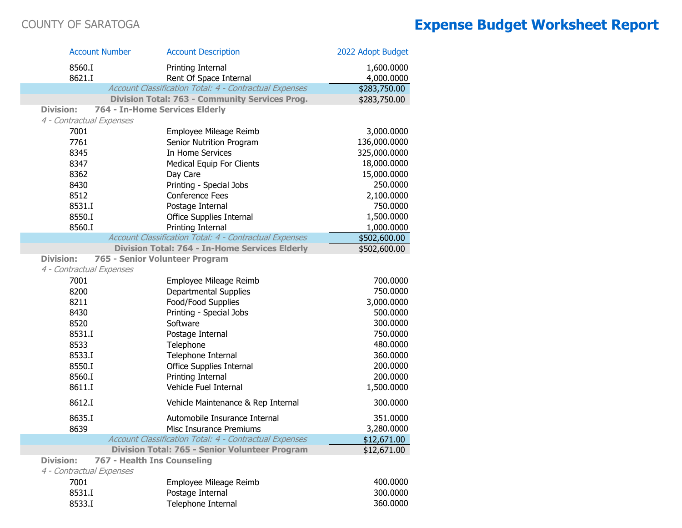| <b>Account Number</b>    | <b>Account Description</b>                                    | 2022 Adopt Budget |
|--------------------------|---------------------------------------------------------------|-------------------|
| 8560.I                   | Printing Internal                                             | 1,600.0000        |
| 8621.I                   | Rent Of Space Internal                                        | 4,000.0000        |
|                          | Account Classification Total: 4 - Contractual Expenses        | \$283,750.00      |
|                          | Division Total: 763 - Community Services Prog.                | \$283,750.00      |
| <b>Division:</b>         | 764 - In-Home Services Elderly                                |                   |
| 4 - Contractual Expenses |                                                               |                   |
| 7001                     | Employee Mileage Reimb                                        | 3,000.0000        |
| 7761                     | Senior Nutrition Program                                      | 136,000.0000      |
| 8345                     | In Home Services                                              | 325,000.0000      |
| 8347                     | <b>Medical Equip For Clients</b>                              | 18,000.0000       |
| 8362                     | Day Care                                                      | 15,000.0000       |
| 8430                     | Printing - Special Jobs                                       | 250.0000          |
| 8512                     | <b>Conference Fees</b>                                        | 2,100.0000        |
| 8531.I                   | Postage Internal                                              | 750.0000          |
| 8550.I                   | Office Supplies Internal                                      | 1,500.0000        |
| 8560.I                   | Printing Internal                                             | 1,000.0000        |
|                          | Account Classification Total: 4 - Contractual Expenses        | \$502,600.00      |
|                          | <b>Division Total: 764 - In-Home Services Elderly</b>         | \$502,600.00      |
| <b>Division:</b>         | 765 - Senior Volunteer Program                                |                   |
| 4 - Contractual Expenses |                                                               |                   |
| 7001                     | Employee Mileage Reimb                                        | 700.0000          |
| 8200                     | <b>Departmental Supplies</b>                                  | 750.0000          |
| 8211                     | Food/Food Supplies                                            | 3,000.0000        |
| 8430                     | Printing - Special Jobs                                       | 500.0000          |
| 8520                     | Software                                                      | 300.0000          |
| 8531.I                   | Postage Internal                                              | 750.0000          |
| 8533                     | Telephone                                                     | 480.0000          |
| 8533.I                   | Telephone Internal                                            | 360.0000          |
| 8550.I                   | Office Supplies Internal                                      | 200.0000          |
| 8560.I                   | Printing Internal                                             | 200.0000          |
| 8611.I                   | Vehicle Fuel Internal                                         | 1,500.0000        |
| 8612.I                   | Vehicle Maintenance & Rep Internal                            | 300.0000          |
| 8635.I                   | Automobile Insurance Internal                                 | 351.0000          |
| 8639                     | Misc Insurance Premiums                                       | 3,280.0000        |
|                          | <b>Account Classification Total: 4 - Contractual Expenses</b> | \$12,671.00       |
|                          | Division Total: 765 - Senior Volunteer Program                | \$12,671.00       |
| <b>Division:</b>         | 767 - Health Ins Counseling                                   |                   |
| 4 - Contractual Expenses |                                                               |                   |
| 7001                     | Employee Mileage Reimb                                        | 400.0000          |
| 8531.I                   | Postage Internal                                              | 300.0000          |
| 8533.I                   | Telephone Internal                                            | 360.0000          |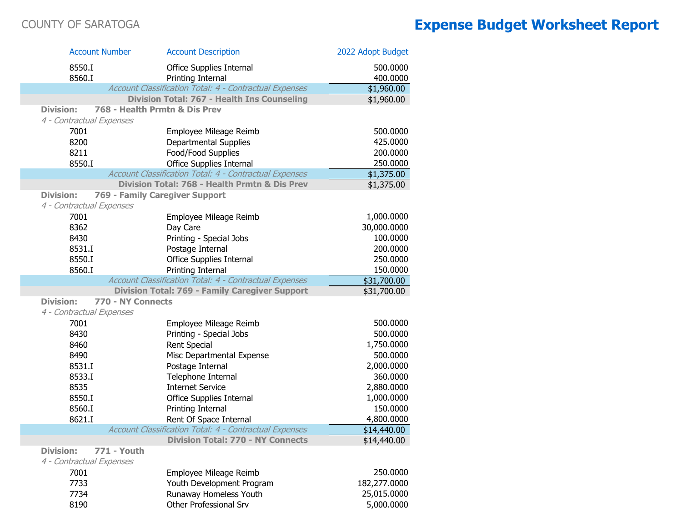|                          | <b>Account Number</b>         | <b>Account Description</b>                                    | 2022 Adopt Budget    |
|--------------------------|-------------------------------|---------------------------------------------------------------|----------------------|
| 8550.I                   |                               | Office Supplies Internal                                      | 500.0000             |
| 8560.I                   |                               | Printing Internal                                             | 400.0000             |
|                          |                               | Account Classification Total: 4 - Contractual Expenses        | \$1,960.00           |
|                          |                               | Division Total: 767 - Health Ins Counseling                   | \$1,960.00           |
| <b>Division:</b>         | 768 - Health Prmtn & Dis Prev |                                                               |                      |
| 4 - Contractual Expenses |                               |                                                               |                      |
| 7001                     |                               | Employee Mileage Reimb                                        | 500.0000             |
| 8200                     |                               | <b>Departmental Supplies</b>                                  | 425.0000             |
| 8211                     |                               | Food/Food Supplies                                            | 200.0000             |
| 8550.I                   |                               | Office Supplies Internal                                      | 250.0000             |
|                          |                               | Account Classification Total: 4 - Contractual Expenses        | \$1,375.00           |
|                          |                               | Division Total: 768 - Health Prmtn & Dis Prev                 | \$1,375.00           |
| <b>Division:</b>         |                               | 769 - Family Caregiver Support                                |                      |
| 4 - Contractual Expenses |                               |                                                               |                      |
| 7001                     |                               | Employee Mileage Reimb                                        | 1,000.0000           |
| 8362                     |                               | Day Care                                                      | 30,000.0000          |
| 8430<br>8531.I           |                               | Printing - Special Jobs                                       | 100.0000<br>200.0000 |
| 8550.I                   |                               | Postage Internal<br><b>Office Supplies Internal</b>           | 250.0000             |
| 8560.I                   |                               | Printing Internal                                             | 150.0000             |
|                          |                               | Account Classification Total: 4 - Contractual Expenses        | \$31,700.00          |
|                          |                               | <b>Division Total: 769 - Family Caregiver Support</b>         | \$31,700.00          |
| <b>Division:</b>         | 770 - NY Connects             |                                                               |                      |
| 4 - Contractual Expenses |                               |                                                               |                      |
| 7001                     |                               | Employee Mileage Reimb                                        | 500.0000             |
| 8430                     |                               | Printing - Special Jobs                                       | 500.0000             |
| 8460                     |                               | <b>Rent Special</b>                                           | 1,750.0000           |
| 8490                     |                               | Misc Departmental Expense                                     | 500.0000             |
| 8531.I                   |                               | Postage Internal                                              | 2,000.0000           |
| 8533.I                   |                               | Telephone Internal                                            | 360.0000             |
| 8535                     |                               | <b>Internet Service</b>                                       | 2,880.0000           |
| 8550.I                   |                               | Office Supplies Internal                                      | 1,000.0000           |
| 8560.I                   |                               | Printing Internal                                             | 150.0000             |
| 8621.I                   |                               | Rent Of Space Internal                                        | 4,800.0000           |
|                          |                               | <b>Account Classification Total: 4 - Contractual Expenses</b> | \$14,440.00          |
|                          |                               | <b>Division Total: 770 - NY Connects</b>                      | \$14,440.00          |
| <b>Division:</b>         | <b>771 - Youth</b>            |                                                               |                      |
| 4 - Contractual Expenses |                               |                                                               |                      |
| 7001                     |                               | Employee Mileage Reimb                                        | 250.0000             |
| 7733                     |                               | Youth Development Program                                     | 182,277.0000         |
| 7734                     |                               | Runaway Homeless Youth                                        | 25,015.0000          |
| 8190                     |                               | Other Professional Srv                                        | 5,000.0000           |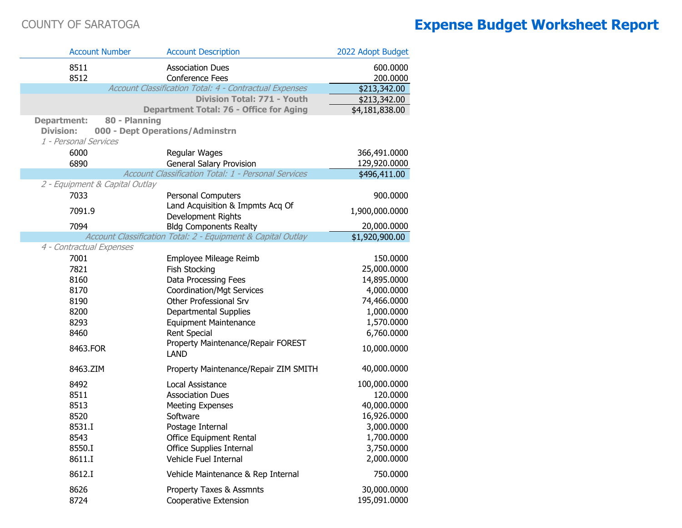e.<br>Poli

P)

| <b>Account Number</b>          | <b>Account Description</b>                                   | 2022 Adopt Budget |
|--------------------------------|--------------------------------------------------------------|-------------------|
| 8511                           | <b>Association Dues</b>                                      | 600.0000          |
| 8512                           | <b>Conference Fees</b>                                       | 200.0000          |
|                                | Account Classification Total: 4 - Contractual Expenses       | \$213,342.00      |
|                                | Division Total: 771 - Youth                                  | \$213,342.00      |
|                                | <b>Department Total: 76 - Office for Aging</b>               | \$4,181,838.00    |
| <b>Department:</b>             | 80 - Planning                                                |                   |
| <b>Division:</b>               | 000 - Dept Operations/Adminstrn                              |                   |
| 1 - Personal Services          |                                                              |                   |
| 6000                           | Regular Wages                                                | 366,491.0000      |
| 6890                           | General Salary Provision                                     | 129,920.0000      |
|                                | Account Classification Total: 1 - Personal Services          | \$496,411.00      |
| 2 - Equipment & Capital Outlay |                                                              |                   |
| 7033                           | Personal Computers<br>Land Acquisition & Impmts Acq Of       | 900.0000          |
| 7091.9                         | Development Rights                                           | 1,900,000.0000    |
| 7094                           | <b>Bldg Components Realty</b>                                | 20,000.0000       |
|                                | Account Classification Total: 2 - Equipment & Capital Outlay | \$1,920,900.00    |
| 4 - Contractual Expenses       |                                                              |                   |
| 7001                           | Employee Mileage Reimb                                       | 150.0000          |
| 7821                           | Fish Stocking                                                | 25,000.0000       |
| 8160                           | Data Processing Fees                                         | 14,895.0000       |
| 8170                           | <b>Coordination/Mgt Services</b>                             | 4,000.0000        |
| 8190                           | Other Professional Srv                                       | 74,466.0000       |
| 8200                           | Departmental Supplies                                        | 1,000.0000        |
| 8293                           | <b>Equipment Maintenance</b>                                 | 1,570.0000        |
| 8460                           | <b>Rent Special</b>                                          | 6,760.0000        |
| 8463.FOR                       | Property Maintenance/Repair FOREST<br><b>LAND</b>            | 10,000.0000       |
|                                |                                                              |                   |
| 8463.ZIM                       | Property Maintenance/Repair ZIM SMITH                        | 40,000.0000       |
| 8492                           | Local Assistance                                             | 100,000.0000      |
| 8511                           | <b>Association Dues</b>                                      | 120.0000          |
| 8513                           | <b>Meeting Expenses</b>                                      | 40,000.0000       |
| 8520                           | Software                                                     | 16,926.0000       |
| 8531.I                         | Postage Internal                                             | 3,000.0000        |
| 8543                           | <b>Office Equipment Rental</b>                               | 1,700.0000        |
| 8550.I                         | Office Supplies Internal                                     | 3,750.0000        |
| 8611.I                         | Vehicle Fuel Internal                                        | 2,000.0000        |
| 8612.I                         | Vehicle Maintenance & Rep Internal                           | 750.0000          |
| 8626                           | Property Taxes & Assmnts                                     | 30,000.0000       |
| 8724                           | Cooperative Extension                                        | 195,091.0000      |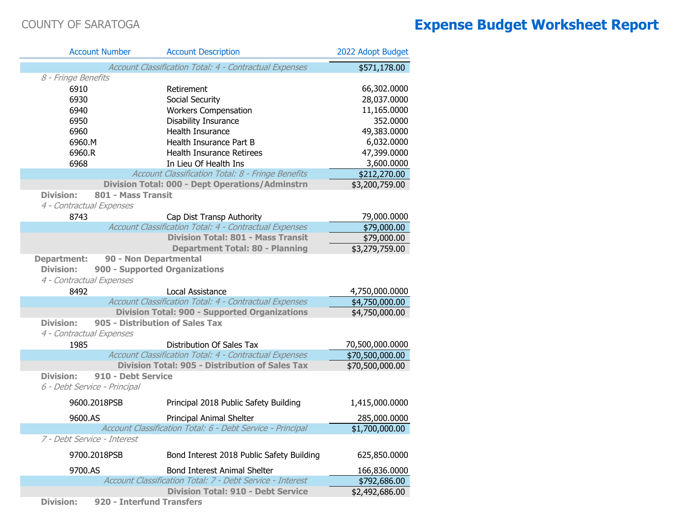| <b>Account Number</b>        | <b>Account Description</b>                                                              | 2022 Adopt Budget                  |
|------------------------------|-----------------------------------------------------------------------------------------|------------------------------------|
|                              | Account Classification Total: 4 - Contractual Expenses                                  | \$571,178.00                       |
| 8 - Fringe Benefits          |                                                                                         |                                    |
| 6910                         | Retirement                                                                              | 66,302.0000                        |
| 6930                         | Social Security                                                                         | 28,037.0000                        |
| 6940                         | <b>Workers Compensation</b>                                                             | 11,165.0000                        |
| 6950                         | Disability Insurance                                                                    | 352.0000                           |
| 6960                         | Health Insurance                                                                        | 49,383.0000                        |
| 6960.M                       | Health Insurance Part B                                                                 | 6,032.0000                         |
| 6960.R                       | <b>Health Insurance Retirees</b>                                                        | 47,399.0000                        |
| 6968                         | In Lieu Of Health Ins                                                                   | 3,600.0000                         |
|                              | Account Classification Total: 8 - Fringe Benefits                                       | \$212,270.00                       |
|                              | <b>Division Total: 000 - Dept Operations/Adminstrn</b>                                  | \$3,200,759.00                     |
| <b>Division:</b>             | 801 - Mass Transit                                                                      |                                    |
| 4 - Contractual Expenses     |                                                                                         |                                    |
| 8743                         | Cap Dist Transp Authority                                                               | 79,000.0000                        |
|                              | Account Classification Total: 4 - Contractual Expenses                                  | \$79,000.00                        |
|                              | <b>Division Total: 801 - Mass Transit</b>                                               | \$79,000.00                        |
|                              | <b>Department Total: 80 - Planning</b>                                                  | \$3,279,759.00                     |
| <b>Department:</b>           | 90 - Non Departmental                                                                   |                                    |
| <b>Division:</b>             | 900 - Supported Organizations                                                           |                                    |
| 4 - Contractual Expenses     |                                                                                         |                                    |
| 8492                         | Local Assistance                                                                        | 4,750,000.0000                     |
|                              | Account Classification Total: 4 - Contractual Expenses                                  | \$4,750,000.00                     |
|                              | <b>Division Total: 900 - Supported Organizations</b><br>905 - Distribution of Sales Tax | \$4,750,000.00                     |
| <b>Division:</b>             |                                                                                         |                                    |
| 4 - Contractual Expenses     |                                                                                         |                                    |
| 1985                         | Distribution Of Sales Tax<br>Account Classification Total: 4 - Contractual Expenses     | 70,500,000.0000                    |
|                              | <b>Division Total: 905 - Distribution of Sales Tax</b>                                  | \$70,500,000.00<br>\$70,500,000.00 |
| <b>Division:</b>             | 910 - Debt Service                                                                      |                                    |
| 6 - Debt Service - Principal |                                                                                         |                                    |
|                              |                                                                                         |                                    |
| 9600.2018PSB                 | Principal 2018 Public Safety Building                                                   | 1,415,000.0000                     |
| 9600.AS                      | Principal Animal Shelter                                                                | 285,000.0000                       |
|                              | Account Classification Total: 6 - Debt Service - Principal                              | \$1,700,000.00                     |
| 7 - Debt Service - Interest  |                                                                                         |                                    |
| 9700.2018PSB                 | Bond Interest 2018 Public Safety Building                                               | 625,850.0000                       |
| 9700.AS                      | <b>Bond Interest Animal Shelter</b>                                                     | 166,836.0000                       |
|                              | Account Classification Total: 7 - Debt Service - Interest                               | \$792,686.00                       |
|                              | <b>Division Total: 910 - Debt Service</b>                                               | \$2,492,686.00                     |

**Division: 920 - Interfund Transfers**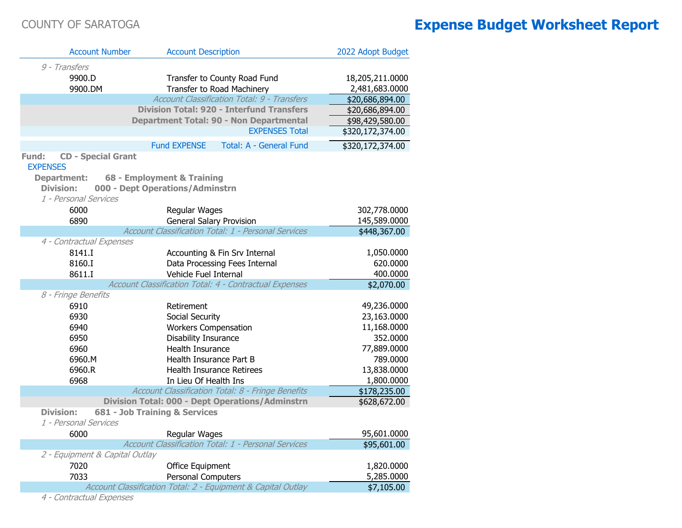| <b>Account Number</b>                                 | <b>Account Description</b>                                              | 2022 Adopt Budget |
|-------------------------------------------------------|-------------------------------------------------------------------------|-------------------|
| 9 - Transfers                                         |                                                                         |                   |
| 9900.D                                                | Transfer to County Road Fund                                            | 18,205,211.0000   |
| 9900.DM                                               | Transfer to Road Machinery                                              | 2,481,683.0000    |
|                                                       | Account Classification Total: 9 - Transfers                             | \$20,686,894.00   |
|                                                       | <b>Division Total: 920 - Interfund Transfers</b>                        | \$20,686,894.00   |
|                                                       | <b>Department Total: 90 - Non Departmental</b><br><b>EXPENSES Total</b> | \$98,429,580.00   |
|                                                       |                                                                         | \$320,172,374.00  |
|                                                       | <b>Fund EXPENSE</b><br>Total: A - General Fund                          | \$320,172,374.00  |
| <b>CD - Special Grant</b><br>Fund:<br><b>EXPENSES</b> |                                                                         |                   |
| <b>Department:</b>                                    | 68 - Employment & Training                                              |                   |
| <b>Division:</b>                                      | 000 - Dept Operations/Adminstrn                                         |                   |
| 1 - Personal Services                                 |                                                                         |                   |
| 6000                                                  | Regular Wages                                                           | 302,778.0000      |
| 6890                                                  | <b>General Salary Provision</b>                                         | 145,589.0000      |
|                                                       | Account Classification Total: 1 - Personal Services                     | \$448,367.00      |
| 4 - Contractual Expenses<br>8141.I                    |                                                                         | 1,050.0000        |
| 8160.I                                                | Accounting & Fin Srv Internal<br>Data Processing Fees Internal          | 620.0000          |
| 8611.I                                                | Vehicle Fuel Internal                                                   | 400.0000          |
|                                                       | Account Classification Total: 4 - Contractual Expenses                  | \$2,070.00        |
| 8 - Fringe Benefits                                   |                                                                         |                   |
| 6910                                                  | Retirement                                                              | 49,236.0000       |
| 6930                                                  | Social Security                                                         | 23,163.0000       |
| 6940                                                  | <b>Workers Compensation</b>                                             | 11,168.0000       |
| 6950                                                  | Disability Insurance                                                    | 352.0000          |
| 6960                                                  | <b>Health Insurance</b>                                                 | 77,889.0000       |
| 6960.M                                                | Health Insurance Part B                                                 | 789.0000          |
| 6960.R                                                | <b>Health Insurance Retirees</b>                                        | 13,838.0000       |
| 6968                                                  | In Lieu Of Health Ins                                                   | 1,800.0000        |
|                                                       | Account Classification Total: 8 - Fringe Benefits                       | \$178,235.00      |
|                                                       | <b>Division Total: 000 - Dept Operations/Adminstrn</b>                  | \$628,672.00      |
| <b>Division:</b><br>1 - Personal Services             | 681 - Job Training & Services                                           |                   |
| 6000                                                  |                                                                         |                   |
|                                                       | Regular Wages<br>Account Classification Total: 1 - Personal Services    | 95,601.0000       |
| 2 - Equipment & Capital Outlay                        |                                                                         | \$95,601.00       |
| 7020                                                  | Office Equipment                                                        | 1,820.0000        |
| 7033                                                  | Personal Computers                                                      | 5,285.0000        |
|                                                       | Account Classification Total: 2 - Equipment & Capital Outlay            | \$7,105.00        |
|                                                       |                                                                         |                   |

4 - Contractual Expenses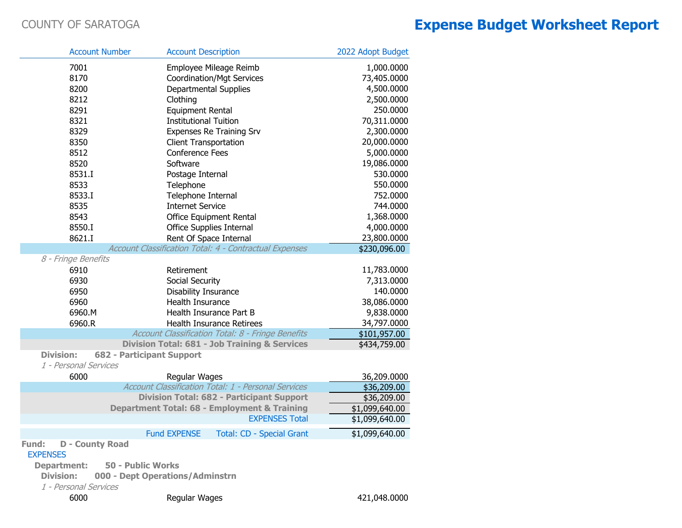I.

|                                           | <b>Account Number</b>            | <b>Account Description</b>       |                                                          | 2022 Adopt Budget |
|-------------------------------------------|----------------------------------|----------------------------------|----------------------------------------------------------|-------------------|
| 7001                                      |                                  | Employee Mileage Reimb           |                                                          | 1,000.0000        |
| 8170                                      |                                  | <b>Coordination/Mgt Services</b> |                                                          | 73,405.0000       |
| 8200                                      |                                  | Departmental Supplies            |                                                          | 4,500.0000        |
| 8212                                      |                                  | Clothing                         |                                                          | 2,500.0000        |
| 8291                                      |                                  | <b>Equipment Rental</b>          |                                                          | 250.0000          |
| 8321                                      |                                  | <b>Institutional Tuition</b>     |                                                          | 70,311.0000       |
| 8329                                      |                                  | Expenses Re Training Srv         |                                                          | 2,300.0000        |
| 8350                                      |                                  | <b>Client Transportation</b>     |                                                          | 20,000.0000       |
| 8512                                      |                                  | Conference Fees                  |                                                          | 5,000.0000        |
| 8520                                      |                                  | Software                         |                                                          | 19,086.0000       |
| 8531.I                                    |                                  | Postage Internal                 |                                                          | 530.0000          |
| 8533                                      |                                  | Telephone                        |                                                          | 550.0000          |
| 8533.I                                    |                                  | Telephone Internal               |                                                          | 752.0000          |
| 8535                                      |                                  | <b>Internet Service</b>          |                                                          | 744.0000          |
| 8543                                      |                                  | <b>Office Equipment Rental</b>   |                                                          | 1,368.0000        |
| 8550.I                                    |                                  | Office Supplies Internal         |                                                          | 4,000.0000        |
| 8621.I                                    |                                  | Rent Of Space Internal           |                                                          | 23,800.0000       |
|                                           |                                  |                                  | Account Classification Total: 4 - Contractual Expenses   | \$230,096.00      |
| 8 - Fringe Benefits                       |                                  |                                  |                                                          |                   |
| 6910                                      |                                  | Retirement                       |                                                          | 11,783.0000       |
| 6930                                      |                                  | Social Security                  |                                                          | 7,313.0000        |
| 6950                                      |                                  | Disability Insurance             |                                                          | 140.0000          |
| 6960                                      |                                  | Health Insurance                 |                                                          | 38,086.0000       |
| 6960.M                                    |                                  | Health Insurance Part B          |                                                          | 9,838.0000        |
| 6960.R                                    |                                  | <b>Health Insurance Retirees</b> |                                                          | 34,797.0000       |
|                                           |                                  |                                  | Account Classification Total: 8 - Fringe Benefits        | \$101,957.00      |
|                                           |                                  |                                  | <b>Division Total: 681 - Job Training &amp; Services</b> | \$434,759.00      |
| <b>Division:</b><br>1 - Personal Services | <b>682 - Participant Support</b> |                                  |                                                          |                   |
| 6000                                      |                                  | Regular Wages                    |                                                          | 36,209.0000       |
|                                           |                                  |                                  | Account Classification Total: 1 - Personal Services      | \$36,209.00       |
|                                           |                                  |                                  | <b>Division Total: 682 - Participant Support</b>         | \$36,209.00       |
|                                           |                                  |                                  | Department Total: 68 - Employment & Training             | \$1,099,640.00    |
|                                           |                                  |                                  | <b>EXPENSES Total</b>                                    | \$1,099,640.00    |
|                                           |                                  | <b>Fund EXPENSE</b>              | <b>Total: CD - Special Grant</b>                         | \$1,099,640.00    |
| Fund:                                     | <b>D</b> - County Road           |                                  |                                                          |                   |
| <b>EXPENSES</b>                           |                                  |                                  |                                                          |                   |
| <b>Department:</b>                        | <b>50 - Public Works</b>         |                                  |                                                          |                   |
| <b>Division:</b>                          | 000 - Dept Operations/Adminstrn  |                                  |                                                          |                   |
| 1 - Personal Services                     |                                  |                                  |                                                          |                   |
| 6000                                      |                                  | Regular Wages                    |                                                          | 421,048.0000      |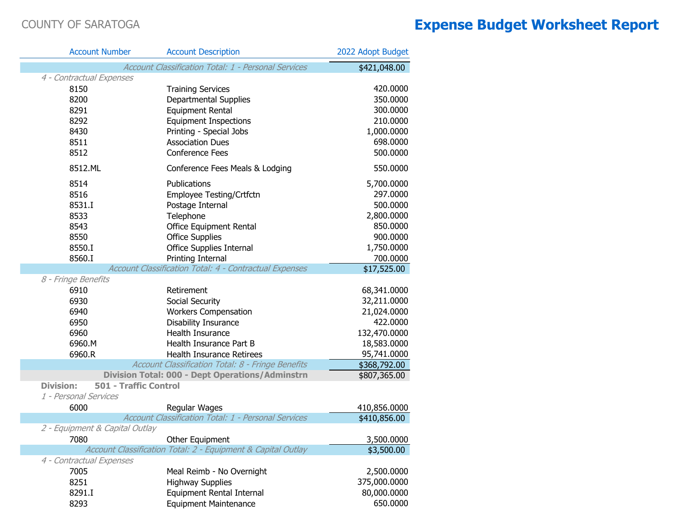| <b>Account Number</b>                            | <b>Account Description</b>                                   | 2022 Adopt Budget |
|--------------------------------------------------|--------------------------------------------------------------|-------------------|
|                                                  | Account Classification Total: 1 - Personal Services          | \$421,048.00      |
| 4 - Contractual Expenses                         |                                                              |                   |
| 8150                                             | <b>Training Services</b>                                     | 420.0000          |
| 8200                                             | Departmental Supplies                                        | 350.0000          |
| 8291                                             | <b>Equipment Rental</b>                                      | 300.0000          |
| 8292                                             | <b>Equipment Inspections</b>                                 | 210.0000          |
| 8430                                             | Printing - Special Jobs                                      | 1,000.0000        |
| 8511                                             | <b>Association Dues</b>                                      | 698.0000          |
| 8512                                             | <b>Conference Fees</b>                                       | 500.0000          |
| 8512.ML                                          | Conference Fees Meals & Lodging                              | 550.0000          |
| 8514                                             | Publications                                                 | 5,700.0000        |
| 8516                                             | Employee Testing/Crtfctn                                     | 297.0000          |
| 8531.I                                           | Postage Internal                                             | 500.0000          |
| 8533                                             | Telephone                                                    | 2,800.0000        |
| 8543                                             | Office Equipment Rental                                      | 850.0000          |
| 8550                                             | <b>Office Supplies</b>                                       | 900.0000          |
| 8550.I                                           | <b>Office Supplies Internal</b>                              | 1,750.0000        |
| 8560.I                                           | Printing Internal                                            | 700.0000          |
|                                                  | Account Classification Total: 4 - Contractual Expenses       | \$17,525.00       |
| 8 - Fringe Benefits                              |                                                              |                   |
| 6910                                             | Retirement                                                   | 68,341.0000       |
| 6930                                             | Social Security                                              | 32,211.0000       |
| 6940                                             | <b>Workers Compensation</b>                                  | 21,024.0000       |
| 6950                                             | Disability Insurance                                         | 422.0000          |
| 6960                                             | Health Insurance                                             | 132,470.0000      |
| 6960.M                                           | Health Insurance Part B                                      | 18,583.0000       |
| 6960.R                                           | Health Insurance Retirees                                    | 95,741.0000       |
|                                                  | Account Classification Total: 8 - Fringe Benefits            | \$368,792.00      |
|                                                  | <b>Division Total: 000 - Dept Operations/Adminstrn</b>       | \$807,365.00      |
| <b>Division:</b><br><b>501 - Traffic Control</b> |                                                              |                   |
| 1 - Personal Services                            |                                                              |                   |
| 6000                                             | Regular Wages                                                | 410,856.0000      |
|                                                  | Account Classification Total: 1 - Personal Services          | \$410,856.00      |
| 2 - Equipment & Capital Outlay                   |                                                              |                   |
| 7080                                             | Other Equipment                                              | 3,500.0000        |
|                                                  | Account Classification Total: 2 - Equipment & Capital Outlay | \$3,500.00        |
| 4 - Contractual Expenses                         |                                                              |                   |
| 7005                                             | Meal Reimb - No Overnight                                    | 2,500.0000        |
| 8251                                             | <b>Highway Supplies</b>                                      | 375,000.0000      |
| 8291.I                                           | Equipment Rental Internal                                    | 80,000.0000       |
| 8293                                             | <b>Equipment Maintenance</b>                                 | 650.0000          |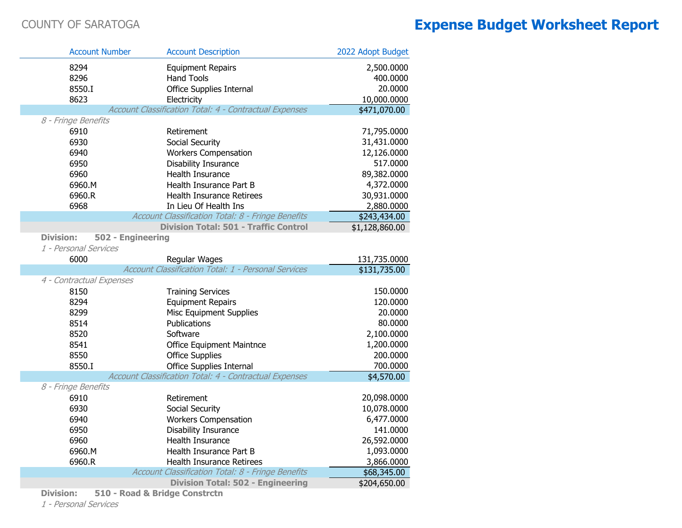|                  | <b>Account Number</b>    | <b>Account Description</b>                             | 2022 Adopt Budget |
|------------------|--------------------------|--------------------------------------------------------|-------------------|
|                  | 8294                     | <b>Equipment Repairs</b>                               | 2,500.0000        |
|                  | 8296                     | <b>Hand Tools</b>                                      | 400.0000          |
|                  | 8550.I                   | <b>Office Supplies Internal</b>                        | 20.0000           |
|                  | 8623                     | Electricity                                            | 10,000.0000       |
|                  |                          | Account Classification Total: 4 - Contractual Expenses | \$471,070.00      |
|                  | 8 - Fringe Benefits      |                                                        |                   |
|                  | 6910                     | Retirement                                             | 71,795.0000       |
|                  | 6930                     | Social Security                                        | 31,431.0000       |
|                  | 6940                     | <b>Workers Compensation</b>                            | 12,126.0000       |
|                  | 6950                     | Disability Insurance                                   | 517.0000          |
|                  | 6960                     | Health Insurance                                       | 89,382.0000       |
|                  | 6960.M                   | Health Insurance Part B                                | 4,372.0000        |
|                  | 6960.R                   | <b>Health Insurance Retirees</b>                       | 30,931.0000       |
|                  | 6968                     | In Lieu Of Health Ins                                  | 2,880.0000        |
|                  |                          | Account Classification Total: 8 - Fringe Benefits      | \$243,434.00      |
|                  |                          | <b>Division Total: 501 - Traffic Control</b>           | \$1,128,860.00    |
| <b>Division:</b> | 502 - Engineering        |                                                        |                   |
|                  | 1 - Personal Services    |                                                        |                   |
|                  | 6000                     | Regular Wages                                          | 131,735.0000      |
|                  |                          | Account Classification Total: 1 - Personal Services    | \$131,735.00      |
|                  | 4 - Contractual Expenses |                                                        |                   |
|                  | 8150                     | <b>Training Services</b>                               | 150.0000          |
|                  | 8294                     | <b>Equipment Repairs</b>                               | 120.0000          |
|                  | 8299                     | <b>Misc Equipment Supplies</b>                         | 20.0000           |
|                  | 8514                     | Publications                                           | 80.0000           |
|                  | 8520                     | Software                                               | 2,100.0000        |
|                  | 8541                     | <b>Office Equipment Maintnce</b>                       | 1,200.0000        |
|                  | 8550                     | <b>Office Supplies</b>                                 | 200.0000          |
|                  | 8550.I                   | <b>Office Supplies Internal</b>                        | 700.0000          |
|                  |                          | Account Classification Total: 4 - Contractual Expenses | \$4,570.00        |
|                  | 8 - Fringe Benefits      |                                                        |                   |
|                  | 6910                     | Retirement                                             | 20,098.0000       |
|                  | 6930                     | Social Security                                        | 10,078.0000       |
|                  | 6940                     | <b>Workers Compensation</b>                            | 6,477.0000        |
|                  | 6950                     | Disability Insurance                                   | 141.0000          |
|                  | 6960                     | Health Insurance                                       | 26,592.0000       |
|                  | 6960.M                   | Health Insurance Part B                                | 1,093.0000        |
|                  | 6960.R                   | Health Insurance Retirees                              | 3,866.0000        |
|                  |                          | Account Classification Total: 8 - Fringe Benefits      | \$68,345.00       |
|                  |                          | <b>Division Total: 502 - Engineering</b>               | \$204,650.00      |

**Division: 510 - Road & Bridge Constrctn**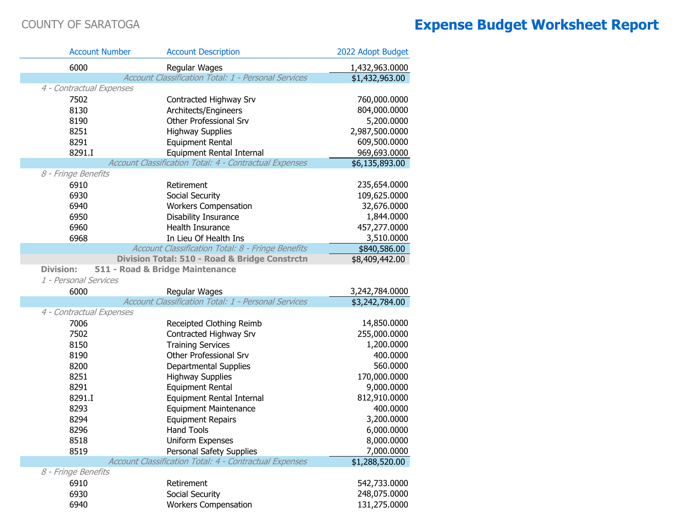|                     | <b>Account Number</b>    | <b>Account Description</b>                                    | 2022 Adopt Budget |
|---------------------|--------------------------|---------------------------------------------------------------|-------------------|
|                     | 6000                     | Regular Wages                                                 | 1,432,963.0000    |
|                     |                          | Account Classification Total: 1 - Personal Services           | \$1,432,963.00    |
|                     | 4 - Contractual Expenses |                                                               |                   |
|                     | 7502                     | Contracted Highway Srv                                        | 760,000.0000      |
|                     | 8130                     | Architects/Engineers                                          | 804,000.0000      |
|                     | 8190                     | Other Professional Srv                                        | 5,200.0000        |
|                     | 8251                     | <b>Highway Supplies</b>                                       | 2,987,500.0000    |
|                     | 8291                     | <b>Equipment Rental</b>                                       | 609,500.0000      |
|                     | 8291.I                   | Equipment Rental Internal                                     | 969,693.0000      |
|                     |                          | Account Classification Total: 4 - Contractual Expenses        | \$6,135,893.00    |
| 8 - Fringe Benefits |                          |                                                               |                   |
|                     | 6910                     | Retirement                                                    | 235,654.0000      |
|                     | 6930                     | Social Security                                               | 109,625.0000      |
|                     | 6940                     | <b>Workers Compensation</b>                                   | 32,676.0000       |
|                     | 6950                     | Disability Insurance                                          | 1,844.0000        |
|                     | 6960                     | Health Insurance                                              | 457,277.0000      |
|                     | 6968                     | In Lieu Of Health Ins                                         | 3,510.0000        |
|                     |                          | Account Classification Total: 8 - Fringe Benefits             | \$840,586.00      |
|                     |                          | Division Total: 510 - Road & Bridge Constrctn                 | \$8,409,442.00    |
| <b>Division:</b>    |                          | 511 - Road & Bridge Maintenance                               |                   |
|                     | 1 - Personal Services    |                                                               |                   |
|                     | 6000                     | Regular Wages                                                 | 3,242,784.0000    |
|                     |                          | Account Classification Total: 1 - Personal Services           | \$3,242,784.00    |
|                     | 4 - Contractual Expenses |                                                               |                   |
|                     | 7006                     | Receipted Clothing Reimb                                      | 14,850.0000       |
|                     | 7502                     | Contracted Highway Srv                                        | 255,000.0000      |
|                     | 8150                     | <b>Training Services</b>                                      | 1,200.0000        |
|                     | 8190                     | Other Professional Srv                                        | 400.0000          |
|                     | 8200                     | <b>Departmental Supplies</b>                                  | 560.0000          |
|                     | 8251                     | <b>Highway Supplies</b>                                       | 170,000.0000      |
|                     | 8291                     | <b>Equipment Rental</b>                                       | 9,000.0000        |
|                     | 8291.I                   | Equipment Rental Internal                                     | 812,910.0000      |
|                     | 8293                     | <b>Equipment Maintenance</b>                                  | 400.0000          |
|                     | 8294                     | <b>Equipment Repairs</b>                                      | 3,200.0000        |
|                     | 8296                     | Hand Tools                                                    | 6,000.0000        |
|                     | 8518                     | Uniform Expenses                                              | 8,000.0000        |
|                     | 8519                     | Personal Safety Supplies                                      | 7,000.0000        |
| 8 - Fringe Benefits |                          | <b>Account Classification Total: 4 - Contractual Expenses</b> | \$1,288,520.00    |
|                     | 6910                     | Retirement                                                    | 542,733.0000      |
|                     | 6930                     | Social Security                                               | 248,075.0000      |
|                     | 6940                     | <b>Workers Compensation</b>                                   | 131,275.0000      |
|                     |                          |                                                               |                   |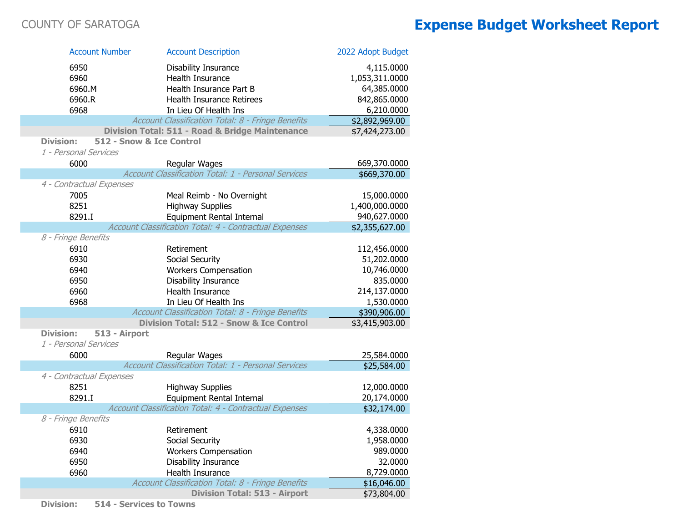| <b>Account Number</b>             | <b>Account Description</b>                             | 2022 Adopt Budget |
|-----------------------------------|--------------------------------------------------------|-------------------|
| 6950                              | Disability Insurance                                   | 4,115.0000        |
| 6960                              | Health Insurance                                       | 1,053,311.0000    |
| 6960.M                            | Health Insurance Part B                                | 64,385.0000       |
| 6960.R                            | Health Insurance Retirees                              | 842,865.0000      |
| 6968                              | In Lieu Of Health Ins                                  | 6,210.0000        |
|                                   | Account Classification Total: 8 - Fringe Benefits      | \$2,892,969.00    |
|                                   | Division Total: 511 - Road & Bridge Maintenance        | \$7,424,273.00    |
| <b>Division:</b>                  | 512 - Snow & Ice Control                               |                   |
| 1 - Personal Services             |                                                        |                   |
| 6000                              | Regular Wages                                          | 669,370.0000      |
|                                   | Account Classification Total: 1 - Personal Services    | \$669,370.00      |
| 4 - Contractual Expenses          |                                                        |                   |
| 7005                              | Meal Reimb - No Overnight                              | 15,000.0000       |
| 8251                              | <b>Highway Supplies</b>                                | 1,400,000.0000    |
| 8291.I                            | Equipment Rental Internal                              | 940,627.0000      |
|                                   | Account Classification Total: 4 - Contractual Expenses | \$2,355,627.00    |
| 8 - Fringe Benefits               |                                                        |                   |
| 6910                              | Retirement                                             | 112,456.0000      |
| 6930                              | Social Security                                        | 51,202.0000       |
| 6940                              | <b>Workers Compensation</b>                            | 10,746.0000       |
| 6950                              | Disability Insurance                                   | 835.0000          |
| 6960                              | <b>Health Insurance</b>                                | 214,137.0000      |
| 6968                              | In Lieu Of Health Ins                                  | 1,530.0000        |
|                                   | Account Classification Total: 8 - Fringe Benefits      | \$390,906.00      |
|                                   | <b>Division Total: 512 - Snow &amp; Ice Control</b>    | \$3,415,903.00    |
| <b>Division:</b><br>513 - Airport |                                                        |                   |
| 1 - Personal Services             |                                                        |                   |
| 6000                              | Regular Wages                                          | 25,584.0000       |
|                                   | Account Classification Total: 1 - Personal Services    | \$25,584.00       |
| 4 - Contractual Expenses          |                                                        |                   |
| 8251                              | <b>Highway Supplies</b>                                | 12,000.0000       |
| 8291.I                            | Equipment Rental Internal                              | 20,174.0000       |
|                                   | Account Classification Total: 4 - Contractual Expenses | \$32,174.00       |
| 8 - Fringe Benefits               |                                                        |                   |
| 6910                              | Retirement                                             | 4,338.0000        |
| 6930                              | Social Security                                        | 1,958.0000        |
| 6940                              | <b>Workers Compensation</b>                            | 989.0000          |
| 6950                              | Disability Insurance                                   | 32.0000           |
| 6960                              | Health Insurance                                       | 8,729.0000        |
|                                   | Account Classification Total: 8 - Fringe Benefits      | \$16,046.00       |
|                                   | <b>Division Total: 513 - Airport</b>                   | \$73,804.00       |

**Division: 514 - Services to Towns**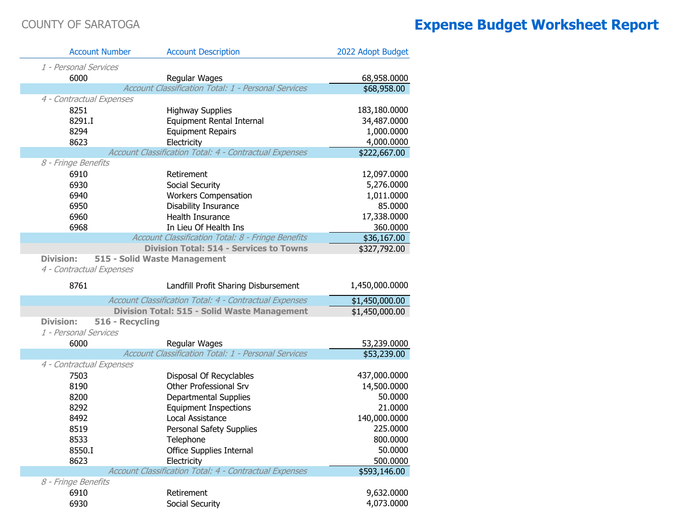F.

| <b>Account Number</b>    | <b>Account Description</b>                             | 2022 Adopt Budget        |
|--------------------------|--------------------------------------------------------|--------------------------|
| 1 - Personal Services    |                                                        |                          |
| 6000                     | Regular Wages                                          | 68,958.0000              |
|                          | Account Classification Total: 1 - Personal Services    | \$68,958.00              |
| 4 - Contractual Expenses |                                                        |                          |
| 8251                     | <b>Highway Supplies</b>                                | 183,180.0000             |
| 8291.I                   | Equipment Rental Internal                              | 34,487.0000              |
| 8294                     | <b>Equipment Repairs</b>                               | 1,000.0000               |
| 8623                     | Electricity                                            | 4,000.0000               |
|                          | Account Classification Total: 4 - Contractual Expenses | \$222,667.00             |
| 8 - Fringe Benefits      |                                                        |                          |
| 6910                     | Retirement                                             | 12,097.0000              |
| 6930                     | Social Security                                        | 5,276.0000               |
| 6940                     | <b>Workers Compensation</b>                            | 1,011.0000               |
| 6950                     | Disability Insurance                                   | 85.0000                  |
| 6960                     | Health Insurance                                       | 17,338.0000              |
| 6968                     | In Lieu Of Health Ins                                  | 360.0000                 |
|                          | Account Classification Total: 8 - Fringe Benefits      | \$36,167.00              |
|                          | <b>Division Total: 514 - Services to Towns</b>         | \$327,792.00             |
| <b>Division:</b>         | 515 - Solid Waste Management                           |                          |
| 4 - Contractual Expenses |                                                        |                          |
|                          |                                                        |                          |
| 8761                     | Landfill Profit Sharing Disbursement                   | 1,450,000.0000           |
|                          | Account Classification Total: 4 - Contractual Expenses | \$1,450,000.00           |
|                          | <b>Division Total: 515 - Solid Waste Management</b>    | \$1,450,000.00           |
| <b>Division:</b>         | 516 - Recycling                                        |                          |
| 1 - Personal Services    |                                                        |                          |
| 6000                     | Regular Wages                                          | 53,239.0000              |
|                          | Account Classification Total: 1 - Personal Services    | \$53,239.00              |
| 4 - Contractual Expenses |                                                        |                          |
| 7503                     | Disposal Of Recyclables                                | 437,000.0000             |
| 8190                     | Other Professional Srv                                 | 14,500.0000              |
| 8200                     | <b>Departmental Supplies</b>                           | 50.0000                  |
| 8292                     | <b>Equipment Inspections</b>                           | 21.0000                  |
| 8492                     | Local Assistance                                       | 140,000.0000             |
| 8519                     | Personal Safety Supplies                               | 225.0000                 |
| 8533                     | Telephone                                              | 800.0000                 |
| 8550.I                   | Office Supplies Internal                               | 50.0000                  |
| 8623                     | Electricity                                            | 500.0000                 |
|                          | Account Classification Total: 4 - Contractual Expenses | \$593,146.00             |
| 8 - Fringe Benefits      |                                                        |                          |
| 6910<br>6930             | Retirement<br>Social Security                          | 9,632.0000<br>4,073.0000 |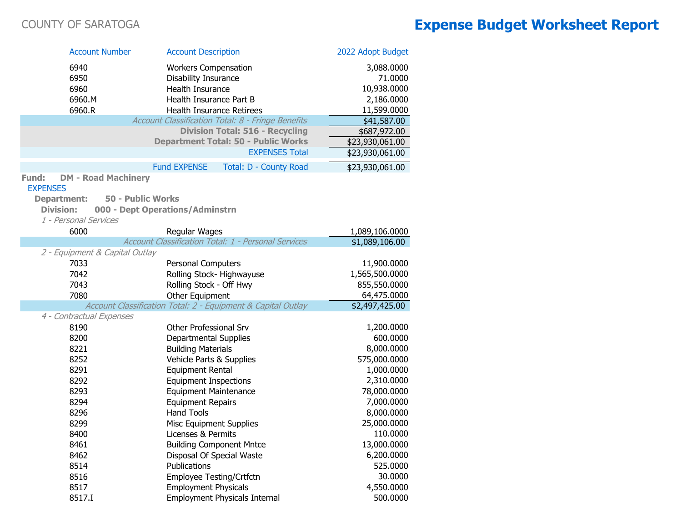|                                           | <b>Account Number</b>                                        | <b>Account Description</b>                          |                                                            | 2022 Adopt Budget     |
|-------------------------------------------|--------------------------------------------------------------|-----------------------------------------------------|------------------------------------------------------------|-----------------------|
| 6940<br>6950                              |                                                              | <b>Workers Compensation</b><br>Disability Insurance |                                                            | 3,088.0000<br>71.0000 |
| 6960                                      |                                                              | Health Insurance                                    |                                                            | 10,938.0000           |
| 6960.M                                    |                                                              | Health Insurance Part B                             |                                                            | 2,186.0000            |
| 6960.R                                    |                                                              |                                                     | Health Insurance Retirees                                  | 11,599.0000           |
|                                           |                                                              |                                                     | Account Classification Total: 8 - Fringe Benefits          | \$41,587.00           |
|                                           |                                                              |                                                     | <b>Division Total: 516 - Recycling</b>                     | \$687,972.00          |
|                                           |                                                              |                                                     | <b>Department Total: 50 - Public Works</b>                 | \$23,930,061.00       |
|                                           |                                                              |                                                     | <b>EXPENSES Total</b>                                      | \$23,930,061.00       |
|                                           |                                                              | <b>Fund EXPENSE</b>                                 | Total: D - County Road                                     | \$23,930,061.00       |
| Fund:<br><b>EXPENSES</b>                  | <b>DM - Road Machinery</b>                                   |                                                     |                                                            |                       |
| <b>Department:</b>                        | 50 - Public Works                                            |                                                     |                                                            |                       |
| <b>Division:</b><br>1 - Personal Services | 000 - Dept Operations/Adminstrn                              |                                                     |                                                            |                       |
| 6000                                      |                                                              | Regular Wages                                       |                                                            | 1,089,106.0000        |
|                                           |                                                              |                                                     | <b>Account Classification Total: 1 - Personal Services</b> | \$1,089,106.00        |
|                                           | 2 - Equipment & Capital Outlay                               |                                                     |                                                            |                       |
| 7033                                      |                                                              | <b>Personal Computers</b>                           |                                                            | 11,900.0000           |
| 7042                                      |                                                              |                                                     | Rolling Stock-Highwayuse                                   | 1,565,500.0000        |
| 7043                                      |                                                              | Rolling Stock - Off Hwy                             |                                                            | 855,550.0000          |
| 7080                                      |                                                              | Other Equipment                                     |                                                            | 64,475.0000           |
|                                           | Account Classification Total: 2 - Equipment & Capital Outlay |                                                     |                                                            | \$2,497,425.00        |
| 4 - Contractual Expenses                  |                                                              |                                                     |                                                            |                       |
| 8190                                      |                                                              | Other Professional Srv                              |                                                            | 1,200.0000            |
| 8200                                      |                                                              | Departmental Supplies                               |                                                            | 600.0000              |
| 8221                                      |                                                              | <b>Building Materials</b>                           |                                                            | 8,000.0000            |
| 8252                                      |                                                              | Vehicle Parts & Supplies                            |                                                            | 575,000.0000          |
| 8291                                      |                                                              | <b>Equipment Rental</b>                             |                                                            | 1,000.0000            |
| 8292                                      |                                                              | <b>Equipment Inspections</b>                        |                                                            | 2,310.0000            |
| 8293                                      |                                                              | <b>Equipment Maintenance</b>                        |                                                            | 78,000.0000           |
| 8294                                      |                                                              | <b>Equipment Repairs</b>                            |                                                            | 7,000.0000            |
| 8296                                      |                                                              | <b>Hand Tools</b>                                   |                                                            | 8,000.0000            |
| 8299                                      |                                                              | <b>Misc Equipment Supplies</b>                      |                                                            | 25,000.0000           |
| 8400                                      |                                                              | Licenses & Permits                                  |                                                            | 110.0000              |
| 8461                                      |                                                              |                                                     | <b>Building Component Mntce</b>                            | 13,000.0000           |
| 8462                                      |                                                              |                                                     | Disposal Of Special Waste                                  | 6,200.0000            |
| 8514                                      |                                                              | Publications                                        |                                                            | 525.0000              |
| 8516                                      |                                                              |                                                     | Employee Testing/Crtfctn                                   | 30.0000               |
| 8517                                      |                                                              | <b>Employment Physicals</b>                         |                                                            | 4,550.0000            |
| 8517.I                                    |                                                              |                                                     | <b>Employment Physicals Internal</b>                       | 500.0000              |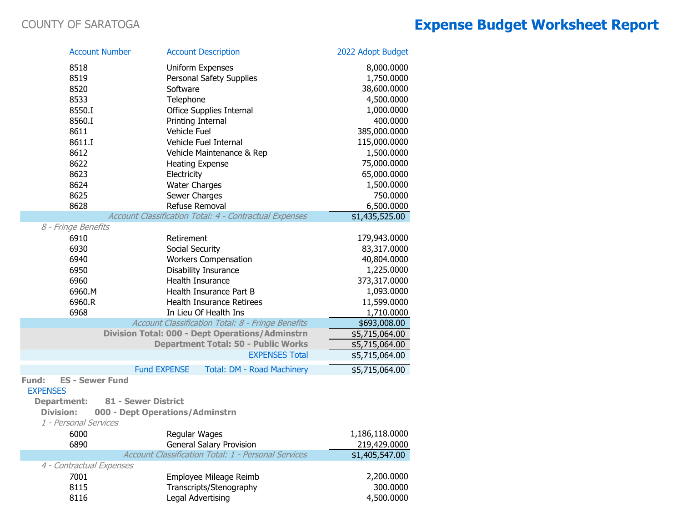|                          | <b>Account Number</b>  | <b>Account Description</b>                                 | 2022 Adopt Budget |
|--------------------------|------------------------|------------------------------------------------------------|-------------------|
| 8518                     |                        | Uniform Expenses                                           | 8,000.0000        |
| 8519                     |                        | Personal Safety Supplies                                   | 1,750.0000        |
| 8520                     |                        | Software                                                   | 38,600.0000       |
| 8533                     |                        | Telephone                                                  | 4,500.0000        |
| 8550.I                   |                        | Office Supplies Internal                                   | 1,000.0000        |
| 8560.I                   |                        | Printing Internal                                          | 400.0000          |
| 8611                     |                        | Vehicle Fuel                                               | 385,000.0000      |
| 8611.I                   |                        | Vehicle Fuel Internal                                      | 115,000.0000      |
| 8612                     |                        | Vehicle Maintenance & Rep                                  | 1,500.0000        |
| 8622                     |                        | <b>Heating Expense</b>                                     | 75,000.0000       |
| 8623                     |                        | Electricity                                                | 65,000.0000       |
| 8624                     |                        | <b>Water Charges</b>                                       | 1,500.0000        |
| 8625                     |                        | Sewer Charges                                              | 750.0000          |
| 8628                     |                        | Refuse Removal                                             | 6,500.0000        |
|                          |                        | Account Classification Total: 4 - Contractual Expenses     | \$1,435,525.00    |
| 8 - Fringe Benefits      |                        |                                                            |                   |
| 6910                     |                        | Retirement                                                 | 179,943.0000      |
| 6930                     |                        | Social Security                                            | 83,317.0000       |
| 6940                     |                        | <b>Workers Compensation</b>                                | 40,804.0000       |
| 6950                     |                        | Disability Insurance                                       | 1,225.0000        |
| 6960                     |                        | Health Insurance                                           | 373,317.0000      |
| 6960.M                   |                        | Health Insurance Part B                                    | 1,093.0000        |
| 6960.R                   |                        | <b>Health Insurance Retirees</b>                           | 11,599.0000       |
| 6968                     |                        | In Lieu Of Health Ins                                      | 1,710.0000        |
|                          |                        | Account Classification Total: 8 - Fringe Benefits          | \$693,008.00      |
|                          |                        | <b>Division Total: 000 - Dept Operations/Adminstrn</b>     | \$5,715,064.00    |
|                          |                        | <b>Department Total: 50 - Public Works</b>                 | \$5,715,064.00    |
|                          |                        | <b>EXPENSES Total</b>                                      | \$5,715,064.00    |
|                          | <b>Fund EXPENSE</b>    | Total: DM - Road Machinery                                 | \$5,715,064.00    |
| Fund:<br><b>EXPENSES</b> | <b>ES - Sewer Fund</b> |                                                            |                   |
| <b>Department:</b>       | 81 - Sewer District    |                                                            |                   |
| <b>Division:</b>         |                        | 000 - Dept Operations/Adminstrn                            |                   |
| 1 - Personal Services    |                        |                                                            |                   |
| 6000                     |                        | Regular Wages                                              | 1,186,118.0000    |
| 6890                     |                        | <b>General Salary Provision</b>                            | 219,429.0000      |
|                          |                        | <b>Account Classification Total: 1 - Personal Services</b> | \$1,405,547.00    |
| 4 - Contractual Expenses |                        |                                                            |                   |
| 7001                     |                        | Employee Mileage Reimb                                     | 2,200.0000        |
| 8115                     |                        | Transcripts/Stenography                                    | 300.0000          |
| 8116                     |                        | Legal Advertising                                          | 4,500.0000        |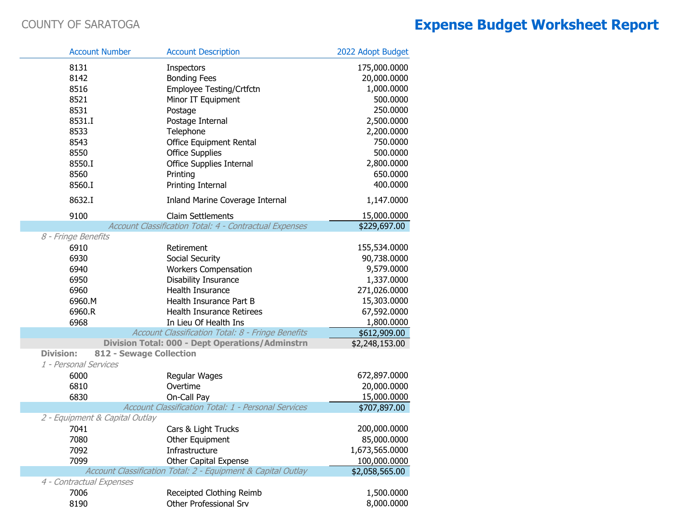| <b>Account Number</b>          | <b>Account Description</b>                                   |                                                     | 2022 Adopt Budget          |
|--------------------------------|--------------------------------------------------------------|-----------------------------------------------------|----------------------------|
| 8131                           | <b>Inspectors</b>                                            |                                                     | 175,000.0000               |
| 8142                           | <b>Bonding Fees</b>                                          |                                                     | 20,000.0000                |
| 8516                           | Employee Testing/Crtfctn                                     |                                                     | 1,000.0000                 |
| 8521                           | Minor IT Equipment                                           |                                                     | 500.0000                   |
| 8531                           | Postage                                                      |                                                     | 250.0000                   |
| 8531.I                         | Postage Internal                                             |                                                     | 2,500.0000                 |
| 8533                           | Telephone                                                    |                                                     | 2,200.0000                 |
| 8543                           | Office Equipment Rental                                      |                                                     | 750.0000                   |
| 8550                           | <b>Office Supplies</b>                                       |                                                     | 500.0000                   |
| 8550.I                         | Office Supplies Internal                                     |                                                     | 2,800.0000                 |
| 8560                           | Printing                                                     |                                                     | 650.0000                   |
| 8560.I                         | Printing Internal                                            |                                                     | 400.0000                   |
| 8632.I                         |                                                              | Inland Marine Coverage Internal                     | 1,147.0000                 |
| 9100                           | <b>Claim Settlements</b>                                     |                                                     | 15,000.0000                |
|                                | Account Classification Total: 4 - Contractual Expenses       |                                                     | \$229,697.00               |
| 8 - Fringe Benefits            |                                                              |                                                     |                            |
| 6910                           | Retirement                                                   |                                                     | 155,534.0000               |
| 6930                           | Social Security                                              |                                                     | 90,738.0000                |
| 6940                           | <b>Workers Compensation</b>                                  |                                                     | 9,579.0000                 |
| 6950                           | <b>Disability Insurance</b>                                  |                                                     | 1,337.0000                 |
| 6960                           | <b>Health Insurance</b>                                      |                                                     | 271,026.0000               |
| 6960.M                         | Health Insurance Part B                                      |                                                     | 15,303.0000                |
| 6960.R                         | <b>Health Insurance Retirees</b><br>In Lieu Of Health Ins    |                                                     | 67,592.0000                |
| 6968                           |                                                              | Account Classification Total: 8 - Fringe Benefits   | 1,800.0000<br>\$612,909.00 |
|                                | <b>Division Total: 000 - Dept Operations/Adminstrn</b>       |                                                     | \$2,248,153.00             |
| <b>Division:</b>               | 812 - Sewage Collection                                      |                                                     |                            |
| 1 - Personal Services          |                                                              |                                                     |                            |
| 6000                           | Regular Wages                                                |                                                     | 672,897.0000               |
| 6810                           | Overtime                                                     |                                                     | 20,000.0000                |
| 6830                           | On-Call Pay                                                  |                                                     | 15,000.0000                |
|                                |                                                              | Account Classification Total: 1 - Personal Services | \$707,897.00               |
| 2 - Equipment & Capital Outlay |                                                              |                                                     |                            |
| 7041                           | Cars & Light Trucks                                          |                                                     | 200,000.0000               |
| 7080                           | Other Equipment                                              |                                                     | 85,000.0000                |
| 7092                           | Infrastructure                                               |                                                     | 1,673,565.0000             |
| 7099                           | <b>Other Capital Expense</b>                                 |                                                     | 100,000.0000               |
|                                | Account Classification Total: 2 - Equipment & Capital Outlay |                                                     | \$2,058,565.00             |
| 4 - Contractual Expenses       |                                                              |                                                     |                            |
| 7006                           | Receipted Clothing Reimb                                     |                                                     | 1,500.0000                 |
| 8190                           | <b>Other Professional Srv</b>                                |                                                     | 8,000.0000                 |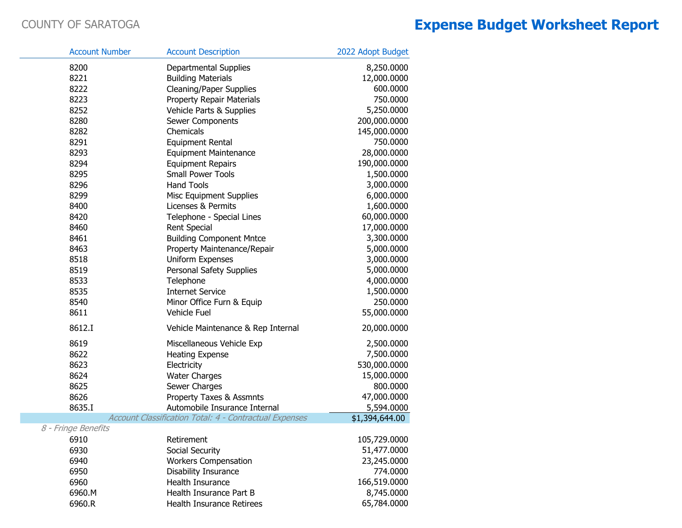| <b>Account Number</b> | <b>Account Description</b>                             | 2022 Adopt Budget |
|-----------------------|--------------------------------------------------------|-------------------|
| 8200                  | Departmental Supplies                                  | 8,250.0000        |
| 8221                  | <b>Building Materials</b>                              | 12,000.0000       |
| 8222                  | <b>Cleaning/Paper Supplies</b>                         | 600.0000          |
| 8223                  | <b>Property Repair Materials</b>                       | 750.0000          |
| 8252                  | Vehicle Parts & Supplies                               | 5,250.0000        |
| 8280                  | Sewer Components                                       | 200,000.0000      |
| 8282                  | Chemicals                                              | 145,000.0000      |
| 8291                  | <b>Equipment Rental</b>                                | 750.0000          |
| 8293                  | <b>Equipment Maintenance</b>                           | 28,000.0000       |
| 8294                  | <b>Equipment Repairs</b>                               | 190,000.0000      |
| 8295                  | <b>Small Power Tools</b>                               | 1,500.0000        |
| 8296                  | <b>Hand Tools</b>                                      | 3,000.0000        |
| 8299                  | <b>Misc Equipment Supplies</b>                         | 6,000.0000        |
| 8400                  | Licenses & Permits                                     | 1,600.0000        |
| 8420                  | Telephone - Special Lines                              | 60,000.0000       |
| 8460                  | <b>Rent Special</b>                                    | 17,000.0000       |
| 8461                  | <b>Building Component Mntce</b>                        | 3,300.0000        |
| 8463                  | Property Maintenance/Repair                            | 5,000.0000        |
| 8518                  | <b>Uniform Expenses</b>                                | 3,000.0000        |
| 8519                  | Personal Safety Supplies                               | 5,000.0000        |
| 8533                  | Telephone                                              | 4,000.0000        |
| 8535                  | <b>Internet Service</b>                                | 1,500.0000        |
| 8540                  | Minor Office Furn & Equip                              | 250.0000          |
| 8611                  | Vehicle Fuel                                           | 55,000.0000       |
| 8612.I                | Vehicle Maintenance & Rep Internal                     | 20,000.0000       |
| 8619                  | Miscellaneous Vehicle Exp                              | 2,500.0000        |
| 8622                  | <b>Heating Expense</b>                                 | 7,500.0000        |
| 8623                  | Electricity                                            | 530,000.0000      |
| 8624                  | <b>Water Charges</b>                                   | 15,000.0000       |
| 8625                  | Sewer Charges                                          | 800.0000          |
| 8626                  | <b>Property Taxes &amp; Assmnts</b>                    | 47,000.0000       |
| 8635.I                | Automobile Insurance Internal                          | 5,594.0000        |
|                       | Account Classification Total: 4 - Contractual Expenses | \$1,394,644.00    |
| 8 - Fringe Benefits   |                                                        |                   |
| 6910                  | Retirement                                             | 105,729.0000      |
| 6930                  | Social Security                                        | 51,477.0000       |
| 6940                  | <b>Workers Compensation</b>                            | 23,245.0000       |
| 6950                  | <b>Disability Insurance</b>                            | 774.0000          |
| 6960                  | Health Insurance                                       | 166,519.0000      |
| 6960.M                | Health Insurance Part B                                | 8,745.0000        |
| 6960.R                | <b>Health Insurance Retirees</b>                       | 65,784.0000       |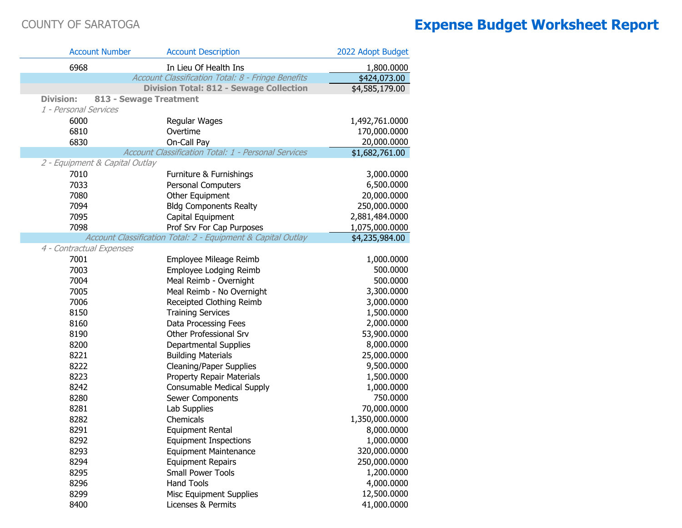| <b>Account Number</b>          | <b>Account Description</b>                                   | 2022 Adopt Budget |
|--------------------------------|--------------------------------------------------------------|-------------------|
| 6968                           | In Lieu Of Health Ins                                        | 1,800.0000        |
|                                | Account Classification Total: 8 - Fringe Benefits            | \$424,073.00      |
|                                | <b>Division Total: 812 - Sewage Collection</b>               | \$4,585,179.00    |
| <b>Division:</b>               | 813 - Sewage Treatment                                       |                   |
| 1 - Personal Services          |                                                              |                   |
| 6000                           | Regular Wages                                                | 1,492,761.0000    |
| 6810                           | Overtime                                                     | 170,000.0000      |
| 6830                           | On-Call Pay                                                  | 20,000.0000       |
|                                | Account Classification Total: 1 - Personal Services          | \$1,682,761.00    |
| 2 - Equipment & Capital Outlay |                                                              |                   |
| 7010                           | Furniture & Furnishings                                      | 3,000.0000        |
| 7033                           | <b>Personal Computers</b>                                    | 6,500.0000        |
| 7080                           | Other Equipment                                              | 20,000.0000       |
| 7094                           | <b>Bldg Components Realty</b>                                | 250,000.0000      |
| 7095                           | Capital Equipment                                            | 2,881,484.0000    |
| 7098                           | Prof Srv For Cap Purposes                                    | 1,075,000.0000    |
|                                | Account Classification Total: 2 - Equipment & Capital Outlay | \$4,235,984.00    |
| 4 - Contractual Expenses       |                                                              |                   |
| 7001                           | Employee Mileage Reimb                                       | 1,000.0000        |
| 7003                           | Employee Lodging Reimb                                       | 500.0000          |
| 7004                           | Meal Reimb - Overnight                                       | 500.0000          |
| 7005                           | Meal Reimb - No Overnight                                    | 3,300.0000        |
| 7006                           | Receipted Clothing Reimb                                     | 3,000.0000        |
| 8150                           | <b>Training Services</b>                                     | 1,500.0000        |
| 8160                           | Data Processing Fees                                         | 2,000.0000        |
| 8190                           | Other Professional Srv                                       | 53,900.0000       |
| 8200                           | Departmental Supplies                                        | 8,000.0000        |
| 8221                           | <b>Building Materials</b>                                    | 25,000.0000       |
| 8222                           | <b>Cleaning/Paper Supplies</b>                               | 9,500.0000        |
| 8223                           | <b>Property Repair Materials</b>                             | 1,500.0000        |
| 8242                           | <b>Consumable Medical Supply</b>                             | 1,000.0000        |
| 8280                           | Sewer Components                                             | 750.0000          |
| 8281                           | Lab Supplies                                                 | 70,000.0000       |
| 8282                           | Chemicals                                                    | 1,350,000.0000    |
| 8291                           | <b>Equipment Rental</b>                                      | 8,000.0000        |
| 8292                           | <b>Equipment Inspections</b>                                 | 1,000.0000        |
| 8293                           | <b>Equipment Maintenance</b>                                 | 320,000.0000      |
| 8294                           | <b>Equipment Repairs</b>                                     | 250,000.0000      |
| 8295                           | <b>Small Power Tools</b>                                     | 1,200.0000        |
| 8296                           | <b>Hand Tools</b>                                            | 4,000.0000        |
| 8299                           | Misc Equipment Supplies                                      | 12,500.0000       |
| 8400                           | Licenses & Permits                                           | 41,000.0000       |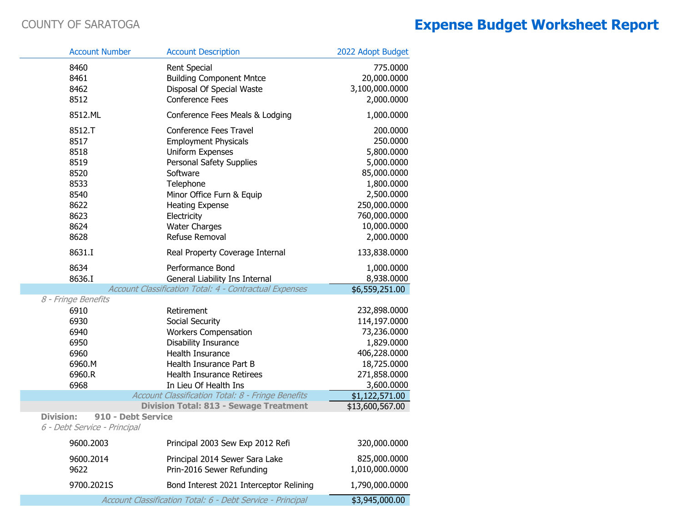|                                                                                                                                            | <b>Account Number</b>                                                                  | <b>Account Description</b>                                                                                                                                                                                                                            | 2022 Adopt Budget                                                                                                                                        |
|--------------------------------------------------------------------------------------------------------------------------------------------|----------------------------------------------------------------------------------------|-------------------------------------------------------------------------------------------------------------------------------------------------------------------------------------------------------------------------------------------------------|----------------------------------------------------------------------------------------------------------------------------------------------------------|
|                                                                                                                                            | 8460<br>8461<br>8462<br>8512                                                           | <b>Rent Special</b><br><b>Building Component Mntce</b><br>Disposal Of Special Waste<br><b>Conference Fees</b>                                                                                                                                         | 775.0000<br>20,000.0000<br>3,100,000.0000<br>2,000.0000                                                                                                  |
|                                                                                                                                            | 8512.ML                                                                                | Conference Fees Meals & Lodging                                                                                                                                                                                                                       | 1,000.0000                                                                                                                                               |
|                                                                                                                                            | 8512.T<br>8517<br>8518<br>8519<br>8520<br>8533<br>8540<br>8622<br>8623<br>8624<br>8628 | Conference Fees Travel<br><b>Employment Physicals</b><br><b>Uniform Expenses</b><br>Personal Safety Supplies<br>Software<br>Telephone<br>Minor Office Furn & Equip<br><b>Heating Expense</b><br>Electricity<br><b>Water Charges</b><br>Refuse Removal | 200.0000<br>250.0000<br>5,800.0000<br>5,000.0000<br>85,000.0000<br>1,800.0000<br>2,500.0000<br>250,000.0000<br>760,000.0000<br>10,000.0000<br>2,000.0000 |
|                                                                                                                                            | 8631.I                                                                                 | Real Property Coverage Internal                                                                                                                                                                                                                       | 133,838.0000                                                                                                                                             |
|                                                                                                                                            | 8634<br>8636.I                                                                         | Performance Bond<br>General Liability Ins Internal                                                                                                                                                                                                    | 1,000.0000<br>8,938.0000                                                                                                                                 |
| 8 - Fringe Benefits                                                                                                                        |                                                                                        | Account Classification Total: 4 - Contractual Expenses                                                                                                                                                                                                | \$6,559,251.00                                                                                                                                           |
|                                                                                                                                            | 6910<br>6930<br>6940<br>6950<br>6960<br>6960.M<br>6960.R<br>6968                       | Retirement<br>Social Security<br><b>Workers Compensation</b><br>Disability Insurance<br><b>Health Insurance</b><br>Health Insurance Part B<br><b>Health Insurance Retirees</b><br>In Lieu Of Health Ins                                               | 232,898.0000<br>114,197.0000<br>73,236.0000<br>1,829.0000<br>406,228.0000<br>18,725.0000<br>271,858.0000<br>3,600.0000                                   |
|                                                                                                                                            |                                                                                        | Account Classification Total: 8 - Fringe Benefits                                                                                                                                                                                                     | \$1,122,571.00                                                                                                                                           |
| <b>Division Total: 813 - Sewage Treatment</b><br>\$13,600,567.00<br><b>Division:</b><br>910 - Debt Service<br>6 - Debt Service - Principal |                                                                                        |                                                                                                                                                                                                                                                       |                                                                                                                                                          |
|                                                                                                                                            | 9600.2003                                                                              | Principal 2003 Sew Exp 2012 Refi                                                                                                                                                                                                                      | 320,000.0000                                                                                                                                             |
|                                                                                                                                            | 9600.2014<br>9622                                                                      | Principal 2014 Sewer Sara Lake<br>Prin-2016 Sewer Refunding                                                                                                                                                                                           | 825,000.0000<br>1,010,000.0000                                                                                                                           |
|                                                                                                                                            | 9700.2021S                                                                             | Bond Interest 2021 Interceptor Relining                                                                                                                                                                                                               | 1,790,000.0000                                                                                                                                           |

Account Classification Total: 6 - Debt Service - Principal

\$3,945,000.00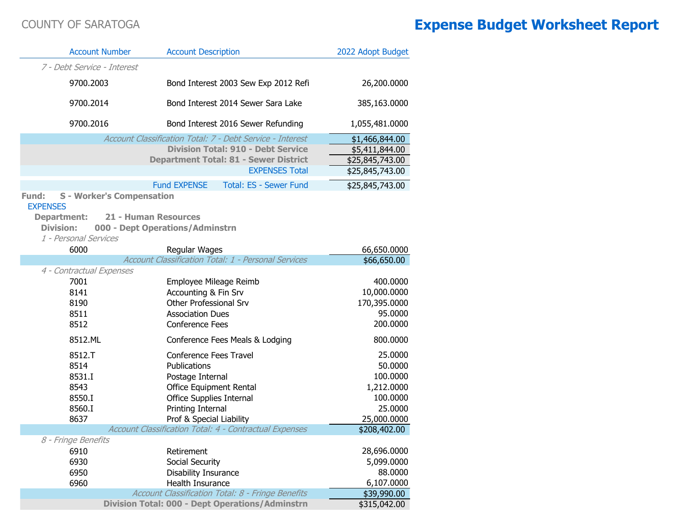| <b>Account Number</b>                                                                                  | <b>Account Description</b>                                     | 2022 Adopt Budget |
|--------------------------------------------------------------------------------------------------------|----------------------------------------------------------------|-------------------|
| 7 - Debt Service - Interest                                                                            |                                                                |                   |
| 9700.2003                                                                                              | Bond Interest 2003 Sew Exp 2012 Refi                           | 26,200.0000       |
| 9700.2014                                                                                              | Bond Interest 2014 Sewer Sara Lake                             | 385,163.0000      |
| 9700.2016                                                                                              | Bond Interest 2016 Sewer Refunding                             | 1,055,481.0000    |
|                                                                                                        | Account Classification Total: 7 - Debt Service - Interest      | \$1,466,844.00    |
|                                                                                                        | <b>Division Total: 910 - Debt Service</b>                      | \$5,411,844.00    |
|                                                                                                        | <b>Department Total: 81 - Sewer District</b>                   | \$25,845,743.00   |
|                                                                                                        | <b>EXPENSES Total</b>                                          | \$25,845,743.00   |
|                                                                                                        | <b>Fund EXPENSE</b><br><b>Total: ES - Sewer Fund</b>           | \$25,845,743.00   |
| <b>S</b> - Worker's Compensation<br>Fund:<br><b>EXPENSES</b><br><b>Department:</b><br><b>Division:</b> | <b>21 - Human Resources</b><br>000 - Dept Operations/Adminstrn |                   |
| 1 - Personal Services                                                                                  |                                                                |                   |
| 6000                                                                                                   | Regular Wages                                                  | 66,650.0000       |
|                                                                                                        | Account Classification Total: 1 - Personal Services            | \$66,650.00       |
| 4 - Contractual Expenses                                                                               |                                                                |                   |
| 7001                                                                                                   | Employee Mileage Reimb                                         | 400.0000          |
| 8141                                                                                                   | Accounting & Fin Srv                                           | 10,000.0000       |
| 8190                                                                                                   | Other Professional Srv                                         | 170,395.0000      |
| 8511                                                                                                   | <b>Association Dues</b>                                        | 95.0000           |
| 8512                                                                                                   | <b>Conference Fees</b>                                         | 200.0000          |
| 8512.ML                                                                                                | Conference Fees Meals & Lodging                                | 800.0000          |
| 8512.T                                                                                                 | Conference Fees Travel                                         | 25.0000           |
| 8514                                                                                                   | Publications                                                   | 50.0000           |
| 8531.I                                                                                                 | Postage Internal                                               | 100.0000          |
| 8543                                                                                                   | Office Equipment Rental                                        | 1,212.0000        |
| 8550.I                                                                                                 | Office Supplies Internal                                       | 100.0000          |
| 8560.I                                                                                                 | Printing Internal                                              | 25.0000           |
| 8637                                                                                                   | Prof & Special Liability                                       | 25,000.0000       |
|                                                                                                        | <b>Account Classification Total: 4 - Contractual Expenses</b>  | \$208,402.00      |
| 8 - Fringe Benefits<br>6910                                                                            | Retirement                                                     | 28,696.0000       |
| 6930                                                                                                   | Social Security                                                | 5,099.0000        |
| 6950                                                                                                   | Disability Insurance                                           | 88.0000           |
| 6960                                                                                                   | Health Insurance                                               | 6,107.0000        |
|                                                                                                        | Account Classification Total: 8 - Fringe Benefits              | \$39,990.00       |
|                                                                                                        | <b>Division Total: 000 - Dept Operations/Adminstrn</b>         | \$315,042.00      |